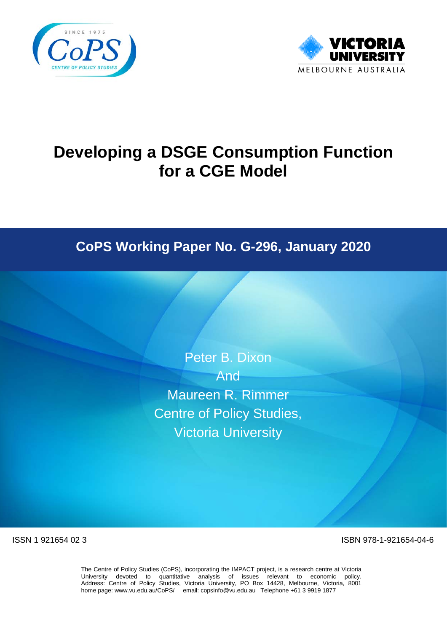



# **Developing a DSGE Consumption Function for a CGE Model**

# **CoPS Working Paper No. G-296, January 2020**

Peter B. Dixon

And<sup>-1</sup> Maureen R. Rimmer Centre of Policy Studies, Victoria University

ISSN 1 921654 02 3 ISBN 978-1-921654-04-6

The Centre of Policy Studies (CoPS), incorporating the IMPACT project, is a research centre at Victoria University devoted to quantitative analysis of issues relevant to economic policy. Address: Centre of Policy Studies, Victoria University, PO Box 14428, Melbourne, Victoria, 8001 home page: www.vu.edu.au/CoPS/ email: copsinfo@vu.edu.au Telephone +61 3 9919 1877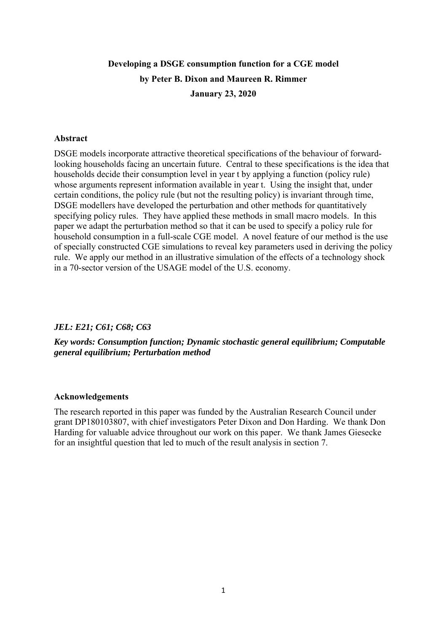# **Developing a DSGE consumption function for a CGE model by Peter B. Dixon and Maureen R. Rimmer January 23, 2020**

#### **Abstract**

DSGE models incorporate attractive theoretical specifications of the behaviour of forwardlooking households facing an uncertain future. Central to these specifications is the idea that households decide their consumption level in year t by applying a function (policy rule) whose arguments represent information available in year t. Using the insight that, under certain conditions, the policy rule (but not the resulting policy) is invariant through time, DSGE modellers have developed the perturbation and other methods for quantitatively specifying policy rules. They have applied these methods in small macro models. In this paper we adapt the perturbation method so that it can be used to specify a policy rule for household consumption in a full-scale CGE model. A novel feature of our method is the use of specially constructed CGE simulations to reveal key parameters used in deriving the policy rule. We apply our method in an illustrative simulation of the effects of a technology shock in a 70-sector version of the USAGE model of the U.S. economy.

## *JEL: E21; C61; C68; C63*

# *Key words: Consumption function; Dynamic stochastic general equilibrium; Computable general equilibrium; Perturbation method*

#### **Acknowledgements**

The research reported in this paper was funded by the Australian Research Council under grant DP180103807, with chief investigators Peter Dixon and Don Harding. We thank Don Harding for valuable advice throughout our work on this paper. We thank James Giesecke for an insightful question that led to much of the result analysis in section 7.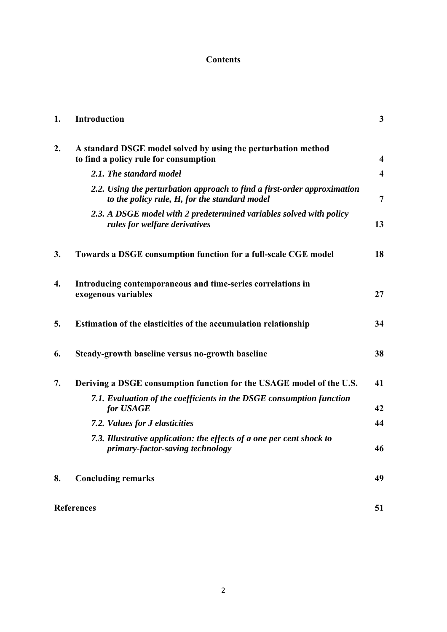# **Contents**

| 1. | <b>Introduction</b>                                                                                                       | $\mathbf{3}$            |
|----|---------------------------------------------------------------------------------------------------------------------------|-------------------------|
| 2. | A standard DSGE model solved by using the perturbation method<br>to find a policy rule for consumption                    | $\overline{\mathbf{4}}$ |
|    | 2.1. The standard model                                                                                                   | $\overline{\mathbf{4}}$ |
|    | 2.2. Using the perturbation approach to find a first-order approximation<br>to the policy rule, H, for the standard model | 7                       |
|    | 2.3. A DSGE model with 2 predetermined variables solved with policy<br>rules for welfare derivatives                      | 13                      |
| 3. | Towards a DSGE consumption function for a full-scale CGE model                                                            | 18                      |
| 4. | Introducing contemporaneous and time-series correlations in<br>exogenous variables                                        | 27                      |
| 5. | Estimation of the elasticities of the accumulation relationship                                                           | 34                      |
| 6. | Steady-growth baseline versus no-growth baseline                                                                          | 38                      |
| 7. | Deriving a DSGE consumption function for the USAGE model of the U.S.                                                      | 41                      |
|    | 7.1. Evaluation of the coefficients in the DSGE consumption function<br>for USAGE                                         | 42                      |
|    | 7.2. Values for J elasticities                                                                                            | 44                      |
|    | 7.3. Illustrative application: the effects of a one per cent shock to<br>primary-factor-saving technology                 | 46                      |
| 8. | <b>Concluding remarks</b>                                                                                                 | 49                      |
|    | <b>References</b>                                                                                                         | 51                      |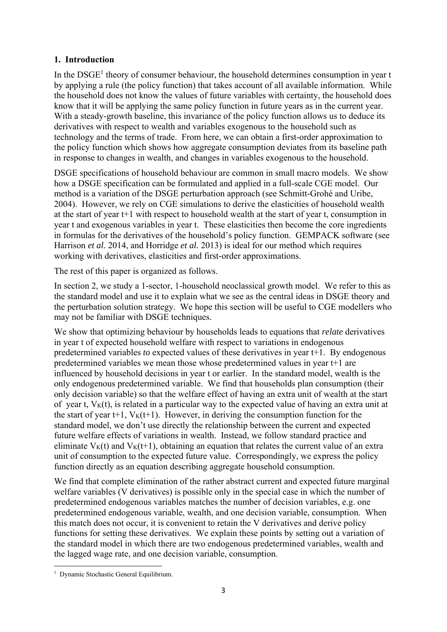# **1. Introduction**

In the  $DSGE<sup>1</sup>$  theory of consumer behaviour, the household determines consumption in year t by applying a rule (the policy function) that takes account of all available information. While the household does not know the values of future variables with certainty, the household does know that it will be applying the same policy function in future years as in the current year. With a steady-growth baseline, this invariance of the policy function allows us to deduce its derivatives with respect to wealth and variables exogenous to the household such as technology and the terms of trade. From here, we can obtain a first-order approximation to the policy function which shows how aggregate consumption deviates from its baseline path in response to changes in wealth, and changes in variables exogenous to the household.

DSGE specifications of household behaviour are common in small macro models. We show how a DSGE specification can be formulated and applied in a full-scale CGE model. Our method is a variation of the DSGE perturbation approach (see Schmitt-Grohé and Uribe, 2004). However, we rely on CGE simulations to derive the elasticities of household wealth at the start of year t+1 with respect to household wealth at the start of year t, consumption in year t and exogenous variables in year t. These elasticities then become the core ingredients in formulas for the derivatives of the household's policy function. GEMPACK software (see Harrison *et al.* 2014, and Horridge *et al.* 2013) is ideal for our method which requires working with derivatives, elasticities and first-order approximations.

The rest of this paper is organized as follows.

In section 2, we study a 1-sector, 1-household neoclassical growth model. We refer to this as the standard model and use it to explain what we see as the central ideas in DSGE theory and the perturbation solution strategy. We hope this section will be useful to CGE modellers who may not be familiar with DSGE techniques.

We show that optimizing behaviour by households leads to equations that *relate* derivatives in year t of expected household welfare with respect to variations in endogenous predetermined variables *to* expected values of these derivatives in year t+1. By endogenous predetermined variables we mean those whose predetermined values in year t+1 are influenced by household decisions in year t or earlier. In the standard model, wealth is the only endogenous predetermined variable. We find that households plan consumption (their only decision variable) so that the welfare effect of having an extra unit of wealth at the start of year t,  $V_K(t)$ , is related in a particular way to the expected value of having an extra unit at the start of year t+1,  $V_K(t+1)$ . However, in deriving the consumption function for the standard model, we don't use directly the relationship between the current and expected future welfare effects of variations in wealth. Instead, we follow standard practice and eliminate  $V_K(t)$  and  $V_K(t+1)$ , obtaining an equation that relates the current value of an extra unit of consumption to the expected future value. Correspondingly, we express the policy function directly as an equation describing aggregate household consumption.

We find that complete elimination of the rather abstract current and expected future marginal welfare variables (V derivatives) is possible only in the special case in which the number of predetermined endogenous variables matches the number of decision variables, e.g. one predetermined endogenous variable, wealth, and one decision variable, consumption. When this match does not occur, it is convenient to retain the V derivatives and derive policy functions for setting these derivatives. We explain these points by setting out a variation of the standard model in which there are two endogenous predetermined variables, wealth and the lagged wage rate, and one decision variable, consumption.

<sup>&</sup>lt;sup>1</sup> Dynamic Stochastic General Equilibrium.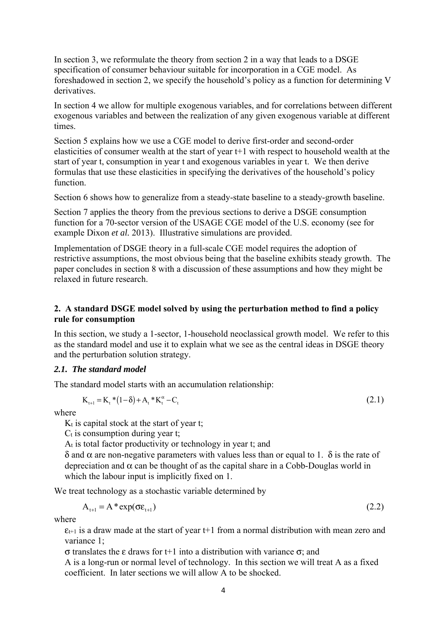In section 3, we reformulate the theory from section 2 in a way that leads to a DSGE specification of consumer behaviour suitable for incorporation in a CGE model. As foreshadowed in section 2, we specify the household's policy as a function for determining V derivatives.

In section 4 we allow for multiple exogenous variables, and for correlations between different exogenous variables and between the realization of any given exogenous variable at different times.

Section 5 explains how we use a CGE model to derive first-order and second-order elasticities of consumer wealth at the start of year t+1 with respect to household wealth at the start of year t, consumption in year t and exogenous variables in year t. We then derive formulas that use these elasticities in specifying the derivatives of the household's policy function.

Section 6 shows how to generalize from a steady-state baseline to a steady-growth baseline.

Section 7 applies the theory from the previous sections to derive a DSGE consumption function for a 70-sector version of the USAGE CGE model of the U.S. economy (see for example Dixon *et al.* 2013). Illustrative simulations are provided.

Implementation of DSGE theory in a full-scale CGE model requires the adoption of restrictive assumptions, the most obvious being that the baseline exhibits steady growth. The paper concludes in section 8 with a discussion of these assumptions and how they might be relaxed in future research.

# **2. A standard DSGE model solved by using the perturbation method to find a policy rule for consumption**

In this section, we study a 1-sector, 1-household neoclassical growth model. We refer to this as the standard model and use it to explain what we see as the central ideas in DSGE theory and the perturbation solution strategy.

# *2.1. The standard model*

The standard model starts with an accumulation relationship:

$$
K_{t+1} = K_t * (1 - \delta) + A_t * K_t^{\alpha} - C_t
$$
\n(2.1)

where

 $K_t$  is capital stock at the start of year t;

 $C_t$  is consumption during year t;

At is total factor productivity or technology in year t; and

δ and α are non-negative parameters with values less than or equal to 1. δ is the rate of depreciation and  $\alpha$  can be thought of as the capital share in a Cobb-Douglas world in which the labour input is implicitly fixed on 1.

We treat technology as a stochastic variable determined by

$$
A_{t+1} = A^* \exp(\sigma \varepsilon_{t+1})
$$
\n(2.2)

where

 $\varepsilon_{t+1}$  is a draw made at the start of year t+1 from a normal distribution with mean zero and variance 1;

σ translates the ε draws for t+1 into a distribution with variance σ; and

A is a long-run or normal level of technology. In this section we will treat A as a fixed coefficient. In later sections we will allow A to be shocked.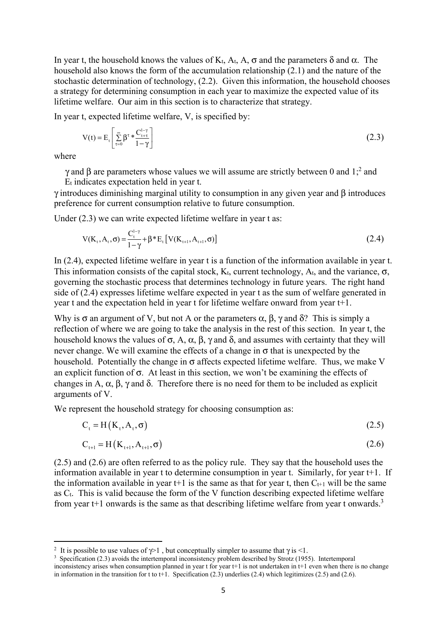In year t, the household knows the values of K<sub>t</sub>, A<sub>t</sub>, A,  $\sigma$  and the parameters δ and α. The household also knows the form of the accumulation relationship (2.1) and the nature of the stochastic determination of technology, (2.2). Given this information, the household chooses a strategy for determining consumption in each year to maximize the expected value of its lifetime welfare. Our aim in this section is to characterize that strategy.

In year t, expected lifetime welfare, V, is specified by:

$$
V(t) = E_t \left[ \sum_{\tau=0}^{\infty} \beta^{\tau} * \frac{C_{t+\tau}^{1-\gamma}}{1-\gamma} \right]
$$
 (2.3)

where

 $\gamma$  and β are parameters whose values we will assume are strictly between 0 and 1;<sup>2</sup> and Et indicates expectation held in year t.

γ introduces diminishing marginal utility to consumption in any given year and β introduces preference for current consumption relative to future consumption.

Under (2.3) we can write expected lifetime welfare in year t as:

$$
V(K_{t}, A_{t}, \sigma) = \frac{C_{t}^{1-\gamma}}{1-\gamma} + \beta * E_{t} [V(K_{t+1}, A_{t+1}, \sigma)]
$$
\n(2.4)

In (2.4), expected lifetime welfare in year t is a function of the information available in year t. This information consists of the capital stock,  $K_t$ , current technology,  $A_t$ , and the variance,  $\sigma$ , governing the stochastic process that determines technology in future years. The right hand side of (2.4) expresses lifetime welfare expected in year t as the sum of welfare generated in year t and the expectation held in year t for lifetime welfare onward from year t+1.

Why is  $\sigma$  an argument of V, but not A or the parameters  $\alpha$ ,  $\beta$ ,  $\gamma$  and  $\delta$ ? This is simply a reflection of where we are going to take the analysis in the rest of this section. In year t, the household knows the values of  $\sigma$ , A, α, β, γ and δ, and assumes with certainty that they will never change. We will examine the effects of a change in  $\sigma$  that is unexpected by the household. Potentially the change in  $\sigma$  affects expected lifetime welfare. Thus, we make V an explicit function of  $\sigma$ . At least in this section, we won't be examining the effects of changes in A,  $\alpha$ ,  $\beta$ ,  $\gamma$  and  $\delta$ . Therefore there is no need for them to be included as explicit arguments of V.

We represent the household strategy for choosing consumption as:

$$
C_t = H(K_t, A_t, \sigma) \tag{2.5}
$$

$$
C_{t+1} = H(K_{t+1}, A_{t+1}, \sigma) \tag{2.6}
$$

(2.5) and (2.6) are often referred to as the policy rule. They say that the household uses the information available in year t to determine consumption in year t. Similarly, for year t+1. If the information available in year  $t+1$  is the same as that for year t, then  $C_{t+1}$  will be the same as Ct. This is valid because the form of the V function describing expected lifetime welfare from year  $t+1$  onwards is the same as that describing lifetime welfare from year t onwards.<sup>3</sup>

<sup>&</sup>lt;sup>2</sup> It is possible to use values of  $\gamma$  but conceptually simpler to assume that  $\gamma$  is <1.

<sup>&</sup>lt;sup>3</sup> Specification (2.3) avoids the intertemporal inconsistency problem described by Strotz (1955). Intertemporal inconsistency arises when consumption planned in year t for year t+1 is not undertaken in t+1 even when there is no change in information in the transition for t to t+1. Specification (2.3) underlies (2.4) which legitimizes (2.5) and (2.6).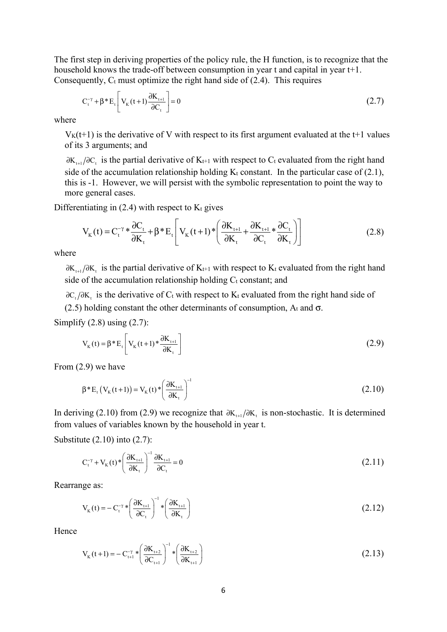The first step in deriving properties of the policy rule, the H function, is to recognize that the household knows the trade-off between consumption in year t and capital in year t+1. Consequently,  $C_t$  must optimize the right hand side of (2.4). This requires

$$
C_t^{-\gamma} + \beta^* E_t \left[ V_K(t+1) \frac{\partial K_{t+1}}{\partial C_t} \right] = 0
$$
\n(2.7)

where

 $V_{K}(t+1)$  is the derivative of V with respect to its first argument evaluated at the t+1 values of its 3 arguments; and

 $\partial K_{\text{tot}}/\partial C$  is the partial derivative of K<sub>t+1</sub> with respect to C<sub>t</sub> evaluated from the right hand side of the accumulation relationship holding  $K_t$  constant. In the particular case of (2.1), this is -1. However, we will persist with the symbolic representation to point the way to more general cases.

Differentiating in  $(2.4)$  with respect to  $K_t$  gives

$$
V_{K}(t) = C_{t}^{-\gamma} * \frac{\partial C_{t}}{\partial K_{t}} + \beta * E_{t} \left[ V_{K}(t+1) * \left( \frac{\partial K_{t+1}}{\partial K_{t}} + \frac{\partial K_{t+1}}{\partial C_{t}} * \frac{\partial C_{t}}{\partial K_{t}} \right) \right]
$$
(2.8)

where

 $\partial K_{\mu\nu}/\partial K$ , is the partial derivative of K<sub>t+1</sub> with respect to K<sub>t</sub> evaluated from the right hand side of the accumulation relationship holding  $C_t$  constant; and

 $\partial C$ ,  $/\partial K$ , is the derivative of  $C_t$  with respect to  $K_t$  evaluated from the right hand side of (2.5) holding constant the other determinants of consumption,  $A_t$  and  $\sigma$ .

Simplify  $(2.8)$  using  $(2.7)$ :

$$
V_{K}(t) = \beta * E_{t} \left[ V_{K}(t+1) * \frac{\partial K_{t+1}}{\partial K_{t}} \right]
$$
 (2.9)

From (2.9) we have

$$
\beta^* E_t (V_K(t+1)) = V_K(t) * \left(\frac{\partial K_{t+1}}{\partial K_t}\right)^{-1}
$$
\n(2.10)

In deriving (2.10) from (2.9) we recognize that  $\partial K_{t+1}/\partial K_t$  is non-stochastic. It is determined from values of variables known by the household in year t.

Substitute (2.10) into (2.7):

$$
C_t^{-\gamma} + V_K(t)^* \left(\frac{\partial K_{t+1}}{\partial K_t}\right)^{-1} \frac{\partial K_{t+1}}{\partial C_t} = 0
$$
\n(2.11)

Rearrange as:

$$
V_{K}(t) = -C_{t}^{-\gamma} * \left(\frac{\partial K_{t+1}}{\partial C_{t}}\right)^{-1} * \left(\frac{\partial K_{t+1}}{\partial K_{t}}\right)
$$
(2.12)

Hence

$$
V_{K}(t+1) = -C_{t+1}^{-\gamma} * \left(\frac{\partial K_{t+2}}{\partial C_{t+1}}\right)^{-1} * \left(\frac{\partial K_{t+2}}{\partial K_{t+1}}\right)
$$
(2.13)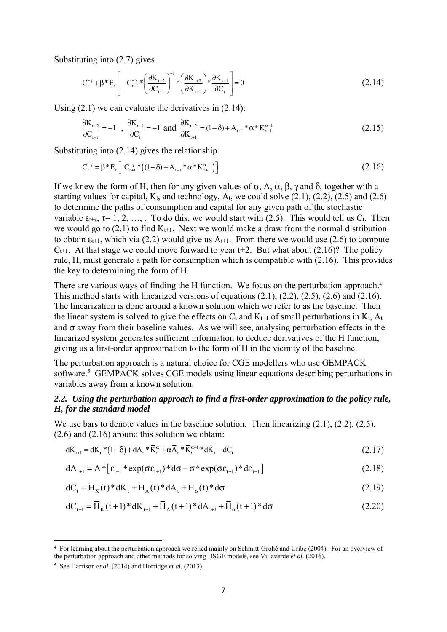Substituting into (2.7) gives

$$
C_{t}^{-\gamma} + \beta * E_{t} \left[ -C_{t+1}^{-\gamma} * \left( \frac{\partial K_{t+2}}{\partial C_{t+1}} \right)^{-1} * \left( \frac{\partial K_{t+2}}{\partial K_{t+1}} \right) * \frac{\partial K_{t+1}}{\partial C_{t}} \right] = 0
$$
\n(2.14)

Using  $(2.1)$  we can evaluate the derivatives in  $(2.14)$ :

$$
\frac{\partial K_{t+2}}{\partial C_{t+1}} = -1 \quad , \quad \frac{\partial K_{t+1}}{\partial C_t} = -1 \quad \text{and} \quad \frac{\partial K_{t+2}}{\partial K_{t+1}} = (1 - \delta) + A_{t+1} * \alpha * K_{t+1}^{\alpha - 1} \tag{2.15}
$$

Substituting into (2.14) gives the relationship

$$
C_{t}^{-\gamma} = \beta * E_{t} \left[ C_{t+1}^{-\gamma} * ((1 - \delta) + A_{t+1} * \alpha * K_{t+1}^{\alpha - 1}) \right]
$$
(2.16)

If we knew the form of H, then for any given values of  $\sigma$ , A, α, β, γ and δ, together with a starting values for capital,  $K_t$ , and technology,  $A_t$ , we could solve  $(2.1)$ ,  $(2.2)$ ,  $(2.5)$  and  $(2.6)$ to determine the paths of consumption and capital for any given path of the stochastic variable  $\varepsilon_{t+\tau}$ ,  $\tau$ = 1, 2, …, To do this, we would start with (2.5). This would tell us C<sub>t</sub>. Then we would go to  $(2.1)$  to find  $K_{t+1}$ . Next we would make a draw from the normal distribution to obtain  $\varepsilon_{t+1}$ , which via (2.2) would give us  $A_{t+1}$ . From there we would use (2.6) to compute  $C_{t+1}$ . At that stage we could move forward to year t+2. But what about (2.16)? The policy rule, H, must generate a path for consumption which is compatible with (2.16). This provides the key to determining the form of H.

There are various ways of finding the H function. We focus on the perturbation approach.<sup>4</sup> This method starts with linearized versions of equations (2.1), (2.2), (2.5), (2.6) and (2.16). The linearization is done around a known solution which we refer to as the baseline. Then the linear system is solved to give the effects on  $C_t$  and  $K_{t+1}$  of small perturbations in  $K_t$ ,  $A_t$ and  $\sigma$  away from their baseline values. As we will see, analysing perturbation effects in the linearized system generates sufficient information to deduce derivatives of the H function, giving us a first-order approximation to the form of H in the vicinity of the baseline.

The perturbation approach is a natural choice for CGE modellers who use GEMPACK software.<sup>5</sup> GEMPACK solves CGE models using linear equations describing perturbations in variables away from a known solution.

## *2.2. Using the perturbation approach to find a first-order approximation to the policy rule, H, for the standard model*

We use bars to denote values in the baseline solution. Then linearizing  $(2.1)$ ,  $(2.2)$ ,  $(2.5)$ , (2.6) and (2.16) around this solution we obtain:

$$
dK_{t+1} = dK_t * (1 - \delta) + dA_t * \overline{K}_t^{\alpha} + \alpha \overline{A}_t * \overline{K}_t^{\alpha - 1} * dK_t - dC_t
$$
\n(2.17)

$$
dA_{t+1} = A^* \left[ \overline{\varepsilon}_{t+1} * \exp(\overline{\sigma} \overline{\varepsilon}_{t+1}) * d\sigma + \overline{\sigma} * \exp(\overline{\sigma} \overline{\varepsilon}_{t+1}) * d\varepsilon_{t+1} \right]
$$
(2.18)

$$
dC_t = \overline{H}_K(t)^* dK_t + \overline{H}_A(t)^* dA_t + \overline{H}_\sigma(t)^* d\sigma
$$
\n(2.19)

$$
dC_{t+1} = \overline{H}_K(t+1)^* dK_{t+1} + \overline{H}_A(t+1)^* dA_{t+1} + \overline{H}_\sigma(t+1)^* d\sigma
$$
\n(2.20)

<sup>4</sup> For learning about the perturbation approach we relied mainly on Schmitt-Grohé and Uribe (2004). For an overview of the perturbation approach and other methods for solving DSGE models, see Villaverde *et al.* (2016).

<sup>5</sup> See Harrison *et al.* (2014) and Horridge *et al.* (2013).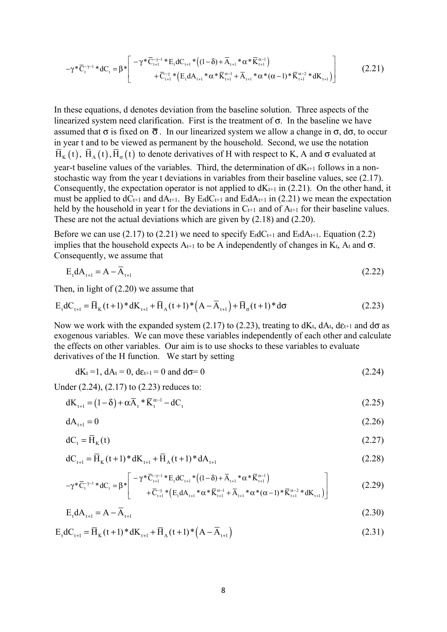$$
-\gamma^* \overline{C}_{t}^{-\gamma-1} * dC_{t} = \beta^* \left[ \begin{array}{c} -\gamma^* \overline{C}_{t+1}^{-\gamma-1} * E_t dC_{t+1} * (1-\delta) + \overline{A}_{t+1} * \alpha^* \overline{K}_{t+1}^{\alpha-1}) \\ + \overline{C}_{t+1}^{-\gamma} * (E_t dA_{t+1} * \alpha^* \overline{K}_{t+1}^{\alpha-1} + \overline{A}_{t+1} * \alpha^* (\alpha-1) * \overline{K}_{t+1}^{\alpha-2} * dK_{t+1}) \end{array} \right]
$$
(2.21)

In these equations, d denotes deviation from the baseline solution. Three aspects of the linearized system need clarification. First is the treatment of  $\sigma$ . In the baseline we have assumed that  $\sigma$  is fixed on  $\bar{\sigma}$ . In our linearized system we allow a change in  $\sigma$ ,  $d\sigma$ , to occur in year t and to be viewed as permanent by the household. Second, we use the notation  $\bar{H}_{\kappa} (t), \bar{H}_{\alpha} (t), \bar{H}_{\alpha} (t)$  to denote derivatives of H with respect to K, A and  $\sigma$  evaluated at year-t baseline values of the variables. Third, the determination of  $dK_{t+1}$  follows in a nonstochastic way from the year t deviations in variables from their baseline values, see (2.17). Consequently, the expectation operator is not applied to  $dK_{t+1}$  in (2.21). On the other hand, it must be applied to  $dC_{t+1}$  and  $dA_{t+1}$ . By E<sub>t</sub>dC<sub>t+1</sub> and E<sub>t</sub>dA<sub>t+1</sub> in (2.21) we mean the expectation held by the household in year t for the deviations in  $C_{t+1}$  and of  $A_{t+1}$  for their baseline values. These are not the actual deviations which are given by (2.18) and (2.20).

Before we can use (2.17) to (2.21) we need to specify  $E_t dC_{t+1}$  and  $E_t dA_{t+1}$ . Equation (2.2) implies that the household expects  $A_{t+1}$  to be A independently of changes in K<sub>t</sub>, A<sub>t</sub> and  $\sigma$ . Consequently, we assume that

$$
E_t dA_{t+1} = A - \overline{A}_{t+1} \tag{2.22}
$$

Then, in light of (2.20) we assume that

$$
E_t dC_{t+1} = \overline{H}_K(t+1) * dK_{t+1} + \overline{H}_A(t+1) * (A - \overline{A}_{t+1}) + \overline{H}_\sigma(t+1) * d\sigma
$$
\n(2.23)

Now we work with the expanded system (2.17) to (2.23), treating to  $dK_t$ ,  $dA_t$ ,  $d\varepsilon_{t+1}$  and  $d\sigma$  as exogenous variables. We can move these variables independently of each other and calculate the effects on other variables. Our aim is to use shocks to these variables to evaluate derivatives of the H function. We start by setting

$$
dK_t = 1, dA_t = 0, d\varepsilon_{t+1} = 0 \text{ and } d\sigma = 0
$$
\n(2.24)

Under (2.24), (2.17) to (2.23) reduces to:

$$
dK_{t+1} = (1 - \delta) + \alpha \overline{A}_t * \overline{K}_t^{\alpha - 1} - dC_t
$$
\n(2.25)

$$
dA_{t+1} = 0 \tag{2.26}
$$

$$
dC_t = \overline{H}_K(t) \tag{2.27}
$$

$$
dC_{t+1} = \overline{H}_K(t+1)^* dK_{t+1} + \overline{H}_A(t+1)^* dA_{t+1}
$$
\n(2.28)

$$
-\gamma \cdot \overline{C}_{t}^{-\gamma-1} \cdot \mathrm{d}C_{t} = \beta \cdot \left[ \frac{-\gamma \cdot \overline{C}_{t+1}^{-\gamma-1} \cdot E_{t} \cdot \mathrm{d}C_{t+1} \cdot \left( (1-\delta) + \overline{A}_{t+1} \cdot \alpha \cdot \overline{K}_{t+1}^{\alpha-1} \right)}{+ \overline{C}_{t+1}^{-\gamma} \cdot \left( E_{t} \cdot \mathrm{d}A_{t+1} \cdot \alpha \cdot \overline{K}_{t+1}^{\alpha-1} + \overline{A}_{t+1} \cdot \alpha \cdot (\alpha-1) \cdot \overline{K}_{t+1}^{\alpha-2} \cdot \mathrm{d}K_{t+1} \right)} \right]
$$
(2.29)

$$
E_t dA_{t+1} = A - \overline{A}_{t+1}
$$
\n(2.30)

$$
E_{t}dC_{t+1} = \overline{H}_{K}(t+1) * dK_{t+1} + \overline{H}_{A}(t+1) * (A - \overline{A}_{t+1})
$$
\n(2.31)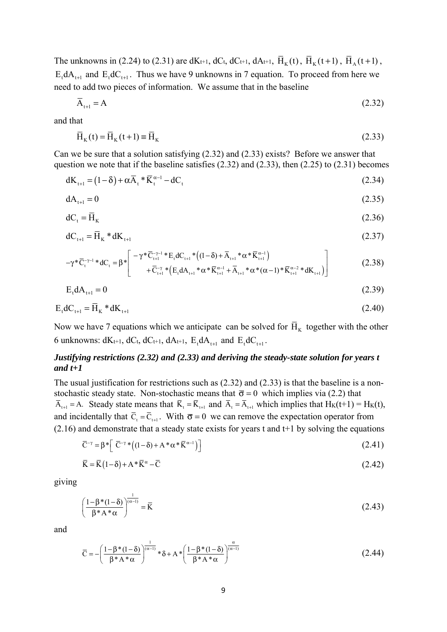The unknowns in (2.24) to (2.31) are dK<sub>t+1</sub>, dC<sub>t</sub>, dC<sub>t+1</sub>, dA<sub>t+1</sub>,  $\overline{H}_{K}(t)$ ,  $\overline{H}_{K}(t+1)$ ,  $\overline{H}_{A}(t+1)$ ,  $E_t dA_{t+1}$  and  $E_t dC_{t+1}$ . Thus we have 9 unknowns in 7 equation. To proceed from here we need to add two pieces of information. We assume that in the baseline

$$
\overline{A}_{t+1} = A \tag{2.32}
$$

and that

$$
\overline{H}_{K}(t) = \overline{H}_{K}(t+1) \equiv \overline{H}_{K}
$$
\n(2.33)

Can we be sure that a solution satisfying (2.32) and (2.33) exists? Before we answer that question we note that if the baseline satisfies (2.32) and (2.33), then (2.25) to (2.31) becomes

$$
dK_{t+1} = (1 - \delta) + \alpha \overline{A}_t \cdot \overline{K}_t^{\alpha - 1} - dC_t
$$
\n(2.34)

$$
dA_{t+1} = 0 \tag{2.35}
$$

$$
dC_t = \overline{H}_K \tag{2.36}
$$

$$
dC_{t+1} = \overline{H}_K * dK_{t+1}
$$
 (2.37)

$$
-\gamma^* \overline{C}_{t}^{-\gamma-1} * dC_{t} = \beta^* \left[ \begin{array}{c} -\gamma^* \overline{C}_{t+1}^{-\gamma-1} * E_t dC_{t+1} * ((1-\delta) + \overline{A}_{t+1} * \alpha^* \overline{K}_{t+1}^{\alpha-1}) \\ + \overline{C}_{t+1}^{-\gamma} * (E_t dA_{t+1} * \alpha^* \overline{K}_{t+1}^{\alpha-1} + \overline{A}_{t+1} * \alpha^* (\alpha-1) * \overline{K}_{t+1}^{\alpha-2} * dK_{t+1}) \end{array} \right]
$$
(2.38)

$$
E_t dA_{t+1} = 0 \tag{2.39}
$$

$$
E_t dC_{t+1} = \overline{H}_K * dK_{t+1}
$$
\n
$$
(2.40)
$$

Now we have 7 equations which we anticipate can be solved for  $\overline{H}_{K}$  together with the other 6 unknowns:  $dK_{t+1}$ ,  $dC_{t}$ ,  $dC_{t+1}$ ,  $dA_{t+1}$ ,  $E_{t}dA_{t+1}$  and  $E_{t}dC_{t+1}$ .

# *Justifying restrictions (2.32) and (2.33) and deriving the steady-state solution for years t and t+1*

The usual justification for restrictions such as (2.32) and (2.33) is that the baseline is a nonstochastic steady state. Non-stochastic means that  $\bar{\sigma} = 0$  which implies via (2.2) that  $\overline{A}_{t+1} = A$ . Steady state means that  $\overline{K}_t = \overline{K}_{t+1}$  and  $\overline{A}_t = \overline{A}_{t+1}$  which implies that  $H_K(t+1) = H_K(t)$ , and incidentally that  $\overline{C}_t = \overline{C}_{t+1}$ . With  $\overline{\sigma} = 0$  we can remove the expectation operator from  $(2.16)$  and demonstrate that a steady state exists for years t and t+1 by solving the equations

$$
\overline{C}^{-\gamma} = \beta^* \left[ \overline{C}^{-\gamma} * ((1 - \delta) + A^* \alpha^* \overline{K}^{\alpha - 1}) \right]
$$
\n(2.41)

$$
\overline{\mathbf{K}} = \overline{\mathbf{K}}(1-\delta) + \mathbf{A}^* \overline{\mathbf{K}}^{\alpha} - \overline{\mathbf{C}} \tag{2.42}
$$

giving

$$
\left(\frac{1-\beta^*(1-\delta)}{\beta^*A^*\alpha}\right)^{\frac{1}{(\alpha-1)}} = \overline{K}
$$
\n(2.43)

and

$$
\overline{C} = -\left(\frac{1 - \beta * (1 - \delta)}{\beta * A * \alpha}\right)^{\frac{1}{(\alpha - 1)}} * \delta + A * \left(\frac{1 - \beta * (1 - \delta)}{\beta * A * \alpha}\right)^{\frac{\alpha}{(\alpha - 1)}}\tag{2.44}
$$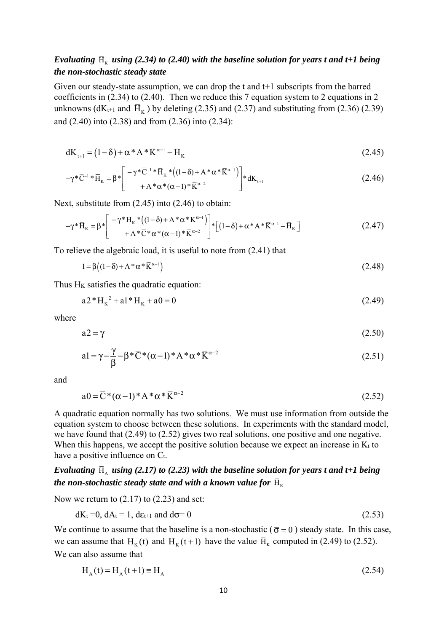# *Evaluating*  $\bar{H}_K$  *using* (2.34) to (2.40) with the baseline solution for years t and t+1 being *the non-stochastic steady state*

Given our steady-state assumption, we can drop the t and t+1 subscripts from the barred coefficients in (2.34) to (2.40). Then we reduce this 7 equation system to 2 equations in 2 unknowns ( $dK_{t+1}$  and  $\bar{H}_{K}$ ) by deleting (2.35) and (2.37) and substituting from (2.36) (2.39) and (2.40) into (2.38) and from (2.36) into (2.34):

$$
dK_{t+1} = (1 - \delta) + \alpha * A * \overline{K}^{\alpha - 1} - \overline{H}_K
$$
\n(2.45)

$$
-\gamma^* \overline{C}^{-1} * \overline{H}_K = \beta^* \left[ \begin{array}{c} -\gamma^* \overline{C}^{-1} * \overline{H}_K * ((1 - \delta) + A^* \alpha^* \overline{K}^{\alpha - 1}) \\ + A^* \alpha^* (\alpha - 1)^* \overline{K}^{\alpha - 2} \end{array} \right] * dK_{t+1}
$$
(2.46)

Next, substitute from (2.45) into (2.46) to obtain:

$$
-\gamma^* \overline{\mathbf{H}}_{\mathbf{K}} = \beta^* \left[ \begin{array}{c} -\gamma^* \overline{\mathbf{H}}_{\mathbf{K}} * ((1-\delta) + \mathbf{A}^* \alpha^* \overline{\mathbf{K}}^{\alpha-1}) \\ + \mathbf{A}^* \overline{\mathbf{C}}^* \alpha^* (\alpha - 1)^* \overline{\mathbf{K}}^{\alpha-2} \end{array} \right] * \left[ (1-\delta) + \alpha^* \mathbf{A}^* \overline{\mathbf{K}}^{\alpha-1} - \overline{\mathbf{H}}_{\mathbf{K}} \right]
$$
(2.47)

To relieve the algebraic load, it is useful to note from (2.41) that

$$
1 = \beta \left( (1 - \delta) + A^* \alpha^* \overline{K}^{\alpha - 1} \right) \tag{2.48}
$$

Thus  $H_K$  satisfies the quadratic equation:

$$
a2*HK2 + a1*HK + a0 = 0
$$
 (2.49)

where

$$
a2 = \gamma \tag{2.50}
$$

$$
a1 = \gamma - \frac{\gamma}{\beta} - \beta^* \overline{C}^* (\alpha - 1)^* A^* \alpha^* \overline{K}^{\alpha - 2}
$$
 (2.51)

and

$$
a0 = \overline{C}^*(\alpha - 1)^* A^* \alpha^* \overline{K}^{\alpha - 2}
$$
\n(2.52)

A quadratic equation normally has two solutions. We must use information from outside the equation system to choose between these solutions. In experiments with the standard model, we have found that (2.49) to (2.52) gives two real solutions, one positive and one negative. When this happens, we accept the positive solution because we expect an increase in  $K_t$  to have a positive influence on Ct.

# *Evaluating*  $\bar{H}_A$  *using* (2.17) to (2.23) with the baseline solution for years t and t+1 being *the non-stochastic steady state and with a known value for*  $\bar{H}_{K}$

Now we return to (2.17) to (2.23) and set:

$$
dK_t = 0, dA_t = 1, d\varepsilon_{t+1} \text{ and } d\sigma = 0 \tag{2.53}
$$

We continue to assume that the baseline is a non-stochastic ( $\bar{\sigma} = 0$ ) steady state. In this case, we can assume that  $\overline{H}_{K}$  (t) and  $\overline{H}_{K}$  (t+1) have the value  $\overline{H}_{K}$  computed in (2.49) to (2.52). We can also assume that

$$
\overline{H}_{A}(t) = \overline{H}_{A}(t+1) \equiv \overline{H}_{A}
$$
\n(2.54)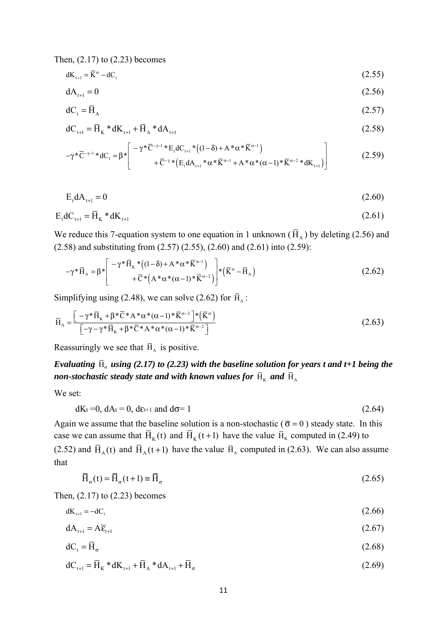Then, (2.17) to (2.23) becomes

$$
dK_{t+1} = \overline{K}^{\alpha} - dC_t \tag{2.55}
$$

$$
dA_{t+1} = 0 \tag{2.56}
$$

$$
dC_t = \overline{H}_A \tag{2.57}
$$

$$
dC_{t+1} = \overline{H}_K * dK_{t+1} + \overline{H}_A * dA_{t+1}
$$
\n(2.58)

$$
-\gamma^* \overline{C}^{-\gamma-1} * dC_t = \beta^* \left[ \begin{array}{c} -\gamma^* \overline{C}^{-\gamma-1} * E_t dC_{t+1} * ((1-\delta) + A^* \alpha^* \overline{K}^{\alpha-1}) \\ + \overline{C}^{-\gamma} * (E_t dA_{t+1} * \alpha^* \overline{K}^{\alpha-1} + A^* \alpha^* (\alpha-1) * \overline{K}^{\alpha-2} * dK_{t+1}) \end{array} \right] \tag{2.59}
$$

$$
E_t dA_{t+1} = 0 \tag{2.60}
$$

$$
E_t dC_{t+1} = \overline{H}_K * dK_{t+1}
$$
\n
$$
(2.61)
$$

We reduce this 7-equation system to one equation in 1 unknown ( $\overline{H}_{A}$ ) by deleting (2.56) and (2.58) and substituting from (2.57) (2.55), (2.60) and (2.61) into (2.59):

$$
-\gamma^* \overline{H}_A = \beta^* \left[ \begin{array}{c} -\gamma^* \overline{H}_K^* \left( (1-\delta) + A^* \alpha^* \overline{K}^{\alpha-1} \right) \\ + \overline{C}^* \left( A^* \alpha^* (\alpha-1)^* \overline{K}^{\alpha-2} \right) \end{array} \right] * \left( \overline{K}^{\alpha} - \overline{H}_A \right) \tag{2.62}
$$

Simplifying using (2.48), we can solve (2.62) for  $\bar{H}_A$ :

$$
\overline{H}_{A} = \frac{\left[-\gamma^* \overline{H}_K + \beta^* \overline{C}^* A^* \alpha^* (\alpha - 1)^* \overline{K}^{\alpha - 2}\right]^{*} \left(\overline{K}^{\alpha}\right)}{\left[-\gamma - \gamma^* \overline{H}_K + \beta^* \overline{C}^* A^* \alpha^* (\alpha - 1)^* \overline{K}^{\alpha - 2}\right]}
$$
\n(2.63)

Reassuringly we see that  $\overline{H}_A$  is positive.

*Evaluating*  $\bar{H}_{\sigma}$  *using* (2.17) to (2.23) with the baseline solution for years t and t+1 being the *non-stochastic steady state and with known values for*  $\overline{H}_K$  *and*  $\overline{H}_A$ 

We set:

$$
dK_t = 0, dA_t = 0, d\varepsilon_{t+1} \text{ and } d\sigma = 1
$$
\n(2.64)

Again we assume that the baseline solution is a non-stochastic ( $\bar{\sigma} = 0$ ) steady state. In this case we can assume that  $\overline{H}_K(t)$  and  $\overline{H}_K(t+1)$  have the value  $\overline{H}_K$  computed in (2.49) to (2.52) and  $\overline{H}_{A}(t)$  and  $\overline{H}_{A}(t+1)$  have the value  $\overline{H}_{A}$  computed in (2.63). We can also assume that

$$
\overline{H}_{\sigma}(t) = \overline{H}_{\sigma}(t+1) \equiv \overline{H}_{\sigma}
$$
\n(2.65)

Then, (2.17) to (2.23) becomes

$$
dK_{t+1} = -dC_t \tag{2.66}
$$

$$
dA_{t+1} = A\overline{\varepsilon}_{t+1} \tag{2.67}
$$

$$
dC_t = \overline{H}_\sigma \tag{2.68}
$$

$$
dC_{t+1} = \overline{H}_K * dK_{t+1} + \overline{H}_A * dA_{t+1} + \overline{H}_\sigma
$$
\n(2.69)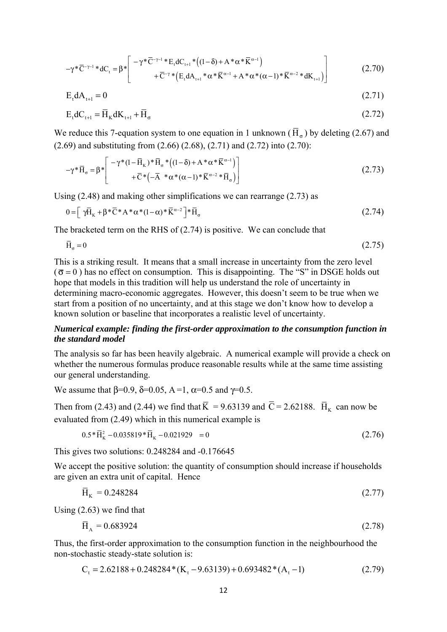$$
-\gamma^* \overline{C}^{-\gamma-1} * dC_t = \beta^* \left[ \begin{array}{c} -\gamma^* \overline{C}^{-\gamma-1} * E_t dC_{t+1} * ((1-\delta) + A^* \alpha^* \overline{K}^{\alpha-1}) \\ + \overline{C}^{-\gamma} * (E_t dA_{t+1} * \alpha^* \overline{K}^{\alpha-1} + A^* \alpha^* (\alpha-1) * \overline{K}^{\alpha-2} * dK_{t+1}) \end{array} \right] \tag{2.70}
$$

$$
E_t dA_{t+1} = 0 \tag{2.71}
$$

$$
E_t dC_{t+1} = \overline{H}_K dK_{t+1} + \overline{H}_\sigma
$$
\n(2.72)

We reduce this 7-equation system to one equation in 1 unknown ( $\overline{H}_{\sigma}$ ) by deleting (2.67) and (2.69) and substituting from (2.66) (2.68), (2.71) and (2.72) into (2.70):

$$
-\gamma^* \overline{\mathbf{H}}_{\sigma} = \beta^* \left[ \begin{array}{c} -\gamma^*(1-\overline{\mathbf{H}}_{\mathbf{K}})^* \overline{\mathbf{H}}_{\sigma}^* \left( (1-\delta) + A^* \alpha^* \overline{\mathbf{K}}^{\alpha-1} \right) \\ + \overline{\mathbf{C}}^* \left( -\overline{\mathbf{A}}^* \alpha^* (\alpha-1)^* \overline{\mathbf{K}}^{\alpha-2} * \overline{\mathbf{H}}_{\sigma} \right) \end{array} \right] \tag{2.73}
$$

Using (2.48) and making other simplifications we can rearrange (2.73) as

$$
0 = \left[ \gamma \overline{H}_{K} + \beta \ast \overline{C} \ast A \ast \alpha \ast (1 - \alpha) \ast \overline{K}^{\alpha - 2} \right] \ast \overline{H}_{\sigma}
$$
\n
$$
(2.74)
$$

The bracketed term on the RHS of (2.74) is positive. We can conclude that

$$
\bar{\mathbf{H}}_{\sigma} = 0 \tag{2.75}
$$

This is a striking result. It means that a small increase in uncertainty from the zero level  $(\bar{\sigma} = 0)$  has no effect on consumption. This is disappointing. The "S" in DSGE holds out hope that models in this tradition will help us understand the role of uncertainty in determining macro-economic aggregates. However, this doesn't seem to be true when we start from a position of no uncertainty, and at this stage we don't know how to develop a known solution or baseline that incorporates a realistic level of uncertainty.

## *Numerical example: finding the first-order approximation to the consumption function in the standard model*

The analysis so far has been heavily algebraic. A numerical example will provide a check on whether the numerous formulas produce reasonable results while at the same time assisting our general understanding.

We assume that  $\beta$ =0.9,  $\delta$ =0.05, A=1,  $\alpha$ =0.5 and  $\gamma$ =0.5.

Then from (2.43) and (2.44) we find that  $\overline{K} = 9.63139$  and  $\overline{C} = 2.62188$ .  $\overline{H}_{K}$  can now be evaluated from (2.49) which in this numerical example is

$$
0.5 \times \bar{H}_{K}^{2} - 0.035819 \times \bar{H}_{K} - 0.021929 = 0
$$
\n(2.76)

This gives two solutions: 0.248284 and -0.176645

We accept the positive solution: the quantity of consumption should increase if households are given an extra unit of capital. Hence

$$
\bar{H}_{K} = 0.248284 \tag{2.77}
$$

Using (2.63) we find that

$$
\bar{H}_A = 0.683924\tag{2.78}
$$

Thus, the first-order approximation to the consumption function in the neighbourhood the non-stochastic steady-state solution is:

$$
C_t = 2.62188 + 0.248284*(K_t - 9.63139) + 0.693482*(A_t - 1)
$$
\n(2.79)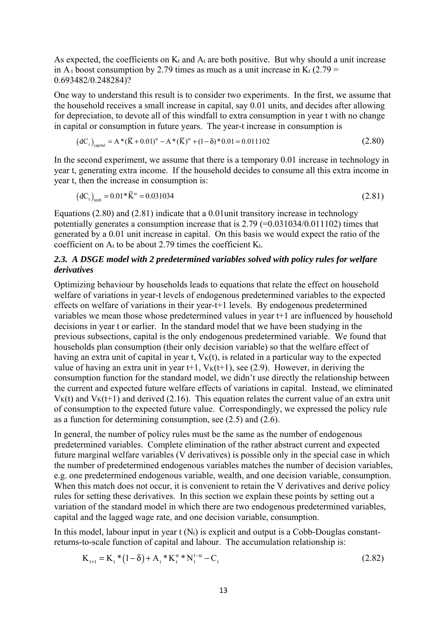As expected, the coefficients on  $K_t$  and  $A_t$  are both positive. But why should a unit increase in A<sub>t</sub> boost consumption by 2.79 times as much as a unit increase in K<sub>t</sub> (2.79 = 0.693482/0.248284)?

One way to understand this result is to consider two experiments. In the first, we assume that the household receives a small increase in capital, say 0.01 units, and decides after allowing for depreciation, to devote all of this windfall to extra consumption in year t with no change in capital or consumption in future years. The year-t increase in consumption is

$$
(dCt)capital = A * (\overline{K} + 0.01)α - A * (\overline{K})α + (1 - \delta) * 0.01 = 0.011102
$$
\n(2.80)

In the second experiment, we assume that there is a temporary 0.01 increase in technology in year t, generating extra income. If the household decides to consume all this extra income in year t, then the increase in consumption is:

$$
(\text{d}C_{t})_{\text{tech}} = 0.01 \times \overline{K}^{\alpha} = 0.031034 \tag{2.81}
$$

Equations (2.80) and (2.81) indicate that a 0.01unit transitory increase in technology potentially generates a consumption increase that is  $2.79$  (=0.031034/0.011102) times that generated by a 0.01 unit increase in capital. On this basis we would expect the ratio of the coefficient on  $A_t$  to be about 2.79 times the coefficient  $K_t$ .

# *2.3. A DSGE model with 2 predetermined variables solved with policy rules for welfare derivatives*

Optimizing behaviour by households leads to equations that relate the effect on household welfare of variations in year-t levels of endogenous predetermined variables to the expected effects on welfare of variations in their year-t+1 levels. By endogenous predetermined variables we mean those whose predetermined values in year t+1 are influenced by household decisions in year t or earlier. In the standard model that we have been studying in the previous subsections, capital is the only endogenous predetermined variable. We found that households plan consumption (their only decision variable) so that the welfare effect of having an extra unit of capital in year t,  $V<sub>K</sub>(t)$ , is related in a particular way to the expected value of having an extra unit in year t+1,  $V_K(t+1)$ , see (2.9). However, in deriving the consumption function for the standard model, we didn't use directly the relationship between the current and expected future welfare effects of variations in capital. Instead, we eliminated  $V_{K}(t)$  and  $V_{K}(t+1)$  and derived (2.16). This equation relates the current value of an extra unit of consumption to the expected future value. Correspondingly, we expressed the policy rule as a function for determining consumption, see (2.5) and (2.6).

In general, the number of policy rules must be the same as the number of endogenous predetermined variables. Complete elimination of the rather abstract current and expected future marginal welfare variables (V derivatives) is possible only in the special case in which the number of predetermined endogenous variables matches the number of decision variables, e.g. one predetermined endogenous variable, wealth, and one decision variable, consumption. When this match does not occur, it is convenient to retain the V derivatives and derive policy rules for setting these derivatives. In this section we explain these points by setting out a variation of the standard model in which there are two endogenous predetermined variables, capital and the lagged wage rate, and one decision variable, consumption.

In this model, labour input in year  $t(N_t)$  is explicit and output is a Cobb-Douglas constantreturns-to-scale function of capital and labour. The accumulation relationship is:

$$
K_{t+1} = K_t * (1 - \delta) + A_t * K_t^{\alpha} * N_t^{1-\alpha} - C_t
$$
\n(2.82)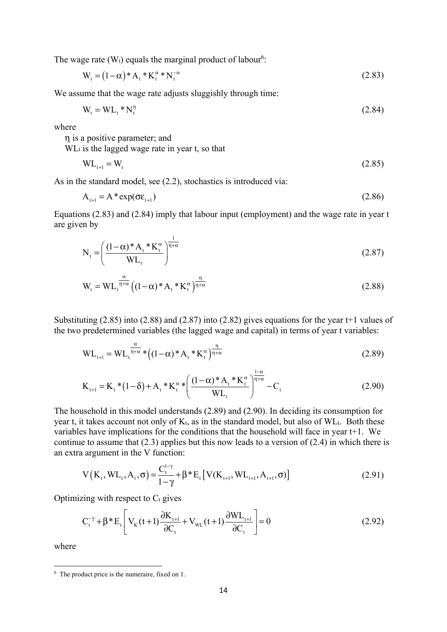The wage rate  $(W_t)$  equals the marginal product of labour<sup>6</sup>:

$$
W_{t} = (1 - \alpha)^{*} A_{t} {}^{*} K_{t}^{\alpha} {}^{*} N_{t}^{-\alpha}
$$
\n(2.83)

We assume that the wage rate adjusts sluggishly through time:

$$
W_t = WL_t * N_t^\eta \tag{2.84}
$$

where

η is a positive parameter; and

 $WL<sub>t</sub>$  is the lagged wage rate in year t, so that

$$
WL_{t+1} = W_t \tag{2.85}
$$

As in the standard model, see (2.2), stochastics is introduced via:

$$
A_{t+1} = A^* \exp(\sigma \varepsilon_{t+1})
$$
\n(2.86)

Equations (2.83) and (2.84) imply that labour input (employment) and the wage rate in year t are given by

$$
N_{t} = \left(\frac{(1-\alpha)^{*}A_{t}^{*}K_{t}^{\alpha}}{WL_{t}}\right)^{\frac{1}{\eta+\alpha}}
$$
\n(2.87)

$$
W_{t} = WL_{t}^{\frac{\alpha}{\eta + \alpha}} \left( (1 - \alpha)^{*} A_{t}^{*} K_{t}^{\alpha} \right)^{\frac{\eta}{\eta + \alpha}}
$$
(2.88)

Substituting (2.85) into (2.88) and (2.87) into (2.82) gives equations for the year t+1 values of the two predetermined variables (the lagged wage and capital) in terms of year t variables:

$$
WL_{t+1} = WL_{t}^{\frac{\alpha}{\eta + \alpha}} * ((1 - \alpha) * A_{t} * K_{t}^{\alpha})^{\frac{\eta}{\eta + \alpha}}
$$
(2.89)

$$
K_{t+1} = K_t * (1 - \delta) + A_t * K_t^{\alpha} * \left( \frac{(1 - \alpha)^* A_t * K_t^{\alpha}}{WL_t} \right)^{\frac{1 - \alpha}{\eta + \alpha}} - C_t
$$
 (2.90)

The household in this model understands (2.89) and (2.90). In deciding its consumption for year t, it takes account not only of  $K_t$ , as in the standard model, but also of  $WL_t$ . Both these variables have implications for the conditions that the household will face in year t+1. We continue to assume that  $(2.3)$  applies but this now leads to a version of  $(2.4)$  in which there is an extra argument in the V function:

$$
V(Kt, WLt, At, \sigma) = \frac{C_t^{1-\gamma}}{1-\gamma} + \beta * E_t [V(Kt+1, WLt+1, At+1, \sigma)]
$$
(2.91)

Optimizing with respect to  $C_t$  gives

$$
C_{t}^{-\gamma} + \beta * E_{t} \left[ V_{K}(t+1) \frac{\partial K_{t+1}}{\partial C_{t}} + V_{WL}(t+1) \frac{\partial W L_{t+1}}{\partial C_{t}} \right] = 0
$$
\n(2.92)

where

 $6$  The product price is the numeraire, fixed on 1.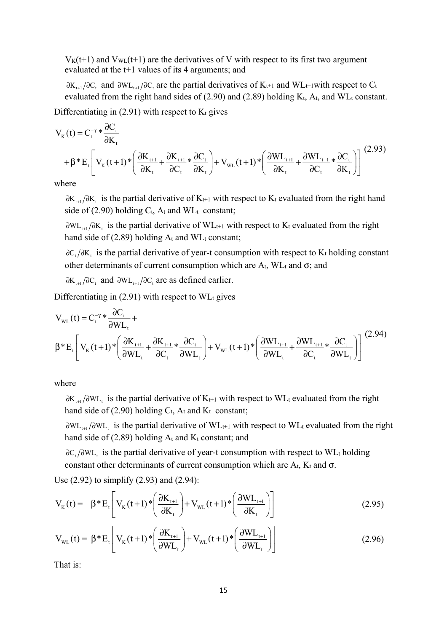$V_{K}(t+1)$  and  $V_{W}(t+1)$  are the derivatives of V with respect to its first two argument evaluated at the t+1 values of its 4 arguments; and

 $\partial K_{t+1}/\partial C_t$  and  $\partial W_{t+1}/\partial C_t$  are the partial derivatives of K<sub>t+1</sub> and WL<sub>t+1</sub>with respect to C<sub>t</sub> evaluated from the right hand sides of  $(2.90)$  and  $(2.89)$  holding  $K_t$ ,  $A_t$ , and  $WL_t$  constant.

Differentiating in  $(2.91)$  with respect to  $K_t$  gives

$$
V_{K}(t) = C_{t}^{-\gamma} * \frac{\partial C_{t}}{\partial K_{t}}
$$
  
+ $\beta * E_{t} \left[ V_{K}(t+1) * \left( \frac{\partial K_{t+1}}{\partial K_{t}} + \frac{\partial K_{t+1}}{\partial C_{t}} * \frac{\partial C_{t}}{\partial K_{t}} \right) + V_{WL}(t+1) * \left( \frac{\partial WL_{t+1}}{\partial K_{t}} + \frac{\partial WL_{t+1}}{\partial C_{t}} * \frac{\partial C_{t}}{\partial K_{t}} \right) \right]^{(2.93)}$ 

where

 $\partial K_{t+1}/\partial K_t$  is the partial derivative of K<sub>t+1</sub> with respect to K<sub>t</sub> evaluated from the right hand side of (2.90) holding  $C_t$ , A<sub>t</sub> and WL<sub>t</sub> constant;

 $\partial W_{t_{t+1}}/\partial K_t$  is the partial derivative of WL<sub>t+1</sub> with respect to K<sub>t</sub> evaluated from the right hand side of  $(2.89)$  holding  $A_t$  and WL<sub>t</sub> constant;

 $\partial C_*/\partial K$ , is the partial derivative of year-t consumption with respect to K<sub>t</sub> holding constant other determinants of current consumption which are  $A_t$ , WLt and  $\sigma$ ; and

 $\partial K_{t+1}/\partial C_t$  and  $\partial W_{t+1}/\partial C_t$  are as defined earlier.

Differentiating in  $(2.91)$  with respect to WL<sub>t</sub> gives

$$
V_{WL}(t) = C_{t}^{-\gamma} \sqrt{\frac{\partial C_{t}}{\partial WL_{t}}} + \beta \sqrt{\frac{\partial K_{t+1}}{\partial WL_{t}}} + \frac{\partial K_{t+1}}{\partial C_{t}} \sqrt{\frac{\partial C_{t}}{\partial WL_{t}}} + V_{WL}(t+1) \sqrt{\frac{\partial WL_{t+1}}{\partial WL_{t}}} + \frac{\partial WL_{t+1}}{\partial C_{t}} \sqrt{\frac{\partial C_{t}}{\partial WL_{t}}} \left[ V_{K}(t+1) \sqrt{\frac{\partial K_{t+1}}{\partial WL_{t}}} + V_{WL}(t+1) \sqrt{\frac{\partial WL_{t+1}}{\partial WL_{t}}} + \frac{\partial VL_{t+1}}{\partial C_{t}} \sqrt{\frac{\partial C_{t}}{\partial WL_{t}}} \right] (2.94)
$$

where

 $\partial K_{t+1}/\partial WL$ , is the partial derivative of K<sub>t+1</sub> with respect to WL<sub>t</sub> evaluated from the right hand side of (2.90) holding  $C_t$ ,  $A_t$  and  $K_t$  constant;

 $\partial W_{t+1}/\partial W_{t}$  is the partial derivative of WL<sub>t+1</sub> with respect to WL<sub>t</sub> evaluated from the right hand side of  $(2.89)$  holding  $A_t$  and  $K_t$  constant; and

∂C, /∂WL, is the partial derivative of year-t consumption with respect to WLt holding constant other determinants of current consumption which are  $A_t$ ,  $K_t$  and  $\sigma$ .

Use (2.92) to simplify (2.93) and (2.94):

$$
V_{K}(t) = \beta * E_{t} \left[ V_{K}(t+1) * \left( \frac{\partial K_{t+1}}{\partial K_{t}} \right) + V_{WL}(t+1) * \left( \frac{\partial W L_{t+1}}{\partial K_{t}} \right) \right]
$$
(2.95)

$$
V_{\text{WL}}(t) = \beta * E_t \left[ V_K(t+1) * \left( \frac{\partial K_{t+1}}{\partial WL_t} \right) + V_{\text{WL}}(t+1) * \left( \frac{\partial WL_{t+1}}{\partial WL_t} \right) \right]
$$
(2.96)

That is: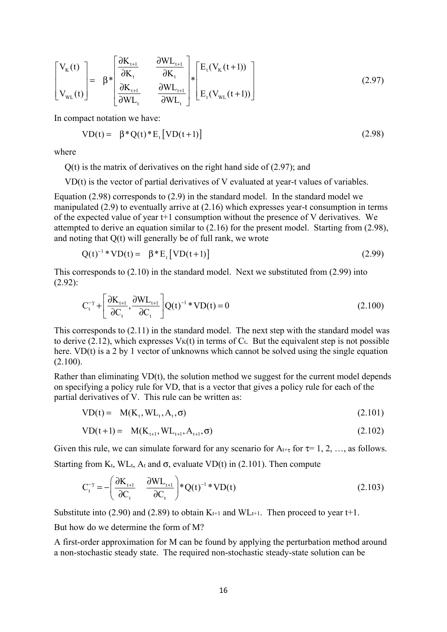$$
\begin{bmatrix}\nV_{K}(t) \\
V_{WL}(t)\n\end{bmatrix} = \beta * \begin{bmatrix}\n\frac{\partial K_{t+1}}{\partial K_{t}} & \frac{\partial W L_{t+1}}{\partial K_{t}} \\
\frac{\partial K_{t+1}}{\partial W L_{t}} & \frac{\partial W L_{t+1}}{\partial W L_{t}}\n\end{bmatrix} * \begin{bmatrix}\nE_{t}(V_{K}(t+1)) \\
E_{t}(V_{WL}(t+1))\n\end{bmatrix}
$$
\n(2.97)

In compact notation we have:

$$
VD(t) = \beta^*Q(t)^*E_t[VD(t+1)] \qquad (2.98)
$$

where

Q(t) is the matrix of derivatives on the right hand side of (2.97); and

VD(t) is the vector of partial derivatives of V evaluated at year-t values of variables.

Equation (2.98) corresponds to (2.9) in the standard model. In the standard model we manipulated (2.9) to eventually arrive at (2.16) which expresses year-t consumption in terms of the expected value of year t+1 consumption without the presence of V derivatives. We attempted to derive an equation similar to (2.16) for the present model. Starting from (2.98), and noting that Q(t) will generally be of full rank, we wrote

$$
Q(t)^{-1} * VD(t) = \beta * E_t [VD(t+1)] \qquad (2.99)
$$

This corresponds to (2.10) in the standard model. Next we substituted from (2.99) into (2.92):

$$
C_t^{-\gamma} + \left[\frac{\partial K_{t+1}}{\partial C_t}, \frac{\partial W L_{t+1}}{\partial C_t}\right] Q(t)^{-1} * V D(t) = 0
$$
\n(2.100)

This corresponds to (2.11) in the standard model. The next step with the standard model was to derive (2.12), which expresses  $V_K(t)$  in terms of  $C_t$ . But the equivalent step is not possible here. VD(t) is a 2 by 1 vector of unknowns which cannot be solved using the single equation (2.100).

Rather than eliminating VD(t), the solution method we suggest for the current model depends on specifying a policy rule for VD, that is a vector that gives a policy rule for each of the partial derivatives of V. This rule can be written as:

$$
VD(t) = M(Kt, WLt, At, \sigma)
$$
\n(2.101)

$$
VD(t+1) = M(K_{t+1}, WL_{t+1}, A_{t+1}, \sigma)
$$
\n(2.102)

Given this rule, we can simulate forward for any scenario for  $A_{t+\tau}$  for  $\tau=1, 2, \ldots$  as follows. Starting from K<sub>t</sub>, WL<sub>t</sub>, A<sub>t</sub> and  $\sigma$ , evaluate VD(t) in (2.101). Then compute

$$
C_t^{-\gamma} = -\left(\frac{\partial K_{t+1}}{\partial C_t} \quad \frac{\partial W L_{t+1}}{\partial C_t}\right)^* Q(t)^{-1}^* V D(t)
$$
\n(2.103)

Substitute into (2.90) and (2.89) to obtain  $K_{t+1}$  and  $WL_{t+1}$ . Then proceed to year t+1.

But how do we determine the form of M?

A first-order approximation for M can be found by applying the perturbation method around a non-stochastic steady state. The required non-stochastic steady-state solution can be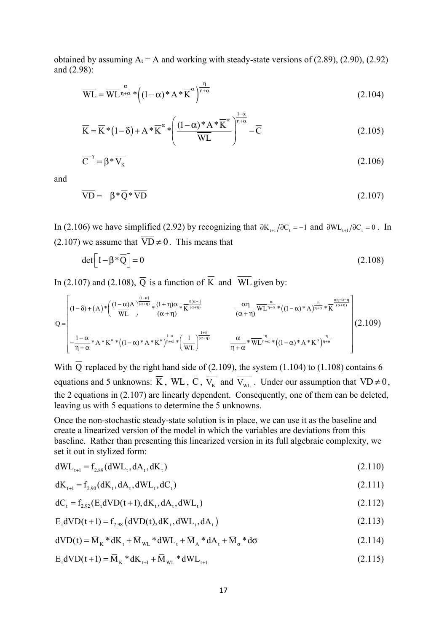obtained by assuming  $A_t = A$  and working with steady-state versions of (2.89), (2.90), (2.92) and (2.98):

$$
\overline{\text{WL}} = \overline{\text{WL}}^{\frac{\alpha}{\eta + \alpha}} * \left( (1 - \alpha)^* \mathbf{A}^* \overline{\mathbf{K}}^{\alpha} \right)^{\frac{\eta}{\eta + \alpha}}
$$
(2.104)

$$
\overline{K} = \overline{K} * (1 - \delta) + A * \overline{K}^{\alpha} * \left( \frac{(1 - \alpha)^* A * \overline{K}^{\alpha}}{\overline{WL}} \right)^{\frac{1 - \alpha}{\eta + \alpha}} - \overline{C}
$$
(2.105)

$$
\overline{C}^{-\gamma} = \beta \ast \overline{V_K} \tag{2.106}
$$

and

$$
\overline{VD} = \beta^* \overline{Q}^* \overline{VD} \tag{2.107}
$$

In (2.106) we have simplified (2.92) by recognizing that  $\partial K_{t+1}/\partial C_t = -1$  and  $\partial W_{t+1}/\partial C_t = 0$ . In (2.107) we assume that  $\overline{VD} \neq 0$ . This means that

$$
\det \left[ I - \beta^* \overline{Q} \right] = 0 \tag{2.108}
$$

In (2.107) and (2.108),  $\overline{Q}$  is a function of  $\overline{K}$  and  $\overline{WL}$  given by:

$$
\overline{Q} = \begin{bmatrix} (1-\delta) + (A) * \left( \frac{(1-\alpha)A}{\overline{WL}} \right)^{\frac{(1-\alpha)}{(\alpha+\eta)}} * \frac{(1+\eta)\alpha}{(\alpha+\eta)} * \overline{K}^{\frac{\eta(\alpha-1)}{(\alpha+\eta)}} & \frac{\alpha\eta}{(\alpha+\eta)} \overline{WL}^{\frac{\alpha}{\eta+\alpha}} * ((1-\alpha) * A)^{\frac{\eta}{\eta+\alpha}} * \overline{K}^{\frac{\alpha\eta-\alpha-\eta}{(\alpha+\eta)}} \\ & & \frac{\alpha\eta}{(\alpha+\eta)} \overline{WL}^{\frac{\alpha}{\eta+\alpha}} * ((1-\alpha) * A)^{\frac{\eta}{\eta+\alpha}} * \overline{K}^{\frac{\alpha\eta-\alpha-\eta}{(\alpha+\eta)}} \\ & & & \frac{\alpha}{\eta+\alpha} * \overline{WL}^{\frac{\eta}{\eta+\alpha}} * ((1-\alpha) * A * \overline{K}^{\alpha})^{\frac{\eta}{\eta+\alpha}} \end{bmatrix} (2.109)
$$

With  $\overline{Q}$  replaced by the right hand side of (2.109), the system (1.104) to (1.108) contains 6 equations and 5 unknowns:  $\overline{K}$ ,  $\overline{WL}$ ,  $\overline{C}$ ,  $\overline{V_{K}}$  and  $\overline{V_{WL}}$ . Under our assumption that  $\overline{VD}\neq 0$ , the 2 equations in (2.107) are linearly dependent. Consequently, one of them can be deleted, leaving us with 5 equations to determine the 5 unknowns.

Once the non-stochastic steady-state solution is in place, we can use it as the baseline and create a linearized version of the model in which the variables are deviations from this baseline. Rather than presenting this linearized version in its full algebraic complexity, we set it out in stylized form:

$$
dW L_{t+1} = f_{2.89}(dW L_{t}, dA_{t}, dK_{t})
$$
\n(2.110)

$$
dK_{t+1} = f_{2.90}(dK_t, dA_t, dWL_t, dC_t)
$$
\n(2.111)

$$
dC_{t} = f_{2.92}(E_{t}dVD(t+1), dK_{t}, dA_{t}, dWL_{t})
$$
\n(2.112)

$$
E_{t}dVD(t+1) = f_{2.98}(dVD(t), dK_{t}, dWL_{t}, dA_{t})
$$
\n(2.113)

$$
dVD(t) = \overline{M}_{K} * dK_{t} + \overline{M}_{WL} * dWL_{t} + \overline{M}_{A} * dA_{t} + \overline{M}_{\sigma} * d\sigma
$$
\n(2.114)

$$
E_{t}dVD(t+1) = \overline{M}_{K} * dK_{t+1} + \overline{M}_{WL} * dWL_{t+1}
$$
\n(2.115)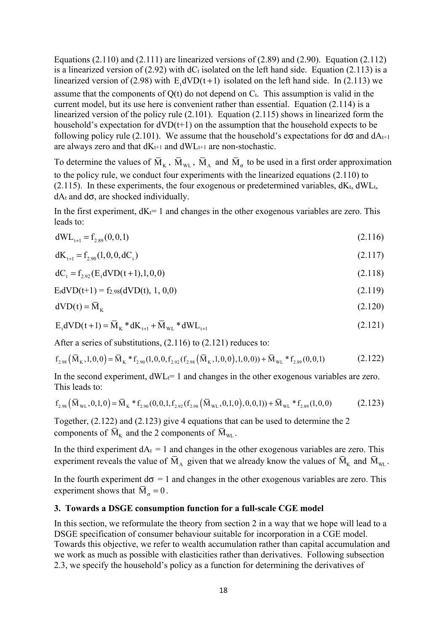Equations  $(2.110)$  and  $(2.111)$  are linearized versions of  $(2.89)$  and  $(2.90)$ . Equation  $(2.112)$ is a linearized version of (2.92) with  $dC_t$  isolated on the left hand side. Equation (2.113) is a linearized version of (2.98) with  $E_dVD(t+1)$  isolated on the left hand side. In (2.113) we assume that the components of  $Q(t)$  do not depend on  $C_t$ . This assumption is valid in the current model, but its use here is convenient rather than essential. Equation (2.114) is a linearized version of the policy rule (2.101). Equation (2.115) shows in linearized form the household's expectation for  $dVD(t+1)$  on the assumption that the household expects to be following policy rule (2.101). We assume that the household's expectations for  $d\sigma$  and  $dA_{t+1}$ are always zero and that  $dK_{t+1}$  and  $dW_{t+1}$  are non-stochastic.

To determine the values of  $\overline{M}_{K}$ ,  $\overline{M}_{WL}$ ,  $\overline{M}_{A}$  and  $\overline{M}_{\sigma}$  to be used in a first order approximation to the policy rule, we conduct four experiments with the linearized equations (2.110) to  $(2.115)$ . In these experiments, the four exogenous or predetermined variables,  $dK_t$ ,  $dW$ L<sub>t</sub>,  $dA_t$  and  $d\sigma$ , are shocked individually.

In the first experiment,  $dK_t= 1$  and changes in the other exogenous variables are zero. This leads to:

$$
dW_{t+1} = f_{2.89}(0,0,1) \tag{2.116}
$$

$$
dK_{t+1} = f_{2.90}(1, 0, 0, dC_t)
$$
\n(2.117)

$$
dC_t = f_{2.92}(E_t dVD(t+1), 1, 0, 0)
$$
\n(2.118)

$$
E_t dVD(t+1) = f_{2.98}(dVD(t), 1, 0, 0)
$$
\n(2.119)

$$
dVD(t) = \overline{M}_K
$$
\n(2.120)

$$
E_t dVD(t+1) = \overline{M}_K * dK_{t+1} + \overline{M}_{WL} * dWL_{t+1}
$$
\n(2.121)

After a series of substitutions, (2.116) to (2.121) reduces to:

$$
f_{2.98}(\overline{M}_{K},1,0,0) = \overline{M}_{K} * f_{2.90}(1,0,0,f_{2.92}(f_{2.98}(\overline{M}_{K},1,0,0),1,0,0)) + \overline{M}_{WL} * f_{2.89}(0,0,1)
$$
(2.122)

In the second experiment,  $dW_{L} = 1$  and changes in the other exogenous variables are zero. This leads to:

$$
f_{2.98}(\bar{M}_{WL}, 0, 1, 0) = \bar{M}_{K} * f_{2.90}(0, 0, 1, f_{2.92}(f_{2.98}(\bar{M}_{WL}, 0, 1, 0), 0, 0, 1)) + \bar{M}_{WL} * f_{2.89}(1, 0, 0)
$$
(2.123)

Together, (2.122) and (2.123) give 4 equations that can be used to determine the 2 components of  $\overline{M}_{K}$  and the 2 components of  $\overline{M}_{W}$ .

In the third experiment  $dA_t = 1$  and changes in the other exogenous variables are zero. This experiment reveals the value of  $\overline{M}_A$  given that we already know the values of  $\overline{M}_K$  and  $\overline{M}_{WL}$ .

In the fourth experiment  $d\sigma = 1$  and changes in the other exogenous variables are zero. This experiment shows that  $\overline{M}_0 = 0$ .

#### **3. Towards a DSGE consumption function for a full-scale CGE model**

In this section, we reformulate the theory from section 2 in a way that we hope will lead to a DSGE specification of consumer behaviour suitable for incorporation in a CGE model. Towards this objective, we refer to wealth accumulation rather than capital accumulation and we work as much as possible with elasticities rather than derivatives. Following subsection 2.3, we specify the household's policy as a function for determining the derivatives of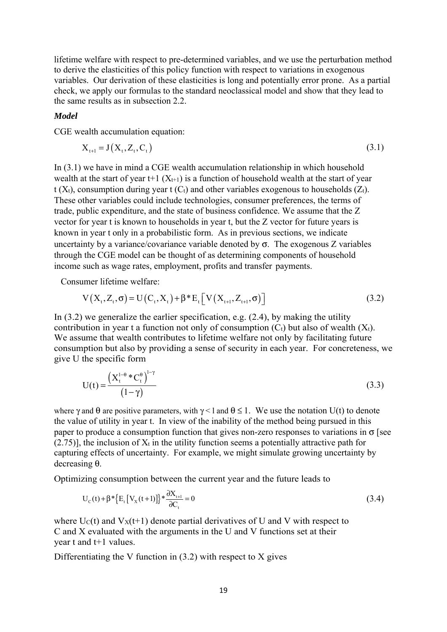lifetime welfare with respect to pre-determined variables, and we use the perturbation method to derive the elasticities of this policy function with respect to variations in exogenous variables. Our derivation of these elasticities is long and potentially error prone. As a partial check, we apply our formulas to the standard neoclassical model and show that they lead to the same results as in subsection 2.2.

#### *Model*

CGE wealth accumulation equation:

$$
X_{t+1} = J(X_t, Z_t, C_t) \tag{3.1}
$$

In (3.1) we have in mind a CGE wealth accumulation relationship in which household wealth at the start of year t+1  $(X_{t+1})$  is a function of household wealth at the start of year t ( $X_t$ ), consumption during year t ( $C_t$ ) and other variables exogenous to households ( $Z_t$ ). These other variables could include technologies, consumer preferences, the terms of trade, public expenditure, and the state of business confidence. We assume that the Z vector for year t is known to households in year t, but the Z vector for future years is known in year t only in a probabilistic form. As in previous sections, we indicate uncertainty by a variance/covariance variable denoted by  $\sigma$ . The exogenous Z variables through the CGE model can be thought of as determining components of household income such as wage rates, employment, profits and transfer payments.

Consumer lifetime welfare:

$$
V(X_t, Z_t, \sigma) = U(C_t, X_t) + \beta^* E_t[V(X_{t+1}, Z_{t+1}, \sigma)]
$$
\n(3.2)

In (3.2) we generalize the earlier specification, e.g. (2.4), by making the utility contribution in year t a function not only of consumption  $(C_t)$  but also of wealth  $(X_t)$ . We assume that wealth contributes to lifetime welfare not only by facilitating future consumption but also by providing a sense of security in each year. For concreteness, we give U the specific form

$$
U(t) = \frac{\left(X_t^{1-\theta} * C_t^{\theta}\right)^{1-\gamma}}{(1-\gamma)}
$$
\n(3.3)

where  $\gamma$  and  $\theta$  are positive parameters, with  $\gamma$  < 1 and  $\theta \leq 1$ . We use the notation U(t) to denote the value of utility in year t. In view of the inability of the method being pursued in this paper to produce a consumption function that gives non-zero responses to variations in  $\sigma$  [see  $(2.75)$ ], the inclusion of  $X_t$  in the utility function seems a potentially attractive path for capturing effects of uncertainty. For example, we might simulate growing uncertainty by decreasing θ.

Optimizing consumption between the current year and the future leads to

$$
U_{c}(t) + \beta * \{E_{t}[V_{x}(t+1)]\} * \frac{\partial X_{t+1}}{\partial C_{t}} = 0
$$
\n(3.4)

where  $U_C(t)$  and  $V_X(t+1)$  denote partial derivatives of U and V with respect to C and X evaluated with the arguments in the U and V functions set at their year t and t+1 values.

Differentiating the V function in  $(3.2)$  with respect to X gives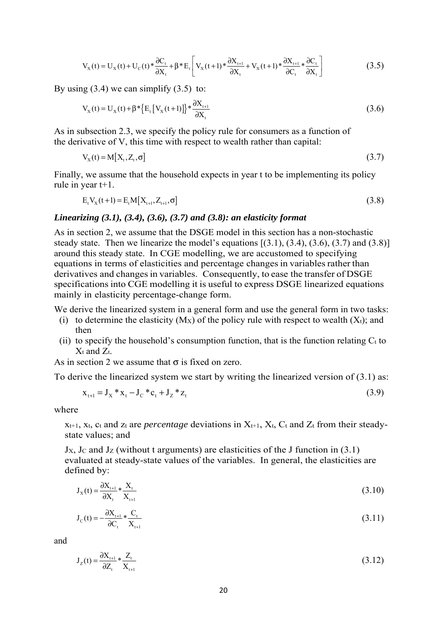$$
V_{X}(t) = U_{X}(t) + U_{C}(t) * \frac{\partial C_{t}}{\partial X_{t}} + \beta * E_{t} \left[ V_{X}(t+1) * \frac{\partial X_{t+1}}{\partial X_{t}} + V_{X}(t+1) * \frac{\partial X_{t+1}}{\partial C_{t}} * \frac{\partial C_{t}}{\partial X_{t}} \right]
$$
(3.5)

By using  $(3.4)$  we can simplify  $(3.5)$  to:

$$
V_{X}(t) = U_{X}(t) + \beta * \{E_{t}[V_{X}(t+1)]\} * \frac{\partial X_{t+1}}{\partial X_{t}}
$$
(3.6)

As in subsection 2.3, we specify the policy rule for consumers as a function of the derivative of V, this time with respect to wealth rather than capital:

$$
V_{X}(t) = M[X_{t}, Z_{t}, \sigma]
$$
\n(3.7)

Finally, we assume that the household expects in year t to be implementing its policy rule in year t+1.

$$
E_{t}V_{X}(t+1) = E_{t}M[X_{t+1}, Z_{t+1}, \sigma]
$$
\n(3.8)

#### *Linearizing (3.1), (3.4), (3.6), (3.7) and (3.8): an elasticity format*

As in section 2, we assume that the DSGE model in this section has a non-stochastic steady state. Then we linearize the model's equations  $[(3.1), (3.4), (3.6), (3.7)$  and  $(3.8)]$ around this steady state. In CGE modelling, we are accustomed to specifying equations in terms of elasticities and percentage changes in variables rather than derivatives and changes in variables. Consequently, to ease the transfer of DSGE specifications into CGE modelling it is useful to express DSGE linearized equations mainly in elasticity percentage-change form.

We derive the linearized system in a general form and use the general form in two tasks:

- (i) to determine the elasticity  $(M_X)$  of the policy rule with respect to wealth  $(X_t)$ ; and then
- (ii) to specify the household's consumption function, that is the function relating  $C_t$  to  $X_t$  and  $Z_t$ .

As in section 2 we assume that  $\sigma$  is fixed on zero.

To derive the linearized system we start by writing the linearized version of  $(3.1)$  as:

$$
x_{t+1} = J_X * x_t - J_C * c_t + J_Z * z_t
$$
\n(3.9)

where

 $x_{t+1}$ ,  $x_t$ ,  $c_t$  and  $z_t$  are *percentage* deviations in  $X_{t+1}$ ,  $X_t$ ,  $C_t$  and  $Z_t$  from their steadystate values; and

 $Jx$ , Jc and Jz (without t arguments) are elasticities of the J function in (3.1) evaluated at steady-state values of the variables. In general, the elasticities are defined by:

$$
J_{X}(t) = \frac{\partial X_{t+1}}{\partial X_{t}} * \frac{X_{t}}{X_{t+1}}
$$
(3.10)

$$
J_c(t) = -\frac{\partial X_{t+1}}{\partial C_t} * \frac{C_t}{X_{t+1}}
$$
(3.11)

and

$$
J_{Z}(t) = \frac{\partial X_{t+1}}{\partial Z_t} * \frac{Z_t}{X_{t+1}}
$$
(3.12)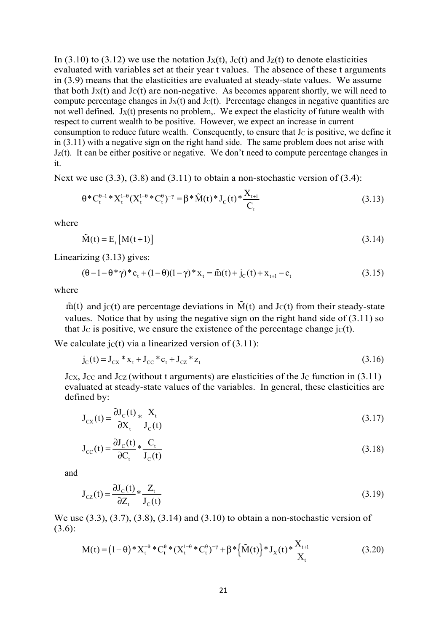In (3.10) to (3.12) we use the notation  $J_X(t)$ ,  $J_Y(t)$  and  $J_Z(t)$  to denote elasticities evaluated with variables set at their year t values. The absence of these t arguments in (3.9) means that the elasticities are evaluated at steady-state values. We assume that both  $J_X(t)$  and  $J_C(t)$  are non-negative. As becomes apparent shortly, we will need to compute percentage changes in  $J_X(t)$  and  $J_C(t)$ . Percentage changes in negative quantities are not well defined.  $J_X(t)$  presents no problem,. We expect the elasticity of future wealth with respect to current wealth to be positive. However, we expect an increase in current consumption to reduce future wealth. Consequently, to ensure that  $J<sub>C</sub>$  is positive, we define it in (3.11) with a negative sign on the right hand side. The same problem does not arise with  $J_Z(t)$ . It can be either positive or negative. We don't need to compute percentage changes in it.

Next we use  $(3.3)$ ,  $(3.8)$  and  $(3.11)$  to obtain a non-stochastic version of  $(3.4)$ :

$$
\theta^* C_t^{\theta-1}^* X_t^{1-\theta} (X_t^{1-\theta}^* C_t^{\theta})^{-\gamma} = \beta^* \tilde{M}(t)^* J_c(t)^* \frac{X_{t+1}}{C_t}
$$
\n(3.13)

where

$$
\tilde{M}(t) = E_t [M(t+1)] \tag{3.14}
$$

Linearizing (3.13) gives:

$$
(\theta - 1 - \theta^* \gamma)^* c_t + (1 - \theta)(1 - \gamma)^* x_t = \tilde{m}(t) + j_c(t) + x_{t+1} - c_t
$$
\n(3.15)

where

 $\tilde{m}(t)$  and jc(t) are percentage deviations in  $\tilde{M}(t)$  and Jc(t) from their steady-state values. Notice that by using the negative sign on the right hand side of (3.11) so that J<sub>C</sub> is positive, we ensure the existence of the percentage change  $i c(t)$ .

We calculate  $\text{jc}(t)$  via a linearized version of (3.11):

$$
j_{C}(t) = J_{CX} * x_{t} + J_{CC} * c_{t} + J_{CZ} * z_{t}
$$
\n(3.16)

Jcx, Jcc and Jcz (without t arguments) are elasticities of the Jc function in  $(3.11)$ evaluated at steady-state values of the variables. In general, these elasticities are defined by:

$$
J_{CX}(t) = \frac{\partial J_C(t)}{\partial X_t} * \frac{X_t}{J_C(t)}
$$
(3.17)

$$
J_{\rm CC}(t) = \frac{\partial J_{\rm C}(t)}{\partial C_{\rm t}} * \frac{C_{\rm t}}{J_{\rm C}(t)}
$$
(3.18)

and

$$
J_{CZ}(t) = \frac{\partial J_C(t)}{\partial Z_t} * \frac{Z_t}{J_C(t)}
$$
(3.19)

We use (3.3), (3.7), (3.8), (3.14) and (3.10) to obtain a non-stochastic version of (3.6):

$$
M(t) = (1 - \theta) * X_t^{-\theta} * C_t^{\theta} * (X_t^{1-\theta} * C_t^{\theta})^{-\gamma} + \beta * {\tilde{M}(t)} * J_X(t) * \frac{X_{t+1}}{X_t}
$$
(3.20)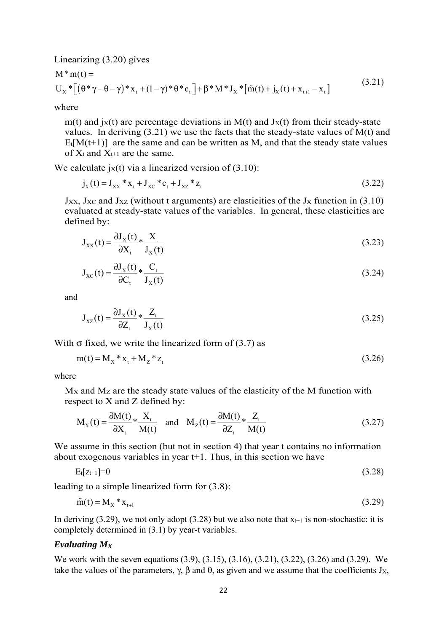Linearizing (3.20) gives

$$
M * m(t) =
$$
  
\n
$$
U_x * [( \theta * \gamma - \theta - \gamma) * x_t + (1 - \gamma) * \theta * c_t ] + \beta * M * J_x * [ \tilde{m}(t) + j_x(t) + x_{t+1} - x_t ]
$$
\n(3.21)

where

m(t) and  $iX(t)$  are percentage deviations in M(t) and  $JX(t)$  from their steady-state values. In deriving  $(3.21)$  we use the facts that the steady-state values of M(t) and  $E_t[M(t+1)]$  are the same and can be written as M, and that the steady state values of  $X_t$  and  $X_{t+1}$  are the same.

We calculate  $i(x(t))$  via a linearized version of (3.10):

$$
j_{X}(t) = J_{XX} * x_{t} + J_{XC} * c_{t} + J_{XZ} * z_{t}
$$
\n(3.22)

 $J_{XX}$ ,  $J_{XC}$  and  $J_{XZ}$  (without t arguments) are elasticities of the  $J_X$  function in (3.10) evaluated at steady-state values of the variables. In general, these elasticities are defined by:

$$
J_{XX}(t) = \frac{\partial J_X(t)}{\partial X_t} * \frac{X_t}{J_X(t)}
$$
(3.23)

$$
J_{XC}(t) = \frac{\partial J_X(t)}{\partial C_t} * \frac{C_t}{J_X(t)}
$$
(3.24)

and

$$
J_{xz}(t) = \frac{\partial J_x(t)}{\partial Z_t} * \frac{Z_t}{J_x(t)}
$$
(3.25)

With  $\sigma$  fixed, we write the linearized form of (3.7) as

$$
m(t) = M_X * x_t + M_Z * z_t
$$
\n(3.26)

where

MX and MZ are the steady state values of the elasticity of the M function with respect to X and Z defined by:

$$
M_X(t) = \frac{\partial M(t)}{\partial X_t} * \frac{X_t}{M(t)} \quad \text{and} \quad M_Z(t) = \frac{\partial M(t)}{\partial Z_t} * \frac{Z_t}{M(t)}
$$
(3.27)

We assume in this section (but not in section 4) that year t contains no information about exogenous variables in year t+1. Thus, in this section we have

$$
E_t[z_{t+1}] = 0 \tag{3.28}
$$

leading to a simple linearized form for (3.8):

$$
\tilde{m}(t) = M_X * x_{t+1} \tag{3.29}
$$

In deriving (3.29), we not only adopt (3.28) but we also note that  $x_{t+1}$  is non-stochastic: it is completely determined in (3.1) by year-t variables.

#### *Evaluating MX*

We work with the seven equations (3.9), (3.15), (3.16), (3.21), (3.22), (3.26) and (3.29). We take the values of the parameters,  $\gamma$ ,  $\beta$  and  $\theta$ , as given and we assume that the coefficients J<sub>X</sub>,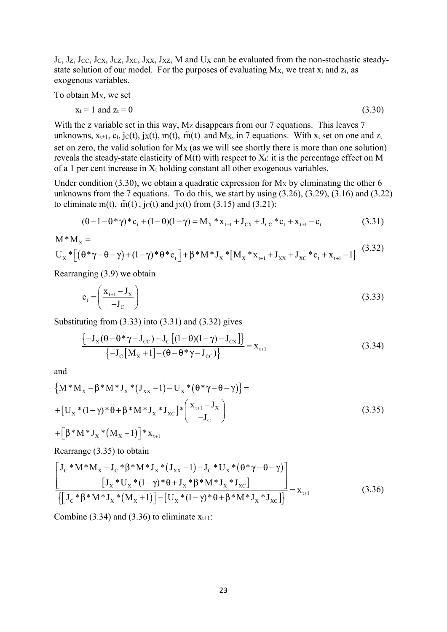Jc, Jz, Jcc, Jcx, Jcz, Jxc, Jxx, Jxz, M and Ux can be evaluated from the non-stochastic steadystate solution of our model. For the purposes of evaluating  $Mx$ , we treat  $x_t$  and  $z_t$ , as exogenous variables.

To obtain MX, we set

$$
x_t = 1 \text{ and } z_t = 0 \tag{3.30}
$$

With the z variable set in this way, Mz disappears from our 7 equations. This leaves 7 unknowns,  $x_{t+1}$ ,  $c_t$ , j $c(t)$ , j $x(t)$ ,  $m(t)$ ,  $\tilde{m}(t)$  and Mx, in 7 equations. With  $x_t$  set on one and  $z_t$ set on zero, the valid solution for  $Mx$  (as we will see shortly there is more than one solution) reveals the steady-state elasticity of  $M(t)$  with respect to  $X_t$ : it is the percentage effect on M of a 1 per cent increase in  $X_t$  holding constant all other exogenous variables.

Under condition (3.30), we obtain a quadratic expression for  $M_X$  by eliminating the other 6 unknowns from the 7 equations. To do this, we start by using  $(3.26)$ ,  $(3.29)$ ,  $(3.16)$  and  $(3.22)$ to eliminate m(t),  $\tilde{m}(t)$ ,  $\tilde{j}(t)$  and  $\tilde{j}(t)$  from (3.15) and (3.21):

$$
(\theta - 1 - \theta^* \gamma)^* c_t + (1 - \theta)(1 - \gamma) = M_X * x_{t+1} + J_{CX} + J_{CC} * c_t + x_{t+1} - c_t
$$
\n(3.31)

$$
M^*M_x = U_x^*[(\theta^*\gamma - \theta - \gamma) + (1 - \gamma)^*\theta^*c_t] + \beta^*M^*J_x^*[M_x^*X_{t+1} + J_{xx} + J_{xc}^*c_t + X_{t+1} - 1] \tag{3.32}
$$

Rearranging (3.9) we obtain

$$
c_{t} = \left(\frac{\mathbf{x}_{t+1} - \mathbf{J}_{\mathbf{x}}}{-\mathbf{J}_{\mathbf{C}}}\right) \tag{3.33}
$$

Substituting from  $(3.33)$  into  $(3.31)$  and  $(3.32)$  gives

$$
\frac{\{-J_{x}(\theta - \theta^{*}\gamma - J_{cc}) - J_{c}[(1-\theta)(1-\gamma) - J_{cx}]\}}{\{-J_{c}[M_{x} + 1] - (\theta - \theta^{*}\gamma - J_{cc})\}} = x_{t+1}
$$
\n(3.34)

and

$$
\left\{ M^* M_X - \beta^* M^* J_X^* (J_{XX} - 1) - U_X^* (\theta^* \gamma - \theta - \gamma) \right\} =
$$
  
+ 
$$
\left[ U_X^* (1 - \gamma)^* \theta + \beta^* M^* J_X^* J_{XC} \right]^{*} \left( \frac{X_{t+1} - J_X}{-J_C} \right)
$$
  
+ 
$$
\left[ \beta^* M^* J_X^* (M_X + 1) \right]^{*} X_{t+1}
$$
 (3.35)

Rearrange (3.35) to obtain

$$
\frac{\left[J_{c} * M * M_{x} - J_{c} * \beta * M * J_{x} * (J_{xx} - 1) - J_{c} * U_{x} * (\theta * \gamma - \theta - \gamma)\right]}{-\left[J_{x} * U_{x} * (1 - \gamma) * \theta + J_{x} * \beta * M * J_{x} * J_{xc}\right]}}{\left\{\left[J_{c} * \beta * M * J_{x} * (M_{x} + 1)\right] - \left[U_{x} * (1 - \gamma) * \theta + \beta * M * J_{x} * J_{xc}\right]\right\}} = x_{t+1}
$$
(3.36)

Combine (3.34) and (3.36) to eliminate  $x_{t+1}$ :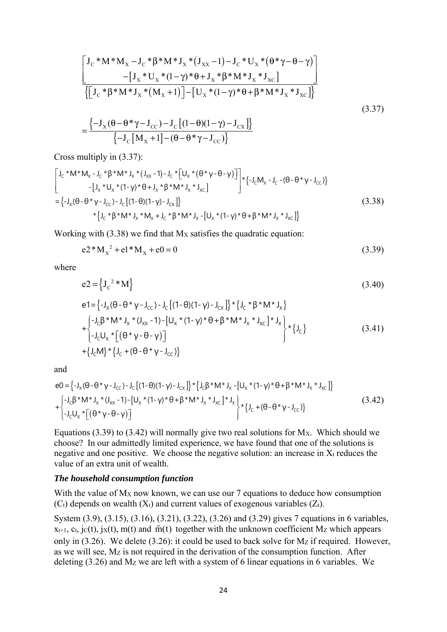$$
\begin{aligned}\n&\left[\mathbf{J}_{\rm C} * \mathbf{M} * \mathbf{M}_{\rm X} - \mathbf{J}_{\rm C} * \boldsymbol{\beta} * \mathbf{M} * \mathbf{J}_{\rm X} * (\mathbf{J}_{\rm XX} - 1) - \mathbf{J}_{\rm C} * \mathbf{U}_{\rm X} * (\boldsymbol{\theta} * \boldsymbol{\gamma} - \boldsymbol{\theta} - \boldsymbol{\gamma})\right] \\
&\quad - \left[\mathbf{J}_{\rm X} * \mathbf{U}_{\rm X} * (1 - \boldsymbol{\gamma}) * \boldsymbol{\theta} + \mathbf{J}_{\rm X} * \boldsymbol{\beta} * \mathbf{M} * \mathbf{J}_{\rm X} * \mathbf{J}_{\rm XC}\right] \\
&\quad \left\{\left[\mathbf{J}_{\rm C} * \boldsymbol{\beta} * \mathbf{M} * \mathbf{J}_{\rm X} * (\mathbf{M}_{\rm X} + 1)\right] - \left[\mathbf{U}_{\rm X} * (1 - \boldsymbol{\gamma}) * \boldsymbol{\theta} + \boldsymbol{\beta} * \mathbf{M} * \mathbf{J}_{\rm X} * \mathbf{J}_{\rm XC}\right]\right\} \\
&\quad = \frac{\left\{-\mathbf{J}_{\rm X}(\boldsymbol{\theta} - \boldsymbol{\theta} * \boldsymbol{\gamma} - \mathbf{J}_{\rm CC}) - \mathbf{J}_{\rm C}\left[(1 - \boldsymbol{\theta})(1 - \boldsymbol{\gamma}) - \mathbf{J}_{\rm CX}\right]\right\}}{\left\{-\mathbf{J}_{\rm C}\left[\mathbf{M}_{\rm X} + 1\right] - (\boldsymbol{\theta} - \boldsymbol{\theta} * \boldsymbol{\gamma} - \mathbf{J}_{\rm CC})\right\}}\n\end{aligned} \tag{3.37}
$$

Cross multiply in (3.37):

$$
\begin{bmatrix}\nJ_{C} * M * M_{x} - J_{C} * \beta * M * J_{x} * (J_{xx} - 1) - J_{C} * [U_{x} * (\theta * \gamma - \theta - \gamma)] \\
-(J_{x} * U_{x} * (1 - \gamma) * \theta + J_{x} * \beta * M * J_{x} * J_{xc}] \\
= \{-J_{x} (\theta - \theta * \gamma - J_{CC}) - J_{C} [(1 - \theta)(1 - \gamma) - J_{cx}]\} \\
* \{J_{C} * \beta * M * J_{x} * M_{x} + J_{C} * \beta * M * J_{x} - [U_{x} * (1 - \gamma) * \theta + \beta * M * J_{x} * J_{xc}]\}\n\end{bmatrix}
$$
\n(3.38)

Working with  $(3.38)$  we find that  $M_X$  satisfies the quadratic equation:

$$
e^{2} M_{x}^{2} + e^{2} M_{x} + e^{0} = 0
$$
\n(3.39)

where

$$
e2 = \left\{ J_c^2 * M \right\} \tag{3.40}
$$

$$
e1 = \left\{-J_{x}(\theta - \theta^{*}\gamma - J_{CC}) - J_{C}[(1 - \theta)(1 - \gamma) - J_{CX}]\right\} * \left\{J_{C} * \beta^{*}M^{*}J_{x}\right\}+ \left\{-J_{C}\beta^{*}M^{*}J_{x} * (J_{XX} - 1) - [U_{x} * (1 - \gamma) * \theta + \beta^{*}M^{*}J_{x} * J_{XC}]\right\} * \left\{J_{C}\right\}+ \left\{J_{C}U_{x} * [(\theta^{*}\gamma - \theta - \gamma)]\right]+ \left\{J_{C}M\right\} * \left\{J_{C} + (\theta - \theta^{*}\gamma - J_{CC})\right\}
$$
(3.41)

and

$$
e0 = \left\{-J_{x}(\theta - \theta^{*}\gamma - J_{CC}) - J_{C}[(1-\theta)(1-\gamma)-J_{CX}]\right\} * \left\{J_{C}\beta^{*}M^{*}J_{x} - [U_{x}*(1-\gamma)*\theta + \beta^{*}M^{*}J_{x} * J_{XC}]\right\}
$$
  
+ 
$$
\left\{-J_{C}\beta^{*}M^{*}J_{x} * (J_{XX} - 1) - [U_{x}*(1-\gamma)*\theta + \beta^{*}M^{*}J_{x} * J_{XC}]\right\} * \left\{J_{C} + (\theta - \theta^{*}\gamma - J_{CC})\right\}
$$
(3.42)

Equations  $(3.39)$  to  $(3.42)$  will normally give two real solutions for Mx. Which should we choose? In our admittedly limited experience, we have found that one of the solutions is negative and one positive. We choose the negative solution: an increase in  $X_t$  reduces the value of an extra unit of wealth.

#### *The household consumption function*

With the value of  $M_X$  now known, we can use our 7 equations to deduce how consumption  $(C_t)$  depends on wealth  $(X_t)$  and current values of exogenous variables  $(Z_t)$ .

System (3.9), (3.15), (3.16), (3.21), (3.22), (3.26) and (3.29) gives 7 equations in 6 variables,  $x_{t+1}$ ,  $c_t$ , jc(t), jx(t), m(t) and  $\tilde{m}(t)$  together with the unknown coefficient Mz which appears only in  $(3.26)$ . We delete  $(3.26)$ : it could be used to back solve for Mz if required. However, as we will see, Mz is not required in the derivation of the consumption function. After deleting  $(3.26)$  and Mz we are left with a system of 6 linear equations in 6 variables. We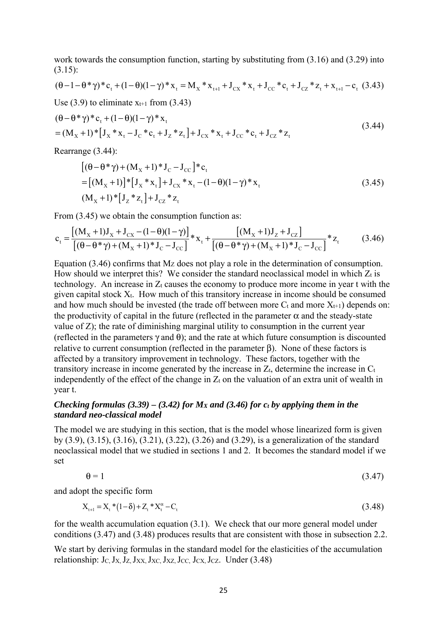work towards the consumption function, starting by substituting from (3.16) and (3.29) into (3.15):

$$
(\theta - 1 - \theta^* \gamma)^* c_t + (1 - \theta)(1 - \gamma)^* x_t = M_X * x_{t+1} + J_{CX} * x_t + J_{CC} * c_t + J_{CZ} * z_t + x_{t+1} - c_t
$$
 (3.43)

Use  $(3.9)$  to eliminate  $x_{t+1}$  from  $(3.43)$ 

$$
(\theta - \theta^* \gamma)^* c_t + (1 - \theta)(1 - \gamma)^* x_t
$$
  
=  $(M_X + 1)^* [J_X * x_t - J_C * c_t + J_Z * z_t] + J_{CX} * x_t + J_{CC} * c_t + J_{CZ} * z_t$  (3.44)

Rearrange (3.44):

$$
[(\theta - \theta^* \gamma) + (M_x + 1)^* J_C - J_{CC}]^* c_t
$$
  
= [(M\_x + 1)]^\* [J\_x^\* x\_t] + J\_{CX}^\* x\_t - (1 - \theta)(1 - \gamma)^\* x\_t  
(M\_x + 1)^\* [J\_z^\* z\_t] + J\_{CZ}^\* z\_t (3.45)

From  $(3.45)$  we obtain the consumption function as:

$$
c_{t} = \frac{[(M_{X} + 1)J_{X} + J_{CX} - (1 - \theta)(1 - \gamma)]}{[(\theta - \theta * \gamma) + (M_{X} + 1) * J_{C} - J_{CC}]} * x_{t} + \frac{[(M_{X} + 1)J_{Z} + J_{CZ}]}{[(\theta - \theta * \gamma) + (M_{X} + 1) * J_{C} - J_{CC}]} * z_{t}
$$
(3.46)

Equation  $(3.46)$  confirms that Mz does not play a role in the determination of consumption. How should we interpret this? We consider the standard neoclassical model in which  $Z_t$  is technology. An increase in  $Z_t$  causes the economy to produce more income in year t with the given capital stock Xt. How much of this transitory increase in income should be consumed and how much should be invested (the trade off between more  $C_t$  and more  $X_{t+1}$ ) depends on: the productivity of capital in the future (reflected in the parameter  $\alpha$  and the steady-state value of Z); the rate of diminishing marginal utility to consumption in the current year (reflected in the parameters  $\gamma$  and  $\theta$ ); and the rate at which future consumption is discounted relative to current consumption (reflected in the parameter β). None of these factors is affected by a transitory improvement in technology. These factors, together with the transitory increase in income generated by the increase in  $Z_t$ , determine the increase in  $C_t$ independently of the effect of the change in  $Z_t$  on the valuation of an extra unit of wealth in year t.

# *Checking formulas (3.39) – (3.42) for*  $M_X$  *and (3.46) for*  $c_t$  *by applying them in the standard neo-classical model*

The model we are studying in this section, that is the model whose linearized form is given by (3.9), (3.15), (3.16), (3.21), (3.22), (3.26) and (3.29), is a generalization of the standard neoclassical model that we studied in sections 1 and 2. It becomes the standard model if we set

$$
\theta = 1 \tag{3.47}
$$

and adopt the specific form

$$
X_{t+1} = X_t * (1 - \delta) + Z_t * X_t^{\alpha} - C_t
$$
\n(3.48)

for the wealth accumulation equation (3.1). We check that our more general model under conditions (3.47) and (3.48) produces results that are consistent with those in subsection 2.2.

We start by deriving formulas in the standard model for the elasticities of the accumulation relationship:  $J_C$ ,  $J_X$ ,  $J_Z$ ,  $J_{XX}$ ,  $J_{XC}$ ,  $J_{XZ}$ ,  $J_{CC}$ ,  $J_{CZ}$ ,  $J_{CZ}$ . Under (3.48)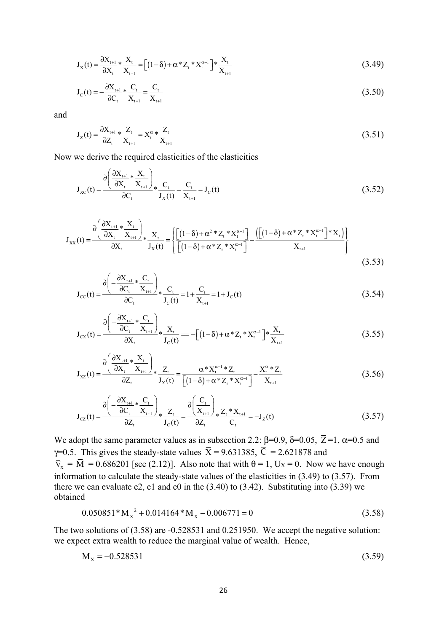$$
J_X(t) = \frac{\partial X_{t+1}}{\partial X_t} * \frac{X_t}{X_{t+1}} = \left[ (1-\delta) + \alpha^* Z_t * X_t^{\alpha-1} \right] * \frac{X_t}{X_{t+1}}
$$
(3.49)

$$
J_{C}(t) = -\frac{\partial X_{t+1}}{\partial C_{t}} * \frac{C_{t}}{X_{t+1}} = \frac{C_{t}}{X_{t+1}}
$$
(3.50)

and

$$
J_{Z}(t) = \frac{\partial X_{t+1}}{\partial Z_{t}} * \frac{Z_{t}}{X_{t+1}} = X_{t}^{\alpha} * \frac{Z_{t}}{X_{t+1}}
$$
(3.51)

Now we derive the required elasticities of the elasticities

$$
J_{XC}(t) = \frac{\partial \left(\frac{\partial X_{t+1}}{\partial X_t} * \frac{X_t}{X_{t+1}}\right)}{\partial C_t} * \frac{C_t}{J_X(t)} = \frac{C_t}{X_{t+1}} = J_C(t)
$$
(3.52)

$$
J_{XX}(t) = \frac{\partial \left(\frac{\partial X_{t+1}}{\partial X_t} * \frac{X_t}{X_{t+1}}\right)}{\partial X_t} * \frac{X_t}{J_X(t)} = \left\{ \frac{\left[ (1-\delta) + \alpha^2 * Z_t * X_t^{\alpha-1} \right]}{\left[ (1-\delta) + \alpha * Z_t * X_t^{\alpha-1} \right]} - \frac{\left( \left[ (1-\delta) + \alpha^2 Z_t * X_t^{\alpha-1} \right] * X_t \right)}{X_{t+1}} \right\}
$$
(3.53)

$$
J_{\rm cc}(t) = \frac{\partial \left(-\frac{\partial X_{t+1}}{\partial C_t} * \frac{C_t}{X_{t+1}}\right)}{\partial C_t} * \frac{C_t}{J_{\rm c}(t)} = 1 + \frac{C_t}{X_{t+1}} = 1 + J_{\rm c}(t)
$$
(3.54)

$$
J_{\text{cx}}(t) = \frac{\partial \left(-\frac{\partial X_{t+1}}{\partial C_t} * \frac{C_t}{X_{t+1}}\right)}{\partial X_t} * \frac{X_t}{J_{\text{c}}(t)} = -\left[(1-\delta) + \alpha^* Z_t * X_t^{\alpha-1}\right] * \frac{X_t}{X_{t+1}}
$$
(3.55)

$$
J_{xz}(t) = \frac{\partial \left(\frac{\partial X_{t+1}}{\partial X_t} * \frac{X_t}{X_{t+1}}\right)}{\partial Z_t} * \frac{Z_t}{J_x(t)} = \frac{\alpha^* X_t^{\alpha-1} * Z_t}{\left[(1-\delta) + \alpha^* Z_t * X_t^{\alpha-1}\right]} - \frac{X_t^{\alpha} * Z_t}{X_{t+1}}
$$
(3.56)

$$
J_{cz}(t) = \frac{\partial \left(-\frac{\partial X_{t+1}}{\partial C_t} * \frac{C_t}{X_{t+1}}\right)}{\partial Z_t} * \frac{Z_t}{J_c(t)} = \frac{\partial \left(\frac{C_t}{X_{t+1}}\right)}{\partial Z_t} * \frac{Z_t * X_{t+1}}{C_t} = -J_z(t)
$$
(3.57)

We adopt the same parameter values as in subsection 2.2:  $\beta$ =0.9,  $\delta$ =0.05,  $\overline{Z}$ =1,  $\alpha$ =0.5 and γ=0.5. This gives the steady-state values  $\overline{X}$  = 9.631385,  $\overline{C}$  = 2.621878 and  $\overline{V}_x = \overline{M} = 0.686201$  [see (2.12)]. Also note that with  $\theta = 1$ , U<sub>X</sub> = 0. Now we have enough information to calculate the steady-state values of the elasticities in (3.49) to (3.57). From there we can evaluate e2, e1 and e0 in the  $(3.40)$  to  $(3.42)$ . Substituting into  $(3.39)$  we obtained

$$
0.050851 \times M_{x}^{2} + 0.014164 \times M_{x} - 0.006771 = 0
$$
\n(3.58)

The two solutions of (3.58) are -0.528531 and 0.251950. We accept the negative solution: we expect extra wealth to reduce the marginal value of wealth. Hence,

$$
M_x = -0.528531\tag{3.59}
$$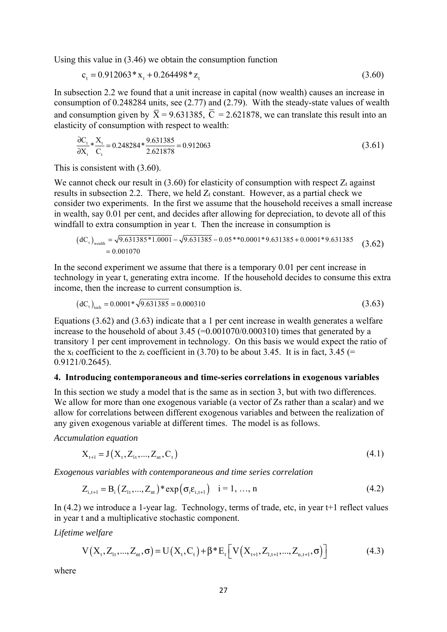Using this value in (3.46) we obtain the consumption function

$$
c_{t} = 0.912063 \times x_{t} + 0.264498 \times z_{t}
$$
\n(3.60)

In subsection 2.2 we found that a unit increase in capital (now wealth) causes an increase in consumption of 0.248284 units, see (2.77) and (2.79). With the steady-state values of wealth and consumption given by  $\overline{X} = 9.631385$ ,  $\overline{C} = 2.621878$ , we can translate this result into an elasticity of consumption with respect to wealth:

$$
\frac{\partial C_t}{\partial X_t} * \frac{X_t}{C_t} = 0.248284 * \frac{9.631385}{2.621878} = 0.912063
$$
\n(3.61)

This is consistent with (3.60).

We cannot check our result in  $(3.60)$  for elasticity of consumption with respect  $Z_t$  against results in subsection 2.2. There, we held  $Z_t$  constant. However, as a partial check we consider two experiments. In the first we assume that the household receives a small increase in wealth, say 0.01 per cent, and decides after allowing for depreciation, to devote all of this windfall to extra consumption in year t. Then the increase in consumption is

$$
(dCt)wealth = \sqrt{9.631385 * 1.0001} - \sqrt{9.631385} - 0.05 * * 0.0001 * 9.631385 + 0.0001 * 9.631385
$$
  
= 0.001070 (3.62)

In the second experiment we assume that there is a temporary 0.01 per cent increase in technology in year t, generating extra income. If the household decides to consume this extra income, then the increase to current consumption is.

$$
(\text{d}C_{t})_{\text{tech}} = 0.0001 \times \sqrt{9.631385} = 0.000310
$$
\n(3.63)

Equations (3.62) and (3.63) indicate that a 1 per cent increase in wealth generates a welfare increase to the household of about  $3.45$  (=0.001070/0.000310) times that generated by a transitory 1 per cent improvement in technology. On this basis we would expect the ratio of the x<sub>t</sub> coefficient to the z<sub>t</sub> coefficient in (3.70) to be about 3.45. It is in fact, 3.45 (= 0.9121/0.2645).

#### **4. Introducing contemporaneous and time-series correlations in exogenous variables**

In this section we study a model that is the same as in section 3, but with two differences. We allow for more than one exogenous variable (a vector of Zs rather than a scalar) and we allow for correlations between different exogenous variables and between the realization of any given exogenous variable at different times. The model is as follows.

*Accumulation equation*

$$
X_{t+1} = J(X_t, Z_{1t}, ..., Z_{nt}, C_t)
$$
\n(4.1)

*Exogenous variables with contemporaneous and time series correlation* 

$$
Z_{i,t+1} = B_i (Z_{it},..., Z_{nt})^* \exp(\sigma_i \varepsilon_{i,t+1}) \quad i = 1, ..., n
$$
 (4.2)

In (4.2) we introduce a 1-year lag. Technology, terms of trade, etc, in year t+1 reflect values in year t and a multiplicative stochastic component.

*Lifetime welfare* 

$$
V(Xt, Z1t, ..., Znt, \sigma) = U(Xt, Ct) + \beta * Et \left[ V(Xt+1, Z1,t+1, ..., Zn,t+1, \sigma) \right]
$$
(4.3)

where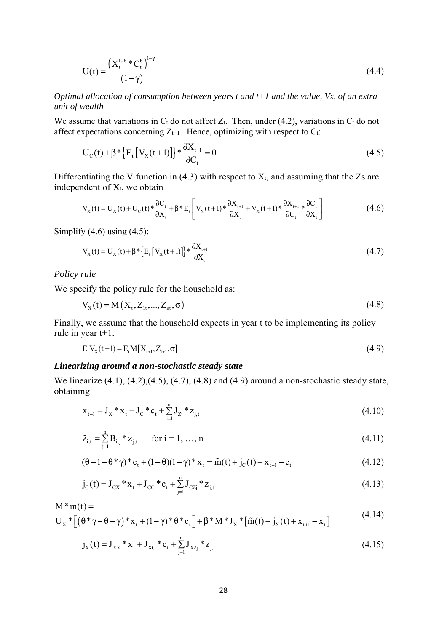$$
U(t) = \frac{\left(X_t^{1-\theta} * C_t^{\theta}\right)^{1-\gamma}}{(1-\gamma)}
$$
\n(4.4)

*Optimal allocation of consumption between years t and t+1 and the value, VX, of an extra unit of wealth* 

We assume that variations in  $C_t$  do not affect  $Z_t$ . Then, under (4.2), variations in  $C_t$  do not affect expectations concerning  $Z_{t+1}$ . Hence, optimizing with respect to  $C_t$ :

$$
U_{C}(t) + \beta * \{E_{t}[V_{X}(t+1)]\} * \frac{\partial X_{t+1}}{\partial C_{t}} = 0
$$
\n(4.5)

Differentiating the V function in (4.3) with respect to  $X_t$ , and assuming that the Zs are independent of  $X_t$ , we obtain

$$
V_{X}(t) = U_{X}(t) + U_{C}(t) * \frac{\partial C_{t}}{\partial X_{t}} + \beta * E_{t} \left[ V_{X}(t+1) * \frac{\partial X_{t+1}}{\partial X_{t}} + V_{X}(t+1) * \frac{\partial X_{t+1}}{\partial C_{t}} * \frac{\partial C_{t}}{\partial X_{t}} \right]
$$
(4.6)

Simplify  $(4.6)$  using  $(4.5)$ :

$$
V_{X}(t) = U_{X}(t) + \beta * \left\{ E_{t} \left[ V_{X}(t+1) \right] \right\} * \frac{\partial X_{t+1}}{\partial X_{t}} \tag{4.7}
$$

#### *Policy rule*

We specify the policy rule for the household as:

$$
V_{X}(t) = M(X_{t}, Z_{1t},..., Z_{nt}, \sigma)
$$
\n(4.8)

Finally, we assume that the household expects in year t to be implementing its policy rule in year t+1.

$$
E_{t}V_{X}(t+1) = E_{t}M[X_{t+1}, Z_{t+1}, \sigma]
$$
\n(4.9)

#### *Linearizing around a non-stochastic steady state*

We linearize (4.1), (4.2),(4.5), (4.7), (4.8) and (4.9) around a non-stochastic steady state, obtaining

$$
x_{t+1} = J_X * x_t - J_C * c_t + \sum_{j=1}^{n} J_{Zj} * z_{j,t}
$$
\n(4.10)

$$
\tilde{z}_{i,t} = \sum_{j=1}^{n} B_{i,j} * z_{j,t} \qquad \text{for } i = 1, ..., n
$$
\n(4.11)

$$
(\theta - 1 - \theta^* \gamma)^* c_t + (1 - \theta)(1 - \gamma)^* x_t = \tilde{m}(t) + j_c(t) + x_{t+1} - c_t
$$
\n(4.12)

$$
j_{C}(t) = J_{CX} * x_{t} + J_{CC} * c_{t} + \sum_{j=1}^{n} J_{CZj} * z_{j,t}
$$
\n(4.13)

$$
M * m(t) =
$$
  
\n
$$
U_X * [( \theta * \gamma - \theta - \gamma) * x_t + (1 - \gamma) * \theta * c_t ] + \beta * M * J_X * [ \tilde{m}(t) + j_X(t) + x_{t+1} - x_t ]
$$
\n(4.14)

$$
j_{X}(t) = J_{XX} * x_{t} + J_{XC} * c_{t} + \sum_{j=1}^{n} J_{XZj} * z_{j,t}
$$
\n(4.15)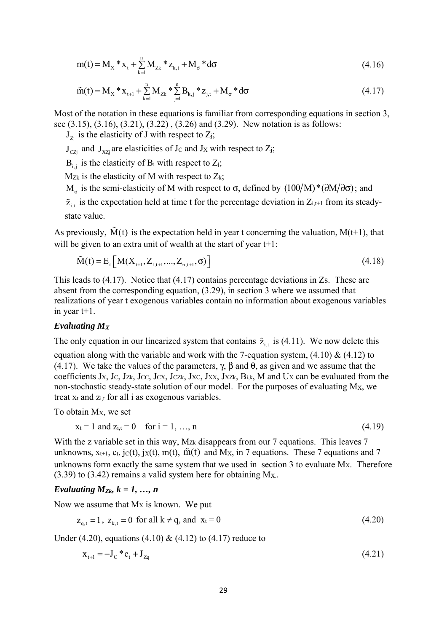$$
m(t) = M_X * x_t + \sum_{k=1}^{n} M_{Zk} * z_{k,t} + M_{\sigma} * d\sigma
$$
\n(4.16)

$$
\tilde{m}(t) = M_X * x_{t+1} + \sum_{k=1}^{n} M_{Zk} * \sum_{j=1}^{n} B_{k,j} * z_{j,t} + M_{\sigma} * d\sigma
$$
\n(4.17)

Most of the notation in these equations is familiar from corresponding equations in section 3, see (3.15), (3.16), (3.21), (3.22) , (3.26) and (3.29). New notation is as follows:

 $J_{Z_i}$  is the elasticity of J with respect to  $Z_j$ ;

 $J_{CZj}$  and  $J_{XZj}$  are elasticities of Jc and Jx with respect to  $Z_j$ ;

 $B_i$  is the elasticity of  $B_i$  with respect to  $Z_j$ ;

 $M_{Zk}$  is the elasticity of M with respect to  $Z_k$ ;

M<sub>σ</sub> is the semi-elasticity of M with respect to σ, defined by  $(100/M)^*(\partial M/\partial \sigma)$ ; and

 $\tilde{z}_{i,t}$  is the expectation held at time t for the percentage deviation in  $Z_{i,t+1}$  from its steadystate value.

As previously,  $\dot{M}(t)$  is the expectation held in year t concerning the valuation,  $M(t+1)$ , that will be given to an extra unit of wealth at the start of year t+1:

$$
\tilde{M}(t) = E_t \left[ M(X_{t+1}, Z_{1,t+1}, ..., Z_{n,t+1}, \sigma) \right]
$$
\n(4.18)

This leads to (4.17). Notice that (4.17) contains percentage deviations in Zs. These are absent from the corresponding equation, (3.29), in section 3 where we assumed that realizations of year t exogenous variables contain no information about exogenous variables in year t+1.

#### *Evaluating MX*

The only equation in our linearized system that contains  $\tilde{z}_{i,t}$  is (4.11). We now delete this equation along with the variable and work with the 7-equation system,  $(4.10) \& (4.12)$  to (4.17). We take the values of the parameters,  $\gamma$ ,  $\beta$  and  $\theta$ , as given and we assume that the coefficients J<sub>X</sub>, J<sub>C</sub>, J<sub>Zk</sub>, J<sub>CC</sub>, J<sub>CX</sub>, J<sub>CZk</sub>, J<sub>XC</sub>, J<sub>XX</sub>, J<sub>XZk</sub>, B<sub>i,k</sub>, M and U<sub>X</sub> can be evaluated from the non-stochastic steady-state solution of our model. For the purposes of evaluating MX, we treat  $x_t$  and  $z_{i,t}$  for all i as exogenous variables.

To obtain MX, we set

$$
x_t = 1
$$
 and  $z_{i,t} = 0$  for  $i = 1, ..., n$  (4.19)

With the z variable set in this way,  $M_{Zk}$  disappears from our 7 equations. This leaves 7 unknowns,  $x_{t+1}$ ,  $c_t$ , j $c(t)$ , j $x(t)$ , m(t), m(t) and M<sub>x</sub>, in 7 equations. These 7 equations and 7 unknowns form exactly the same system that we used in section  $3$  to evaluate Mx. Therefore (3.39) to (3.42) remains a valid system here for obtaining  $M_X$ .

# *Evaluating*  $M_{Zk}$ *,*  $k = 1, ..., n$

Now we assume that  $Mx$  is known. We put

$$
z_{q,t} = 1
$$
,  $z_{k,t} = 0$  for all  $k \neq q$ , and  $x_t = 0$  (4.20)

Under (4.20), equations (4.10) & (4.12) to (4.17) reduce to

$$
x_{t+1} = -J_c * c_t + J_{z_0}
$$
\n(4.21)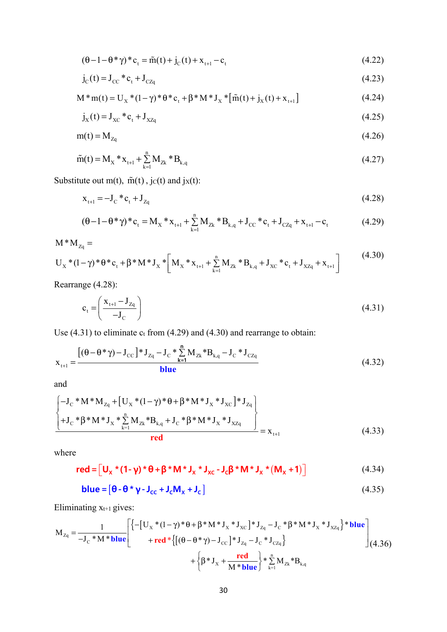$$
(\theta - 1 - \theta^* \gamma)^* c_t = \tilde{m}(t) + j_c(t) + x_{t+1} - c_t
$$
\n(4.22)

$$
j_{C}(t) = J_{CC} * c_{t} + J_{CZq}
$$
\n(4.23)

$$
M * m(t) = U_X * (1 - \gamma) * \theta * c_t + \beta * M * J_X * [\tilde{m}(t) + j_X(t) + x_{t+1}]
$$
\n(4.24)

$$
j_{x}(t) = J_{xc} * c_{t} + J_{XZq}
$$
 (4.25)

$$
m(t) = M_{Zq} \tag{4.26}
$$

$$
\tilde{m}(t) = M_X * x_{t+1} + \sum_{k=1}^{n} M_{Zk} * B_{k,q}
$$
\n(4.27)

Substitute out m(t),  $\tilde{m}(t)$ ,  $jc(t)$  and  $jx(t)$ :

$$
x_{t+1} = -J_C * c_t + J_{Zq} \tag{4.28}
$$

$$
(\theta - 1 - \theta^* \gamma)^* c_t = M_X * x_{t+1} + \sum_{k=1}^{n} M_{Zk} * B_{k,q} + J_{CC} * c_t + J_{CZq} + x_{t+1} - c_t
$$
(4.29)

$$
M^*M_{z_q} = U_x^*(1-\gamma)^*\theta^*c_t + \beta^*M^*J_x^*\left[M_x^*x_{t+1} + \sum_{k=1}^n M_{z_k}^*B_{k,q} + J_{xc}^*c_t + J_{xz_q} + x_{t+1}\right]
$$
(4.30)

Rearrange (4.28):

$$
c_{t} = \left(\frac{\mathbf{x}_{t+1} - \mathbf{J}_{Z_{q}}}{-\mathbf{J}_{C}}\right)
$$
\n(4.31)

Use  $(4.31)$  to eliminate  $c_t$  from  $(4.29)$  and  $(4.30)$  and rearrange to obtain:

$$
x_{t+1} = \frac{\left[ (\theta - \theta^* \gamma) - J_{\text{CC}} \right] * J_{Zq} - J_{\text{C}} * \sum_{k=1}^{n} M_{Zk} * B_{k,q} - J_{\text{C}} * J_{\text{CZq}}}{b \ln e} \tag{4.32}
$$

and

$$
\left\{\begin{array}{l}\n-\mathbf{J}_{\mathrm{C}} * \mathbf{M} * \mathbf{M}_{\mathrm{Zq}} + \left[\mathbf{U}_{\mathrm{X}} * (1 - \gamma) * \theta + \beta * \mathbf{M} * \mathbf{J}_{\mathrm{X}} * \mathbf{J}_{\mathrm{XC}}\right] * \mathbf{J}_{\mathrm{Zq}} \\
+\mathbf{J}_{\mathrm{C}} * \beta * \mathbf{M} * \mathbf{J}_{\mathrm{X}} * \sum_{k=1}^{n} \mathbf{M}_{\mathrm{Zk}} * \mathbf{B}_{k,q} + \mathbf{J}_{\mathrm{C}} * \beta * \mathbf{M} * \mathbf{J}_{\mathrm{X}} * \mathbf{J}_{\mathrm{XZq}} \\
\hline\n\text{red}\n\end{array}\right\} = \mathbf{x}_{t+1}
$$
\n(4.33)

where

$$
\mathbf{red} = \left[ \mathbf{U}_{\mathbf{x}} \star (\mathbf{1} - \mathbf{\gamma}) \star \mathbf{\Theta} + \mathbf{\beta} \star \mathbf{M} \star \mathbf{J}_{\mathbf{x}} \star \mathbf{J}_{\mathbf{x}c} - \mathbf{J}_{c} \mathbf{\beta} \star \mathbf{M} \star \mathbf{J}_{\mathbf{x}} \star (\mathbf{M}_{\mathbf{x}} + \mathbf{1}) \right]
$$
(4.34)

$$
blue = [0 - 0 * \gamma - J_{cc} + J_c M_x + J_c]
$$
 (4.35)

Eliminating  $x_{t+1}$  gives:

$$
M_{Zq} = \frac{1}{-J_C * M * blue} \left[ \begin{cases} -[U_X * (1 - \gamma) * \theta + \beta * M * J_X * J_{XC} ] * J_{Zq} - J_C * \beta * M * J_X * J_{XZq} \end{cases} \right] * blue + red * \left\{ [(\theta - \theta * \gamma) - J_{CC}] * J_{Zq} - J_C * J_{CZq} \right\} + \left\{ \beta * J_X + \frac{red}{M * blue} \right\} * \sum_{k=1}^{n} M_{Zk} * B_{k,q}
$$
(4.36)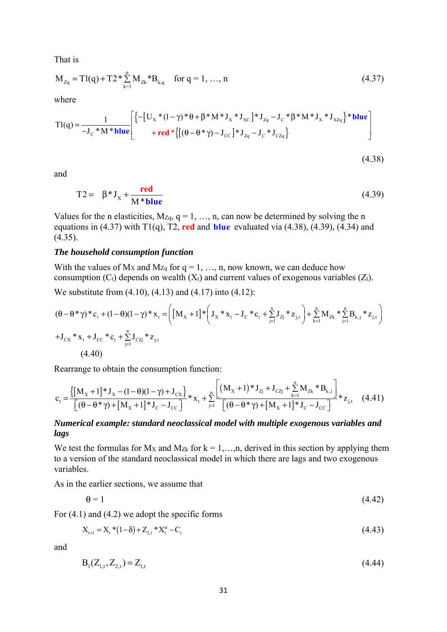That is

$$
M_{Zq} = T1(q) + T2 * \sum_{k=1}^{n} M_{Zk} * B_{k,q} \quad \text{for } q = 1, ..., n
$$
 (4.37)

where

$$
T1(q) = \frac{1}{-J_c * M * blue} \left[ \begin{cases} \left\{ -\left[ U_x * (1 - \gamma) * \theta + \beta * M * J_x * J_{xc} \right] * J_{Z_q} - J_c * \beta * M * J_x * J_{XZ_q} \right\} * blue \\ + red * \left\{ \left[ (\theta - \theta * \gamma) - J_{cc} \right] * J_{Z_q} - J_c * J_{CZ_q} \right\} \end{cases} \right]
$$

$$
(4.38)
$$

and

$$
T2 = \beta * J_{X} + \frac{red}{M * blue}
$$
 (4.39)

Values for the n elasticities,  $M_{Zq}$ ,  $q = 1, ..., n$ , can now be determined by solving the n equations in (4.37) with T1(q), T2, **red** and **blue** evaluated via (4.38), (4.39), (4.34) and  $(4.35)$ .

#### *The household consumption function*

With the values of  $Mx$  and  $Mz_q$  for  $q = 1, ..., n$ , now known, we can deduce how consumption  $(C_t)$  depends on wealth  $(X_t)$  and current values of exogenous variables  $(Z_t)$ .

We substitute from (4.10), (4.13) and (4.17) into (4.12):

$$
(\theta - \theta^* \gamma)^* c_t + (1 - \theta)(1 - \gamma)^* x_t = \left( \left[ M_x + 1 \right]^* \left( J_x^* x_t - J_c^* c_t + \sum_{j=1}^n J_{Z_j}^* z_{j,t} \right) + \sum_{k=1}^n M_{Z_k}^* \sum_{j=1}^n B_{k,j}^* z_{j,t} \right)
$$
  
+  $J_{CX}^* x_t + J_{CC}^* c_t + \sum_{j=1}^n J_{CZ_j}^* z_{j,t}$   
(4.40)

Rearrange to obtain the consumption function:

$$
c_{t} = \frac{\left\{ [M_{x} + 1] * J_{x} - (1 - \theta)(1 - \gamma) + J_{cx} \right\}}{[(\theta - \theta * \gamma) + [M_{x} + 1] * J_{c} - J_{cc}]} * x_{t} + \sum_{j=1}^{n} \frac{[(M_{x} + 1) * J_{zj} + J_{czj} + \sum_{k=1}^{n} M_{zk} * B_{k,j}]}{[(\theta - \theta * \gamma) + [M_{x} + 1] * J_{c} - J_{cc}]} * z_{j,t}
$$
(4.41)

## *Numerical example: standard neoclassical model with multiple exogenous variables and lags*

We test the formulas for  $M_X$  and  $M_Z$  for  $k = 1,...,n$ , derived in this section by applying them to a version of the standard neoclassical model in which there are lags and two exogenous variables.

As in the earlier sections, we assume that

$$
\theta = 1 \tag{4.42}
$$

For (4.1) and (4.2) we adopt the specific forms

$$
X_{t+1} = X_t * (1 - \delta) + Z_{2,t} * X_t^{\alpha} - C_t
$$
\n(4.43)

and

$$
B_1(Z_{1,t}, Z_{2,t}) = Z_{1,t} \tag{4.44}
$$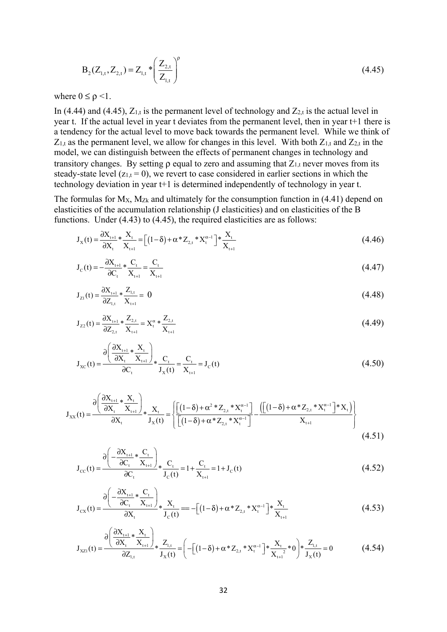$$
B_2(Z_{1,t}, Z_{2,t}) = Z_{1,t} * \left(\frac{Z_{2,t}}{Z_{1,t}}\right)^p
$$
\n(4.45)

where  $0 \leq \rho \leq 1$ .

In (4.44) and (4.45),  $Z_{1,t}$  is the permanent level of technology and  $Z_{2,t}$  is the actual level in year t. If the actual level in year t deviates from the permanent level, then in year t+1 there is a tendency for the actual level to move back towards the permanent level. While we think of  $Z_{1,t}$  as the permanent level, we allow for changes in this level. With both  $Z_{1,t}$  and  $Z_{2,t}$  in the model, we can distinguish between the effects of permanent changes in technology and transitory changes. By setting  $\rho$  equal to zero and assuming that  $Z_{1,t}$  never moves from its steady-state level  $(z_{1,t} = 0)$ , we revert to case considered in earlier sections in which the technology deviation in year t+1 is determined independently of technology in year t.

The formulas for  $M_X$ ,  $M_{Zk}$  and ultimately for the consumption function in (4.41) depend on elasticities of the accumulation relationship (J elasticities) and on elasticities of the B functions. Under (4.43) to (4.45), the required elasticities are as follows:

$$
J_X(t) = \frac{\partial X_{t+1}}{\partial X_t} * \frac{X_t}{X_{t+1}} = \left[ (1 - \delta) + \alpha^* Z_{2,t} * X_t^{\alpha - 1} \right] * \frac{X_t}{X_{t+1}}
$$
(4.46)

$$
J_{C}(t) = -\frac{\partial X_{t+1}}{\partial C_{t}} * \frac{C_{t}}{X_{t+1}} = \frac{C_{t}}{X_{t+1}}
$$
(4.47)

$$
J_{Z1}(t) = \frac{\partial X_{t+1}}{\partial Z_{1,t}} * \frac{Z_{1,t}}{X_{t+1}} = 0
$$
\n(4.48)

$$
J_{Z2}(t) = \frac{\partial X_{t+1}}{\partial Z_{2,t}} * \frac{Z_{2,t}}{X_{t+1}} = X_t^{\alpha} * \frac{Z_{2,t}}{X_{t+1}}
$$
(4.49)

$$
J_{XC}(t) = \frac{\partial \left(\frac{\partial X_{t+1}}{\partial X_t} * \frac{X_t}{X_{t+1}}\right)}{\partial C_t} * \frac{C_t}{J_X(t)} = \frac{C_t}{X_{t+1}} = J_C(t)
$$
(4.50)

$$
J_{XX}(t) = \frac{\partial \left(\frac{\partial X_{t+1}}{\partial X_t} * \frac{X_t}{X_{t+1}}\right)}{\partial X_t} * J_X(t) = \left\{ \frac{\left[ (1-\delta) + \alpha^2 * Z_{2,t} * X_t^{\alpha-1} \right]}{\left[ (1-\delta) + \alpha^2 Z_{2,t} * X_t^{\alpha-1} \right]} - \frac{\left( \left[ (1-\delta) + \alpha^2 Z_{2,t} * X_t^{\alpha-1} \right] * X_t \right)}{X_{t+1}} \right\}
$$
(4.51)

$$
J_{\text{cc}}(t) = \frac{\partial \left(-\frac{\partial X_{t+1}}{\partial C_t} * \frac{C_t}{X_{t+1}}\right)}{\partial C_t} * \frac{C_t}{J_{\text{c}}(t)} = 1 + \frac{C_t}{X_{t+1}} = 1 + J_{\text{c}}(t)
$$
(4.52)

$$
J_{cx}(t) = \frac{\partial \left(-\frac{\partial X_{t+1}}{\partial C_t} * \frac{C_t}{X_{t+1}}\right)}{\partial X_t} * \frac{X_t}{J_c(t)} = -\left[(1-\delta) + \alpha * Z_{2,t} * X_t^{\alpha-1}\right] * \frac{X_t}{X_{t+1}}
$$
(4.53)

$$
J_{XZ1}(t) = \frac{\partial \left(\frac{\partial X_{t+1}}{\partial X_t} * \frac{X_t}{X_{t+1}}\right)}{\partial Z_{1,t}} * \frac{Z_{1,t}}{J_X(t)} = \left(-\left[(1-\delta) + \alpha * Z_{2,t} * X_t^{\alpha-1}\right] * \frac{X_t}{X_{t+1}} * 0\right) * \frac{Z_{1,t}}{J_X(t)} = 0
$$
(4.54)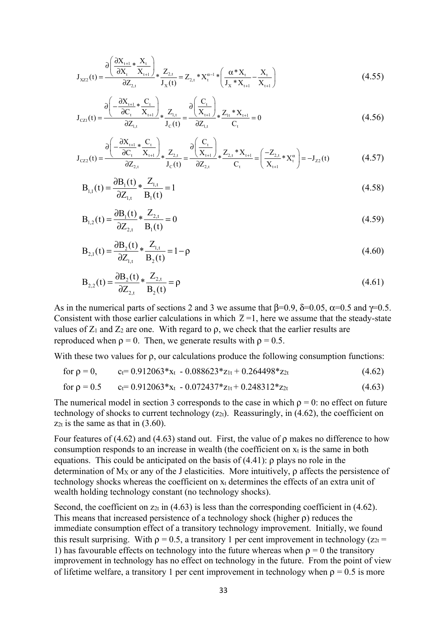$$
J_{XZ2}(t) = \frac{\partial \left(\frac{\partial X_{t+1}}{\partial X_t} * \frac{X_t}{X_{t+1}}\right)}{\partial Z_{2,t}} * \frac{Z_{2,t}}{J_X(t)} = Z_{2,t} * X_t^{\alpha-1} * \left(\frac{\alpha * X_t}{J_X * X_{t+1}} - \frac{X_t}{X_{t+1}}\right)
$$
(4.55)

$$
J_{CZ1}(t) = \frac{\partial \left(-\frac{\partial X_{t+1}}{\partial C_t} * \frac{C_t}{X_{t+1}}\right)}{\partial Z_{1,t}} * \frac{Z_{1,t}}{J_C(t)} = \frac{\partial \left(\frac{C_t}{X_{t+1}}\right)}{\partial Z_{1,t}} * \frac{Z_{1,t}}{C_t} * X_{t+1}}{C_t} = 0
$$
(4.56)

$$
J_{CZ2}(t) = \frac{\partial \left(-\frac{\partial X_{t+1}}{\partial C_t} * \frac{C_t}{X_{t+1}}\right)}{\partial Z_{2,t}} * \frac{Z_{2,t}}{J_C(t)} = \frac{\partial \left(\frac{C_t}{X_{t+1}}\right)}{\partial Z_{2,t}} * \frac{Z_{2,t} * X_{t+1}}{C_t} = \left(\frac{-Z_{2,t}}{X_{t+1}} * X_t^{\alpha}\right) = -J_{Z2}(t)
$$
(4.57)

$$
B_{1,1}(t) = \frac{\partial B_1(t)}{\partial Z_{1,t}} * \frac{Z_{1,t}}{B_1(t)} = 1
$$
\n(4.58)

$$
B_{1,2}(t) = \frac{\partial B_1(t)}{\partial Z_{2,t}} * \frac{Z_{2,t}}{B_1(t)} = 0
$$
\n(4.59)

$$
B_{2,1}(t) = \frac{\partial B_2(t)}{\partial Z_{1,t}} * \frac{Z_{1,t}}{B_2(t)} = 1 - \rho
$$
\n(4.60)

$$
B_{2,2}(t) = \frac{\partial B_2(t)}{\partial Z_{2,t}} * \frac{Z_{2,t}}{B_2(t)} = \rho
$$
\n(4.61)

As in the numerical parts of sections 2 and 3 we assume that  $\beta$ =0.9,  $\delta$ =0.05,  $\alpha$ =0.5 and  $\gamma$ =0.5. Consistent with those earlier calculations in which  $\overline{Z} = 1$ , here we assume that the steady-state values of  $Z_1$  and  $Z_2$  are one. With regard to  $\rho$ , we check that the earlier results are reproduced when  $\rho = 0$ . Then, we generate results with  $\rho = 0.5$ .

With these two values for ρ, our calculations produce the following consumption functions:

for 
$$
\rho = 0
$$
,  $c_f = 0.912063 \cdot x_t - 0.088623 \cdot z_{1t} + 0.264498 \cdot z_{2t}$  (4.62)

for 
$$
\rho = 0.5
$$
  $c_f = 0.912063 \cdot x_t - 0.072437 \cdot z_{1t} + 0.248312 \cdot z_{2t}$  (4.63)

The numerical model in section 3 corresponds to the case in which  $\rho = 0$ : no effect on future technology of shocks to current technology  $(z_{2t})$ . Reassuringly, in (4.62), the coefficient on  $z_{2t}$  is the same as that in  $(3.60)$ .

Four features of (4.62) and (4.63) stand out. First, the value of  $\rho$  makes no difference to how consumption responds to an increase in wealth (the coefficient on  $x_t$  is the same in both equations. This could be anticipated on the basis of  $(4.41)$ :  $\rho$  plays no role in the determination of  $M_X$  or any of the J elasticities. More intuitively,  $\rho$  affects the persistence of technology shocks whereas the coefficient on  $x_t$  determines the effects of an extra unit of wealth holding technology constant (no technology shocks).

Second, the coefficient on  $z_{2t}$  in (4.63) is less than the corresponding coefficient in (4.62). This means that increased persistence of a technology shock (higher ρ) reduces the immediate consumption effect of a transitory technology improvement. Initially, we found this result surprising. With  $p = 0.5$ , a transitory 1 per cent improvement in technology ( $z_{2t} =$ 1) has favourable effects on technology into the future whereas when  $\rho = 0$  the transitory improvement in technology has no effect on technology in the future. From the point of view of lifetime welfare, a transitory 1 per cent improvement in technology when  $\rho = 0.5$  is more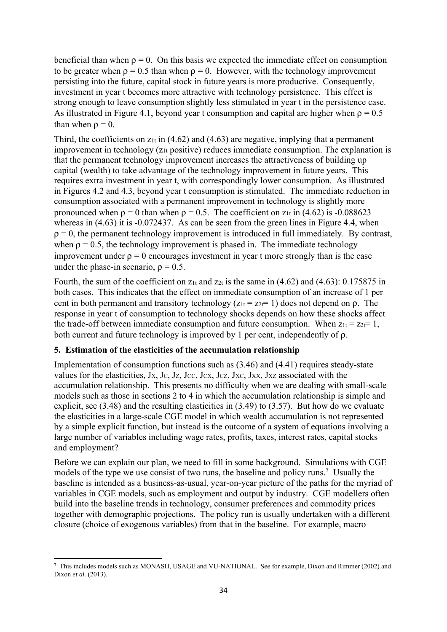beneficial than when  $\rho = 0$ . On this basis we expected the immediate effect on consumption to be greater when  $\rho = 0.5$  than when  $\rho = 0$ . However, with the technology improvement persisting into the future, capital stock in future years is more productive. Consequently, investment in year t becomes more attractive with technology persistence. This effect is strong enough to leave consumption slightly less stimulated in year t in the persistence case. As illustrated in Figure 4.1, beyond year t consumption and capital are higher when  $\rho = 0.5$ than when  $\rho = 0$ .

Third, the coefficients on  $z_{1t}$  in (4.62) and (4.63) are negative, implying that a permanent improvement in technology  $(z<sub>1t</sub> positive)$  reduces immediate consumption. The explanation is that the permanent technology improvement increases the attractiveness of building up capital (wealth) to take advantage of the technology improvement in future years. This requires extra investment in year t, with correspondingly lower consumption. As illustrated in Figures 4.2 and 4.3, beyond year t consumption is stimulated. The immediate reduction in consumption associated with a permanent improvement in technology is slightly more pronounced when  $\rho = 0$  than when  $\rho = 0.5$ . The coefficient on  $z<sub>1t</sub>$  in (4.62) is -0.088623 whereas in (4.63) it is -0.072437. As can be seen from the green lines in Figure 4.4, when  $\rho = 0$ , the permanent technology improvement is introduced in full immediately. By contrast, when  $\rho = 0.5$ , the technology improvement is phased in. The immediate technology improvement under  $\rho = 0$  encourages investment in year t more strongly than is the case under the phase-in scenario,  $\rho = 0.5$ .

Fourth, the sum of the coefficient on  $z_{1t}$  and  $z_{2t}$  is the same in (4.62) and (4.63): 0.175875 in both cases. This indicates that the effect on immediate consumption of an increase of 1 per cent in both permanent and transitory technology ( $z_{1t} = z_{2t} = 1$ ) does not depend on  $\rho$ . The response in year t of consumption to technology shocks depends on how these shocks affect the trade-off between immediate consumption and future consumption. When  $z_{1t} = z_{2t} = 1$ , both current and future technology is improved by 1 per cent, independently of ρ.

# **5. Estimation of the elasticities of the accumulation relationship**

Implementation of consumption functions such as (3.46) and (4.41) requires steady-state values for the elasticities, Jx, Jc, Jz, Jcc, Jcx, Jcz, Jxc, Jxx, Jxz associated with the accumulation relationship. This presents no difficulty when we are dealing with small-scale models such as those in sections 2 to 4 in which the accumulation relationship is simple and explicit, see (3.48) and the resulting elasticities in (3.49) to (3.57). But how do we evaluate the elasticities in a large-scale CGE model in which wealth accumulation is not represented by a simple explicit function, but instead is the outcome of a system of equations involving a large number of variables including wage rates, profits, taxes, interest rates, capital stocks and employment?

Before we can explain our plan, we need to fill in some background. Simulations with CGE models of the type we use consist of two runs, the baseline and policy runs.<sup>7</sup> Usually the baseline is intended as a business-as-usual, year-on-year picture of the paths for the myriad of variables in CGE models, such as employment and output by industry. CGE modellers often build into the baseline trends in technology, consumer preferences and commodity prices together with demographic projections. The policy run is usually undertaken with a different closure (choice of exogenous variables) from that in the baseline. For example, macro

<sup>7</sup> This includes models such as MONASH, USAGE and VU-NATIONAL. See for example, Dixon and Rimmer (2002) and Dixon *et al.* (2013).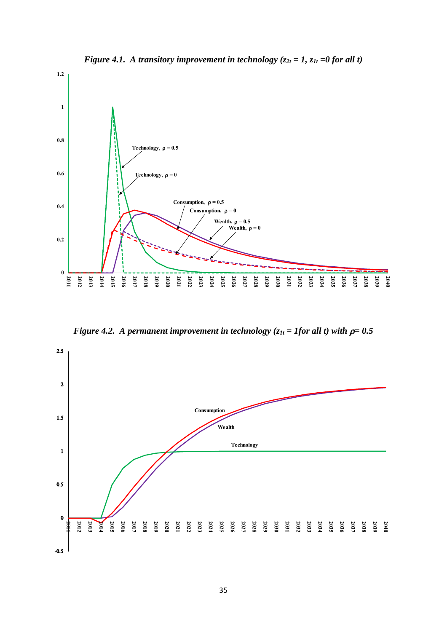

*Figure 4.1. A transitory improvement in technology (* $z_{2t} = 1$ *,*  $z_{1t} = 0$  *for all t)* 



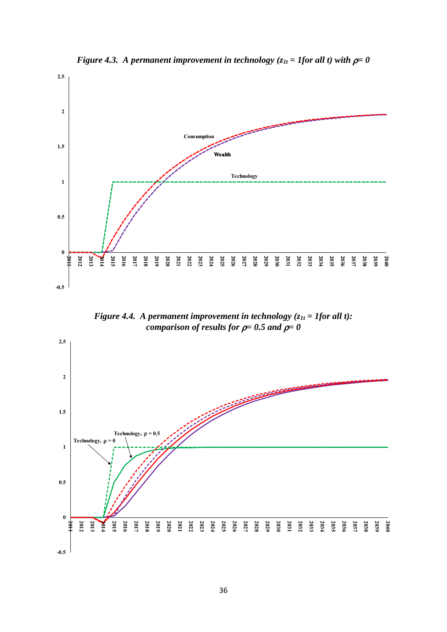

*Figure 4.3. A permanent improvement in technology (* $z_{1t}$  *= 1for all t) with*  $\rho = 0$ 

*Figure 4.4. A permanent improvement in technology*  $(z_{1t} = 1$  *for all t): comparison of results for* ρ*= 0.5 and* ρ*= 0* 

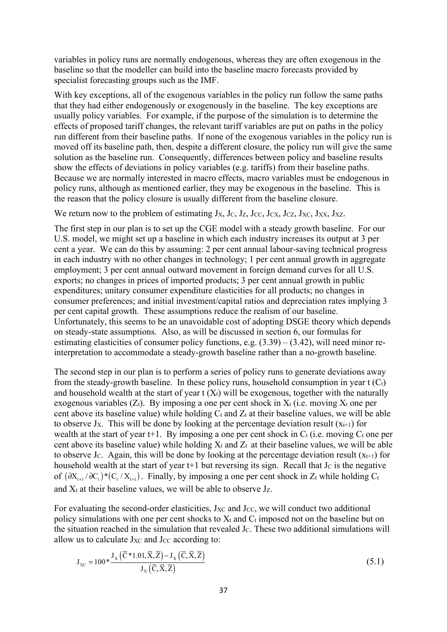variables in policy runs are normally endogenous, whereas they are often exogenous in the baseline so that the modeller can build into the baseline macro forecasts provided by specialist forecasting groups such as the IMF.

With key exceptions, all of the exogenous variables in the policy run follow the same paths that they had either endogenously or exogenously in the baseline. The key exceptions are usually policy variables. For example, if the purpose of the simulation is to determine the effects of proposed tariff changes, the relevant tariff variables are put on paths in the policy run different from their baseline paths. If none of the exogenous variables in the policy run is moved off its baseline path, then, despite a different closure, the policy run will give the same solution as the baseline run. Consequently, differences between policy and baseline results show the effects of deviations in policy variables (e.g. tariffs) from their baseline paths. Because we are normally interested in macro effects, macro variables must be endogenous in policy runs, although as mentioned earlier, they may be exogenous in the baseline. This is the reason that the policy closure is usually different from the baseline closure.

We return now to the problem of estimating  $J_X$ ,  $J_C$ ,  $J_Z$ ,  $J_{CC}$ ,  $J_{CZ}$ ,  $J_{CZ}$ ,  $J_{XC}$ ,  $J_{XX}$ ,  $J_{XZ}$ .

The first step in our plan is to set up the CGE model with a steady growth baseline. For our U.S. model, we might set up a baseline in which each industry increases its output at 3 per cent a year. We can do this by assuming: 2 per cent annual labour-saving technical progress in each industry with no other changes in technology; 1 per cent annual growth in aggregate employment; 3 per cent annual outward movement in foreign demand curves for all U.S. exports; no changes in prices of imported products; 3 per cent annual growth in public expenditures; unitary consumer expenditure elasticities for all products; no changes in consumer preferences; and initial investment/capital ratios and depreciation rates implying 3 per cent capital growth. These assumptions reduce the realism of our baseline. Unfortunately, this seems to be an unavoidable cost of adopting DSGE theory which depends on steady-state assumptions. Also, as will be discussed in section 6, our formulas for estimating elasticities of consumer policy functions, e.g.  $(3.39) - (3.42)$ , will need minor reinterpretation to accommodate a steady-growth baseline rather than a no-growth baseline.

The second step in our plan is to perform a series of policy runs to generate deviations away from the steady-growth baseline. In these policy runs, household consumption in year  $t(C_t)$ and household wealth at the start of year  $t(X_t)$  will be exogenous, together with the naturally exogenous variables  $(Z_t)$ . By imposing a one per cent shock in  $X_t$  (i.e. moving  $X_t$  one per cent above its baseline value) while holding  $C_t$  and  $Z_t$  at their baseline values, we will be able to observe J<sub>X</sub>. This will be done by looking at the percentage deviation result  $(x_{t+1})$  for wealth at the start of year t+1. By imposing a one per cent shock in  $C_t$  (i.e. moving  $C_t$  one per cent above its baseline value) while holding  $X_t$  and  $Z_t$  at their baseline values, we will be able to observe J<sub>C</sub>. Again, this will be done by looking at the percentage deviation result  $(x_{t+1})$  for household wealth at the start of year  $t+1$  but reversing its sign. Recall that J $c$  is the negative of  $(\partial X_{t+1}/\partial C_t)^*(C_t/X_{t+1})$ . Finally, by imposing a one per cent shock in Z<sub>t</sub> while holding C<sub>t</sub> and  $X_t$  at their baseline values, we will be able to observe  $J_z$ .

For evaluating the second-order elasticities,  $J_{XC}$  and  $J_{CC}$ , we will conduct two additional policy simulations with one per cent shocks to  $X_t$  and  $C_t$  imposed not on the baseline but on the situation reached in the simulation that revealed J<sub>C</sub>. These two additional simulations will allow us to calculate  $J_{XC}$  and  $J_{CC}$  according to:

$$
J_{\text{xc}} = 100 \times \frac{J_{\text{x}}\left(\overline{C} \times 1.01, \overline{X}, \overline{Z}\right) - J_{\text{x}}\left(\overline{C}, \overline{X}, \overline{Z}\right)}{J_{\text{x}}\left(\overline{C}, \overline{X}, \overline{Z}\right)}
$$
(5.1)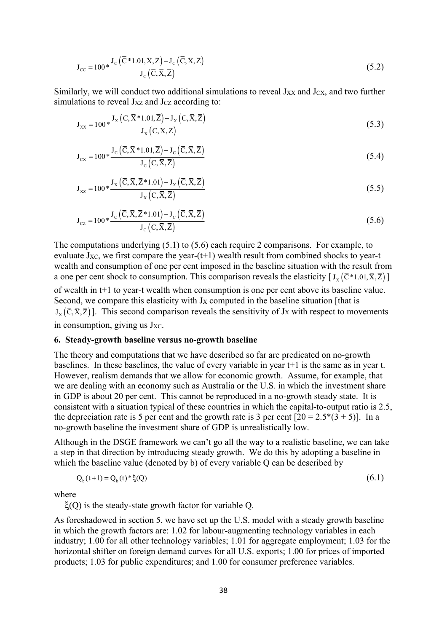$$
J_{cc} = 100 * \frac{J_c(\bar{C} * 1.01, \bar{X}, \bar{Z}) - J_c(\bar{C}, \bar{X}, \bar{Z})}{J_c(\bar{C}, \bar{X}, \bar{Z})}
$$
(5.2)

Similarly, we will conduct two additional simulations to reveal  $J_{XX}$  and  $J_{CX}$ , and two further simulations to reveal  $J_{XZ}$  and  $J_{CZ}$  according to:

$$
J_{xx} = 100 \ast \frac{J_x(\overline{C}, \overline{X} \cdot 1.01, \overline{Z}) - J_x(\overline{C}, \overline{X}, \overline{Z})}{J_x(\overline{C}, \overline{X}, \overline{Z})}
$$
(5.3)

$$
J_{cx} = 100 \ast \frac{J_c(\overline{C}, \overline{X} \ast 1.01, \overline{Z}) - J_c(\overline{C}, \overline{X}, \overline{Z})}{J_c(\overline{C}, \overline{X}, \overline{Z})}
$$
(5.4)

$$
J_{xz} = 100 \ast \frac{J_x (\overline{C}, \overline{X}, \overline{Z}^* 1.01) - J_x (\overline{C}, \overline{X}, \overline{Z})}{J_x (\overline{C}, \overline{X}, \overline{Z})}
$$
(5.5)

$$
J_{cz} = 100 \ast \frac{J_c (\overline{C}, \overline{X}, \overline{Z}^* 1.01) - J_c (\overline{C}, \overline{X}, \overline{Z})}{J_c (\overline{C}, \overline{X}, \overline{Z})}
$$
(5.6)

The computations underlying (5.1) to (5.6) each require 2 comparisons. For example, to evaluate  $J_{XC}$ , we first compare the year-(t+1) wealth result from combined shocks to year-t wealth and consumption of one per cent imposed in the baseline situation with the result from a one per cent shock to consumption. This comparison reveals the elasticity  $[J_{\rm v}(\bar{C}^*1.01,\bar{X},\bar{Z})]$ 

of wealth in t+1 to year-t wealth when consumption is one per cent above its baseline value. Second, we compare this elasticity with J<sub>X</sub> computed in the baseline situation [that is  $J_{\rm v}(\bar{C}, \bar{X}, \bar{Z})$ ]. This second comparison reveals the sensitivity of J<sub>X</sub> with respect to movements in consumption, giving us  $J_{XC}$ .

# **6. Steady-growth baseline versus no-growth baseline**

The theory and computations that we have described so far are predicated on no-growth baselines. In these baselines, the value of every variable in year t+1 is the same as in year t. However, realism demands that we allow for economic growth. Assume, for example, that we are dealing with an economy such as Australia or the U.S. in which the investment share in GDP is about 20 per cent. This cannot be reproduced in a no-growth steady state. It is consistent with a situation typical of these countries in which the capital-to-output ratio is 2.5, the depreciation rate is 5 per cent and the growth rate is 3 per cent  $[20 = 2.5*(3 + 5)]$ . In a no-growth baseline the investment share of GDP is unrealistically low.

Although in the DSGE framework we can't go all the way to a realistic baseline, we can take a step in that direction by introducing steady growth. We do this by adopting a baseline in which the baseline value (denoted by b) of every variable Q can be described by

$$
Q_{b}(t+1) = Q_{b}(t) * \xi(Q)
$$
\n(6.1)

where

ξ(Q) is the steady-state growth factor for variable Q.

As foreshadowed in section 5, we have set up the U.S. model with a steady growth baseline in which the growth factors are: 1.02 for labour-augmenting technology variables in each industry; 1.00 for all other technology variables; 1.01 for aggregate employment; 1.03 for the horizontal shifter on foreign demand curves for all U.S. exports; 1.00 for prices of imported products; 1.03 for public expenditures; and 1.00 for consumer preference variables.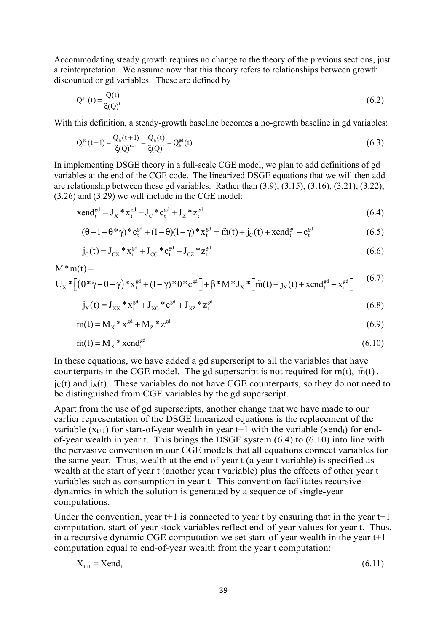Accommodating steady growth requires no change to the theory of the previous sections, just a reinterpretation. We assume now that this theory refers to relationships between growth discounted or gd variables. These are defined by

$$
Q^{\text{gd}}(t) = \frac{Q(t)}{\xi(Q)^t} \tag{6.2}
$$

With this definition, a steady-growth baseline becomes a no-growth baseline in gd variables:

$$
Q_b^{\text{gd}}(t+1) = \frac{Q_b(t+1)}{\xi(Q)^{t+1}} = \frac{Q_b(t)}{\xi(Q)^{t}} = Q_b^{\text{gd}}(t)
$$
\n(6.3)

In implementing DSGE theory in a full-scale CGE model, we plan to add definitions of gd variables at the end of the CGE code. The linearized DSGE equations that we will then add are relationship between these gd variables. Rather than (3.9), (3.15), (3.16), (3.21), (3.22), (3.26) and (3.29) we will include in the CGE model:

$$
xend_t^{gd} = J_x * x_t^{gd} - J_c * c_t^{gd} + J_z * z_t^{gd}
$$
\n(6.4)

$$
(\theta - 1 - \theta^* \gamma)^* c_t^{gd} + (1 - \theta)(1 - \gamma)^* x_t^{gd} = \tilde{m}(t) + j_C(t) + \text{xend}_t^{gd} - c_t^{gd}
$$
 (6.5)

$$
j_C(t) = J_{CX} * x_t^{gd} + J_{CC} * c_t^{gd} + J_{CZ} * z_t^{gd}
$$
 (6.6)

$$
M^*m(t) =
$$
  
 
$$
U_x^*[(\theta^*\gamma - \theta - \gamma)^*x_t^{gd} + (1-\gamma)^*\theta^*c_t^{gd}] + \beta^*M^*J_x^*[\tilde{m}(t) + j_x(t) + xend_t^{gd} - x_t^{gd}]
$$
 (6.7)

$$
j_{X}(t) = J_{XX} * x_{t}^{gd} + J_{XC} * c_{t}^{gd} + J_{XZ} * z_{t}^{gd}
$$
 (6.8)

$$
m(t) = M_X * x_t^{gd} + M_Z * z_t^{gd}
$$
\n(6.9)

$$
\tilde{m}(t) = M_x * \text{xend}_t^{\text{gd}} \tag{6.10}
$$

In these equations, we have added a gd superscript to all the variables that have counterparts in the CGE model. The gd superscript is not required for  $m(t)$ ,  $\tilde{m}(t)$ ,  $j(t)$  and  $j(t)$ . These variables do not have CGE counterparts, so they do not need to be distinguished from CGE variables by the gd superscript.

Apart from the use of gd superscripts, another change that we have made to our earlier representation of the DSGE linearized equations is the replacement of the variable  $(x_{t+1})$  for start-of-year wealth in year t+1 with the variable (xend<sub>t</sub>) for endof-year wealth in year t. This brings the DSGE system (6.4) to (6.10) into line with the pervasive convention in our CGE models that all equations connect variables for the same year. Thus, wealth at the end of year t (a year t variable) is specified as wealth at the start of year t (another year t variable) plus the effects of other year t variables such as consumption in year t. This convention facilitates recursive dynamics in which the solution is generated by a sequence of single-year computations.

Under the convention, year  $t+1$  is connected to year t by ensuring that in the year  $t+1$ computation, start-of-year stock variables reflect end-of-year values for year t. Thus, in a recursive dynamic CGE computation we set start-of-year wealth in the year t+1 computation equal to end-of-year wealth from the year t computation:

$$
X_{t+1} = Xend_t
$$
\n(6.11)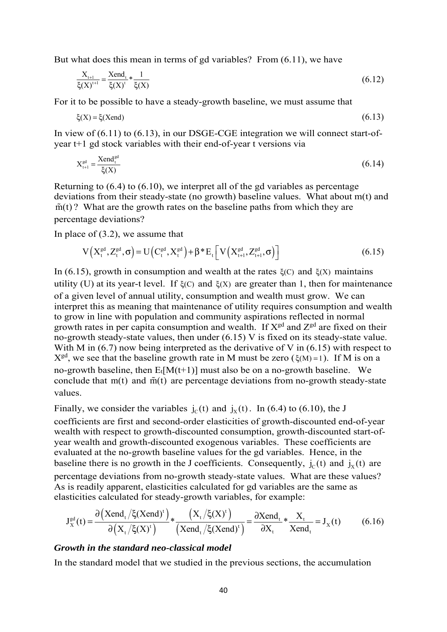But what does this mean in terms of gd variables? From (6.11), we have

$$
\frac{X_{t+1}}{\xi(X)^{t+1}} = \frac{\text{Xend}_t}{\xi(X)^{t}} * \frac{1}{\xi(X)}
$$
(6.12)

For it to be possible to have a steady-growth baseline, we must assume that

$$
\xi(X) = \xi(Xend) \tag{6.13}
$$

In view of (6.11) to (6.13), in our DSGE-CGE integration we will connect start-ofyear t+1 gd stock variables with their end-of-year t versions via

$$
X_{t+1}^{\text{gd}} = \frac{\text{Xend}_{t}^{\text{gd}}}{\zeta(X)}\tag{6.14}
$$

Returning to (6.4) to (6.10), we interpret all of the gd variables as percentage deviations from their steady-state (no growth) baseline values. What about m(t) and  $\tilde{m}(t)$ ? What are the growth rates on the baseline paths from which they are percentage deviations?

In place of (3.2), we assume that

$$
V(X_t^{\text{gd}}, Z_t^{\text{gd}}, \sigma) = U(C_t^{\text{gd}}, X_t^{\text{gd}}) + \beta^* E_t \left[ V(X_{t+1}^{\text{gd}}, Z_{t+1}^{\text{gd}}, \sigma) \right]
$$
(6.15)

In (6.15), growth in consumption and wealth at the rates ξ(C) and ξ(X) maintains utility (U) at its year-t level. If  $ξ(C)$  and  $ξ(X)$  are greater than 1, then for maintenance of a given level of annual utility, consumption and wealth must grow. We can interpret this as meaning that maintenance of utility requires consumption and wealth to grow in line with population and community aspirations reflected in normal growth rates in per capita consumption and wealth. If  $X<sup>gd</sup>$  and  $Z<sup>gd</sup>$  are fixed on their no-growth steady-state values, then under (6.15) V is fixed on its steady-state value. With M in  $(6.7)$  now being interpreted as the derivative of V in  $(6.15)$  with respect to  $X<sup>gd</sup>$ , we see that the baseline growth rate in M must be zero ( $\xi(M) = 1$ ). If M is on a no-growth baseline, then  $E_t[M(t+1)]$  must also be on a no-growth baseline. We conclude that  $m(t)$  and  $\tilde{m}(t)$  are percentage deviations from no-growth steady-state values.

Finally, we consider the variables  $j_c(t)$  and  $j_x(t)$ . In (6.4) to (6.10), the J coefficients are first and second-order elasticities of growth-discounted end-of-year wealth with respect to growth-discounted consumption, growth-discounted start-ofyear wealth and growth-discounted exogenous variables. These coefficients are evaluated at the no-growth baseline values for the gd variables. Hence, in the baseline there is no growth in the J coefficients. Consequently,  $j_c(t)$  and  $j_x(t)$  are percentage deviations from no-growth steady-state values. What are these values? As is readily apparent, elasticities calculated for gd variables are the same as elasticities calculated for steady-growth variables, for example:

$$
J_X^{\text{gd}}(t) = \frac{\partial (\text{Xend}_t/\xi(\text{Xend})^t)}{\partial (X_t/\xi(X)^t)} * \frac{(X_t/\xi(X)^t)}{(\text{Xend}_t/\xi(\text{Xend})^t)} = \frac{\partial \text{Xend}_t}{\partial X_t} * \frac{X_t}{\text{Xend}_t} = J_X(t)
$$
(6.16)

#### *Growth in the standard neo-classical model*

In the standard model that we studied in the previous sections, the accumulation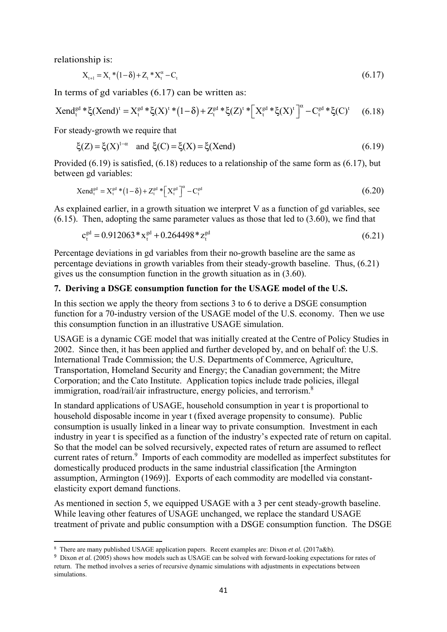relationship is:

$$
X_{t+1} = X_t * (1 - \delta) + Z_t * X_t^{\alpha} - C_t
$$
\n(6.17)

In terms of gd variables (6.17) can be written as:

$$
Xend_t^{gd} * \xi(Xend)^t = X_t^{gd} * \xi(X)^t * (1 - \delta) + Z_t^{gd} * \xi(Z)^t * \Big[ X_t^{gd} * \xi(X)^t \Big]^{\alpha} - C_t^{gd} * \xi(C)^t \tag{6.18}
$$

For steady-growth we require that

$$
\xi(Z) = \xi(X)^{1-\alpha}
$$
 and  $\xi(C) = \xi(X) = \xi(X \text{end})$  (6.19)

Provided (6.19) is satisfied, (6.18) reduces to a relationship of the same form as (6.17), but between gd variables:

$$
X \text{end}_{t}^{gd} = X_{t}^{gd} * (1 - \delta) + Z_{t}^{gd} * \left[ X_{t}^{gd} \right]^{d} - C_{t}^{gd}
$$
\n(6.20)

As explained earlier, in a growth situation we interpret V as a function of gd variables, see  $(6.15)$ . Then, adopting the same parameter values as those that led to  $(3.60)$ , we find that

$$
c_t^{gd} = 0.912063 * x_t^{gd} + 0.264498 * z_t^{gd}
$$
\n(6.21)

Percentage deviations in gd variables from their no-growth baseline are the same as percentage deviations in growth variables from their steady-growth baseline. Thus, (6.21) gives us the consumption function in the growth situation as in (3.60).

## **7. Deriving a DSGE consumption function for the USAGE model of the U.S.**

In this section we apply the theory from sections 3 to 6 to derive a DSGE consumption function for a 70-industry version of the USAGE model of the U.S. economy. Then we use this consumption function in an illustrative USAGE simulation.

USAGE is a dynamic CGE model that was initially created at the Centre of Policy Studies in 2002. Since then, it has been applied and further developed by, and on behalf of: the U.S. International Trade Commission; the U.S. Departments of Commerce, Agriculture, Transportation, Homeland Security and Energy; the Canadian government; the Mitre Corporation; and the Cato Institute. Application topics include trade policies, illegal immigration, road/rail/air infrastructure, energy policies, and terrorism.<sup>8</sup>

In standard applications of USAGE, household consumption in year t is proportional to household disposable income in year t (fixed average propensity to consume). Public consumption is usually linked in a linear way to private consumption. Investment in each industry in year t is specified as a function of the industry's expected rate of return on capital. So that the model can be solved recursively, expected rates of return are assumed to reflect current rates of return.<sup>9</sup> Imports of each commodity are modelled as imperfect substitutes for domestically produced products in the same industrial classification [the Armington assumption, Armington (1969)]. Exports of each commodity are modelled via constantelasticity export demand functions.

As mentioned in section 5, we equipped USAGE with a 3 per cent steady-growth baseline. While leaving other features of USAGE unchanged, we replace the standard USAGE treatment of private and public consumption with a DSGE consumption function. The DSGE

<sup>8</sup> There are many published USAGE application papers. Recent examples are: Dixon *et al.* (2017a&b).

<sup>&</sup>lt;sup>9</sup> Dixon *et al.* (2005) shows how models such as USAGE can be solved with forward-looking expectations for rates of return. The method involves a series of recursive dynamic simulations with adjustments in expectations between simulations.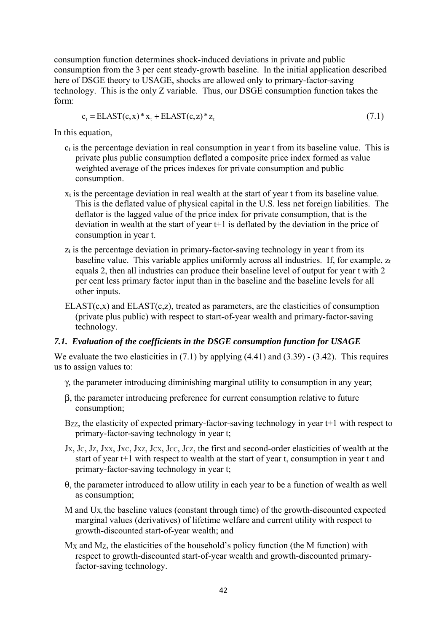consumption function determines shock-induced deviations in private and public consumption from the 3 per cent steady-growth baseline. In the initial application described here of DSGE theory to USAGE, shocks are allowed only to primary-factor-saving technology. This is the only Z variable. Thus, our DSGE consumption function takes the form:

 $c_{i} = ELAST(c, x)*x_{i} + ELAST(c, z)*z_{i}$  (7.1)

In this equation,

- ct is the percentage deviation in real consumption in year t from its baseline value. This is private plus public consumption deflated a composite price index formed as value weighted average of the prices indexes for private consumption and public consumption.
- xt is the percentage deviation in real wealth at the start of year t from its baseline value. This is the deflated value of physical capital in the U.S. less net foreign liabilities. The deflator is the lagged value of the price index for private consumption, that is the deviation in wealth at the start of year t+1 is deflated by the deviation in the price of consumption in year t.
- zt is the percentage deviation in primary-factor-saving technology in year t from its baseline value. This variable applies uniformly across all industries. If, for example,  $z_t$ equals 2, then all industries can produce their baseline level of output for year t with 2 per cent less primary factor input than in the baseline and the baseline levels for all other inputs.
- $ELAST(c,x)$  and  $ELAST(c,z)$ , treated as parameters, are the elasticities of consumption (private plus public) with respect to start-of-year wealth and primary-factor-saving technology.

## *7.1. Evaluation of the coefficients in the DSGE consumption function for USAGE*

We evaluate the two elasticities in (7.1) by applying (4.41) and (3.39) - (3.42). This requires us to assign values to:

- γ, the parameter introducing diminishing marginal utility to consumption in any year;
- β, the parameter introducing preference for current consumption relative to future consumption;
- Bzz, the elasticity of expected primary-factor-saving technology in year t+1 with respect to primary-factor-saving technology in year t;
- $J_X$ ,  $J_C$ ,  $J_Z$ ,  $J_{XX}$ ,  $J_{XC}$ ,  $J_{XZ}$ ,  $J_{CX}$ ,  $J_{CZ}$ ,  $J_{CZ}$ , the first and second-order elasticities of wealth at the start of year t+1 with respect to wealth at the start of year t, consumption in year t and primary-factor-saving technology in year t;
- θ, the parameter introduced to allow utility in each year to be a function of wealth as well as consumption;
- M and  $U_X$ , the baseline values (constant through time) of the growth-discounted expected marginal values (derivatives) of lifetime welfare and current utility with respect to growth-discounted start-of-year wealth; and
- MX and MZ, the elasticities of the household's policy function (the M function) with respect to growth-discounted start-of-year wealth and growth-discounted primaryfactor-saving technology.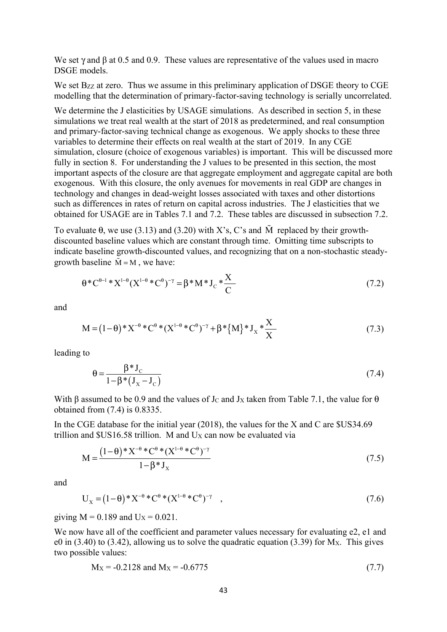We set  $\gamma$  and  $\beta$  at 0.5 and 0.9. These values are representative of the values used in macro DSGE models.

We set Bzz at zero. Thus we assume in this preliminary application of DSGE theory to CGE modelling that the determination of primary-factor-saving technology is serially uncorrelated.

We determine the J elasticities by USAGE simulations. As described in section 5, in these simulations we treat real wealth at the start of 2018 as predetermined, and real consumption and primary-factor-saving technical change as exogenous. We apply shocks to these three variables to determine their effects on real wealth at the start of 2019. In any CGE simulation, closure (choice of exogenous variables) is important. This will be discussed more fully in section 8. For understanding the J values to be presented in this section, the most important aspects of the closure are that aggregate employment and aggregate capital are both exogenous. With this closure, the only avenues for movements in real GDP are changes in technology and changes in dead-weight losses associated with taxes and other distortions such as differences in rates of return on capital across industries. The J elasticities that we obtained for USAGE are in Tables 7.1 and 7.2. These tables are discussed in subsection 7.2.

To evaluate  $\theta$ , we use (3.13) and (3.20) with X's, C's and  $\tilde{M}$  replaced by their growthdiscounted baseline values which are constant through time. Omitting time subscripts to indicate baseline growth-discounted values, and recognizing that on a non-stochastic steadygrowth baseline  $\tilde{M} = M$ , we have:

$$
\theta^* C^{\theta-1}^* X^{1-\theta} (X^{1-\theta}^* C^{\theta})^{-\gamma} = \beta^* M^* J_c^* \frac{X}{C}
$$
\n
$$
(7.2)
$$

and

$$
M = (1 - \theta) * X^{-\theta} * C^{\theta} * (X^{1 - \theta} * C^{\theta})^{-\gamma} + \beta * \{M\} * J_X * \frac{X}{X}
$$
(7.3)

leading to

$$
\theta = \frac{\beta^* \mathbf{J}_\mathbf{C}}{1 - \beta^* (\mathbf{J}_\mathbf{X} - \mathbf{J}_\mathbf{C})} \tag{7.4}
$$

With β assumed to be 0.9 and the values of J<sub>C</sub> and J<sub>X</sub> taken from Table 7.1, the value for  $\theta$ obtained from (7.4) is 0.8335.

In the CGE database for the initial year (2018), the values for the X and C are \$US34.69 trillion and  $US16.58$  trillion. M and Ux can now be evaluated via

$$
M = \frac{(1 - \theta) * X^{-\theta} * C^{\theta} * (X^{1 - \theta} * C^{\theta})^{-\gamma}}{1 - \beta * J_{X}}
$$
(7.5)

and

$$
U_X = (1 - \theta) * X^{-\theta} * C^{\theta} * (X^{1 - \theta} * C^{\theta})^{-\gamma} \quad , \tag{7.6}
$$

giving  $M = 0.189$  and  $U_X = 0.021$ .

We now have all of the coefficient and parameter values necessary for evaluating e2, e1 and e0 in  $(3.40)$  to  $(3.42)$ , allowing us to solve the quadratic equation  $(3.39)$  for M<sub>X</sub>. This gives two possible values:

$$
M_X = -0.2128 \text{ and } M_X = -0.6775 \tag{7.7}
$$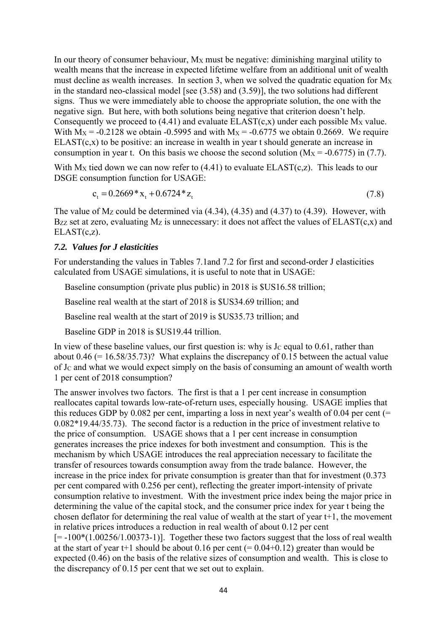In our theory of consumer behaviour, M<sub>X</sub> must be negative: diminishing marginal utility to wealth means that the increase in expected lifetime welfare from an additional unit of wealth must decline as wealth increases. In section 3, when we solved the quadratic equation for  $M_X$ in the standard neo-classical model [see (3.58) and (3.59)], the two solutions had different signs. Thus we were immediately able to choose the appropriate solution, the one with the negative sign. But here, with both solutions being negative that criterion doesn't help. Consequently we proceed to  $(4.41)$  and evaluate  $ELAST(c,x)$  under each possible M<sub>x</sub> value. With  $M_X = -0.2128$  we obtain -0.5995 and with  $M_X = -0.6775$  we obtain 0.2669. We require  $ELAST(c,x)$  to be positive: an increase in wealth in year t should generate an increase in consumption in year t. On this basis we choose the second solution  $(M_X = -0.6775)$  in (7.7).

With  $M_X$  tied down we can now refer to (4.41) to evaluate  $ELAST(c,z)$ . This leads to our DSGE consumption function for USAGE:

$$
c_{t} = 0.2669 \times x_{t} + 0.6724 \times z_{t}
$$
\n
$$
(7.8)
$$

The value of  $M_Z$  could be determined via (4.34), (4.35) and (4.37) to (4.39). However, with Bzz set at zero, evaluating  $M_Z$  is unnecessary: it does not affect the values of  $ELAST(c,x)$  and  $ELAST(c,z)$ .

#### *7.2. Values for J elasticities*

For understanding the values in Tables 7.1and 7.2 for first and second-order J elasticities calculated from USAGE simulations, it is useful to note that in USAGE:

Baseline consumption (private plus public) in 2018 is \$US16.58 trillion;

Baseline real wealth at the start of 2018 is \$US34.69 trillion; and

Baseline real wealth at the start of 2019 is \$US35.73 trillion; and

Baseline GDP in 2018 is \$US19.44 trillion.

In view of these baseline values, our first question is: why is  $J<sub>C</sub>$  equal to 0.61, rather than about 0.46 (= 16.58/35.73)? What explains the discrepancy of 0.15 between the actual value of JC and what we would expect simply on the basis of consuming an amount of wealth worth 1 per cent of 2018 consumption?

The answer involves two factors. The first is that a 1 per cent increase in consumption reallocates capital towards low-rate-of-return uses, especially housing. USAGE implies that this reduces GDP by 0.082 per cent, imparting a loss in next year's wealth of 0.04 per cent (= 0.082\*19.44/35.73). The second factor is a reduction in the price of investment relative to the price of consumption. USAGE shows that a 1 per cent increase in consumption generates increases the price indexes for both investment and consumption. This is the mechanism by which USAGE introduces the real appreciation necessary to facilitate the transfer of resources towards consumption away from the trade balance. However, the increase in the price index for private consumption is greater than that for investment (0.373 per cent compared with 0.256 per cent), reflecting the greater import-intensity of private consumption relative to investment. With the investment price index being the major price in determining the value of the capital stock, and the consumer price index for year t being the chosen deflator for determining the real value of wealth at the start of year t+1, the movement in relative prices introduces a reduction in real wealth of about 0.12 per cent  $[= -100*(1.00256/1.00373-1)]$ . Together these two factors suggest that the loss of real wealth at the start of year t+1 should be about  $0.16$  per cent (=  $0.04+0.12$ ) greater than would be expected (0.46) on the basis of the relative sizes of consumption and wealth. This is close to the discrepancy of 0.15 per cent that we set out to explain.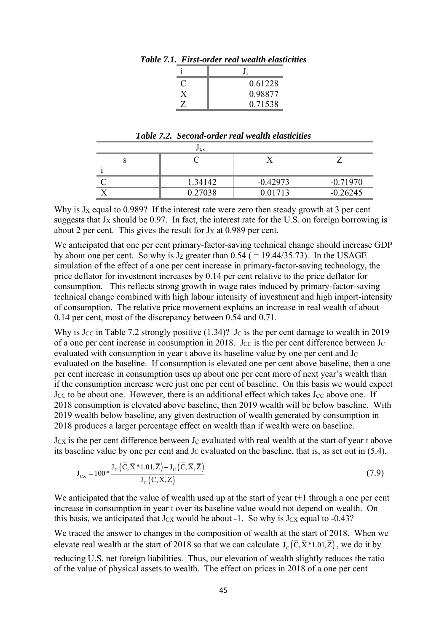| 0.61228 |  |
|---------|--|
| 0.98877 |  |
| 0.71538 |  |

*Table 7.1. First-order real wealth elasticities* 

| Table 7.2. Second-order real wealth elasticities |  |
|--------------------------------------------------|--|
|                                                  |  |

|  | 1.34142 | $-0.42973$ | $-0.71970$ |
|--|---------|------------|------------|
|  | 0.27038 | 0.01713    | $-0.26245$ |

Why is  $J_x$  equal to 0.989? If the interest rate were zero then steady growth at 3 per cent suggests that  $J_X$  should be 0.97. In fact, the interest rate for the U.S. on foreign borrowing is about 2 per cent. This gives the result for  $J_X$  at 0.989 per cent.

We anticipated that one per cent primary-factor-saving technical change should increase GDP by about one per cent. So why is  $J_Z$  greater than 0.54 ( = 19.44/35.73). In the USAGE simulation of the effect of a one per cent increase in primary-factor-saving technology, the price deflator for investment increases by 0.14 per cent relative to the price deflator for consumption. This reflects strong growth in wage rates induced by primary-factor-saving technical change combined with high labour intensity of investment and high import-intensity of consumption. The relative price movement explains an increase in real wealth of about 0.14 per cent, most of the discrepancy between 0.54 and 0.71.

Why is Jcc in Table 7.2 strongly positive  $(1.34)$ ? Jc is the per cent damage to wealth in 2019 of a one per cent increase in consumption in 2018. Jcc is the per cent difference between Jc evaluated with consumption in year t above its baseline value by one per cent and  $J<sub>C</sub>$ evaluated on the baseline. If consumption is elevated one per cent above baseline, then a one per cent increase in consumption uses up about one per cent more of next year's wealth than if the consumption increase were just one per cent of baseline. On this basis we would expect Jcc to be about one. However, there is an additional effect which takes Jcc above one. If 2018 consumption is elevated above baseline, then 2019 wealth will be below baseline. With 2019 wealth below baseline, any given destruction of wealth generated by consumption in 2018 produces a larger percentage effect on wealth than if wealth were on baseline.

 $J_{\text{CX}}$  is the per cent difference between  $J_{\text{C}}$  evaluated with real wealth at the start of year t above its baseline value by one per cent and  $J<sub>C</sub>$  evaluated on the baseline, that is, as set out in (5.4),

$$
J_{cx} = 100 \ast \frac{J_c(\overline{C}, \overline{X} \ast 1.01, \overline{Z}) - J_c(\overline{C}, \overline{X}, \overline{Z})}{J_c(\overline{C}, \overline{X}, \overline{Z})}
$$
(7.9)

We anticipated that the value of wealth used up at the start of year t<sup>+1</sup> through a one per cent increase in consumption in year t over its baseline value would not depend on wealth. On this basis, we anticipated that  $J_{CX}$  would be about -1. So why is  $J_{CX}$  equal to -0.43?

We traced the answer to changes in the composition of wealth at the start of 2018. When we elevate real wealth at the start of 2018 so that we can calculate  $J_c(\bar{C}, \bar{X}^*1.01, \bar{Z})$ , we do it by reducing U.S. net foreign liabilities. Thus, our elevation of wealth slightly reduces the ratio of the value of physical assets to wealth. The effect on prices in 2018 of a one per cent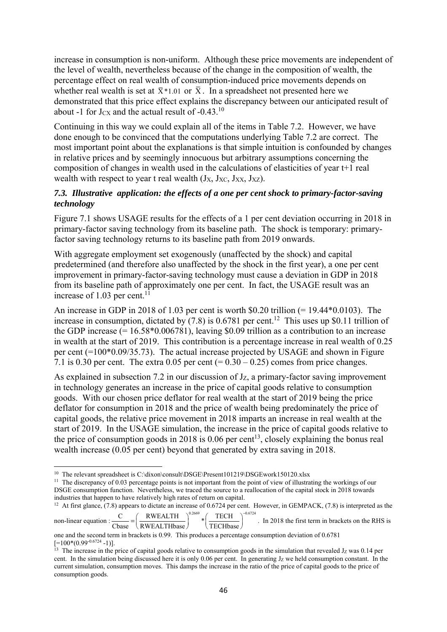increase in consumption is non-uniform. Although these price movements are independent of the level of wealth, nevertheless because of the change in the composition of wealth, the percentage effect on real wealth of consumption-induced price movements depends on whether real wealth is set at  $\bar{X}$ \*1.01 or  $\bar{X}$ . In a spreadsheet not presented here we demonstrated that this price effect explains the discrepancy between our anticipated result of about -1 for J $\alpha$  and the actual result of -0.43.<sup>10</sup>

Continuing in this way we could explain all of the items in Table 7.2. However, we have done enough to be convinced that the computations underlying Table 7.2 are correct. The most important point about the explanations is that simple intuition is confounded by changes in relative prices and by seemingly innocuous but arbitrary assumptions concerning the composition of changes in wealth used in the calculations of elasticities of year t+1 real wealth with respect to year t real wealth  $(Jx, Jxc, Jxx, Jxz)$ .

# *7.3. Illustrative application: the effects of a one per cent shock to primary-factor-saving technology*

Figure 7.1 shows USAGE results for the effects of a 1 per cent deviation occurring in 2018 in primary-factor saving technology from its baseline path. The shock is temporary: primaryfactor saving technology returns to its baseline path from 2019 onwards.

With aggregate employment set exogenously (unaffected by the shock) and capital predetermined (and therefore also unaffected by the shock in the first year), a one per cent improvement in primary-factor-saving technology must cause a deviation in GDP in 2018 from its baseline path of approximately one per cent. In fact, the USAGE result was an increase of 1.03 per cent.<sup>1</sup>

An increase in GDP in 2018 of 1.03 per cent is worth \$0.20 trillion (= 19.44\*0.0103). The increase in consumption, dictated by  $(7.8)$  is 0.6781 per cent.<sup>12</sup> This uses up \$0.11 trillion of the GDP increase  $(= 16.58*0.006781)$ , leaving \$0.09 trillion as a contribution to an increase in wealth at the start of 2019. This contribution is a percentage increase in real wealth of 0.25 per cent (=100\*0.09/35.73). The actual increase projected by USAGE and shown in Figure 7.1 is 0.30 per cent. The extra 0.05 per cent  $(= 0.30 - 0.25)$  comes from price changes.

As explained in subsection 7.2 in our discussion of  $J_z$ , a primary-factor saving improvement in technology generates an increase in the price of capital goods relative to consumption goods. With our chosen price deflator for real wealth at the start of 2019 being the price deflator for consumption in 2018 and the price of wealth being predominately the price of capital goods, the relative price movement in 2018 imparts an increase in real wealth at the start of 2019. In the USAGE simulation, the increase in the price of capital goods relative to the price of consumption goods in 2018 is  $0.06$  per cent<sup>13</sup>, closely explaining the bonus real wealth increase (0.05 per cent) beyond that generated by extra saving in 2018.

industries that happen to have relatively high rates of return on capital. 12 At first glance, (7.8) appears to dictate an increase of 0.6724 per cent. However, in GEMPACK, (7.8) is interpreted as the

non-linear equation :  $\frac{\text{C}}{\text{Chase}} = \left(\frac{\text{RWEALTH}}{\text{RWEALTHbase}}\right)^{0.2669} * \left(\frac{\text{TECH}}{\text{TECHbase}}\right)^{-0.6724}$  $TECH \t^{\sim 0.6724}$  $\frac{12 \text{ECH}}{ \text{TECHbase}}$  . In 2018 the first term in brackets on the RHS is

<sup>&</sup>lt;sup>10</sup> The relevant spreadsheet is C:\dixon\consult\DSGE\Present101219\DSGEwork150120.xlsx <sup>11</sup> The discrepancy of 0.03 percentage points is not important from the point of view of illustrating the workings of our DSGE consumption function. Nevertheless, we traced the source to a reallocation of the capital stock in 2018 towards industries that happen to have relatively high rates of return on capital.

one and the second term in brackets is 0.99. This produces a percentage consumption deviation of 0.6781  $[=100*(0.99-0.6724 -1)]$ .<br>
<sup>13</sup> The increase in the price of capital goods relative to consumption goods in the simulation that revealed Jz was 0.14 per

cent. In the simulation being discussed here it is only  $0.06$  per cent. In generating  $J_Z$  we held consumption constant. In the current simulation, consumption moves. This damps the increase in the ratio of the price of capital goods to the price of consumption goods.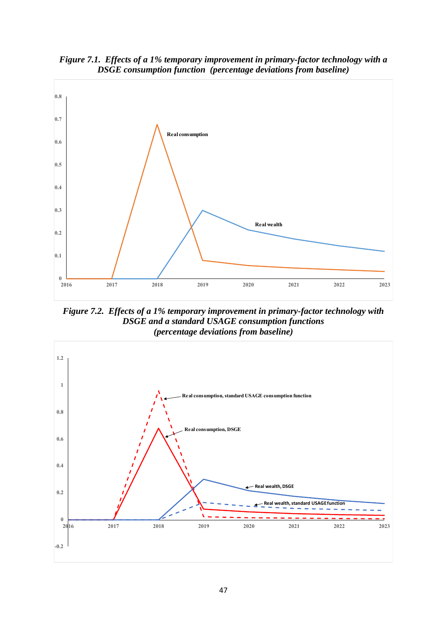

*Figure 7.1. Effects of a 1% temporary improvement in primary-factor technology with a DSGE consumption function (percentage deviations from baseline)* 

*Figure 7.2. Effects of a 1% temporary improvement in primary-factor technology with DSGE and a standard USAGE consumption functions (percentage deviations from baseline)*

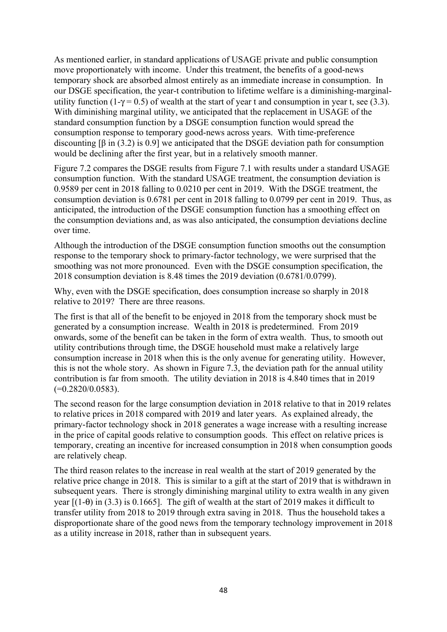As mentioned earlier, in standard applications of USAGE private and public consumption move proportionately with income. Under this treatment, the benefits of a good-news temporary shock are absorbed almost entirely as an immediate increase in consumption. In our DSGE specification, the year-t contribution to lifetime welfare is a diminishing-marginalutility function (1-γ = 0.5) of wealth at the start of year t and consumption in year t, see (3.3). With diminishing marginal utility, we anticipated that the replacement in USAGE of the standard consumption function by a DSGE consumption function would spread the consumption response to temporary good-news across years. With time-preference discounting  $[\beta \text{ in } (3.2) \text{ is } 0.9]$  we anticipated that the DSGE deviation path for consumption would be declining after the first year, but in a relatively smooth manner.

Figure 7.2 compares the DSGE results from Figure 7.1 with results under a standard USAGE consumption function. With the standard USAGE treatment, the consumption deviation is 0.9589 per cent in 2018 falling to 0.0210 per cent in 2019. With the DSGE treatment, the consumption deviation is 0.6781 per cent in 2018 falling to 0.0799 per cent in 2019. Thus, as anticipated, the introduction of the DSGE consumption function has a smoothing effect on the consumption deviations and, as was also anticipated, the consumption deviations decline over time.

Although the introduction of the DSGE consumption function smooths out the consumption response to the temporary shock to primary-factor technology, we were surprised that the smoothing was not more pronounced. Even with the DSGE consumption specification, the 2018 consumption deviation is 8.48 times the 2019 deviation (0.6781/0.0799).

Why, even with the DSGE specification, does consumption increase so sharply in 2018 relative to 2019? There are three reasons.

The first is that all of the benefit to be enjoyed in 2018 from the temporary shock must be generated by a consumption increase. Wealth in 2018 is predetermined. From 2019 onwards, some of the benefit can be taken in the form of extra wealth. Thus, to smooth out utility contributions through time, the DSGE household must make a relatively large consumption increase in 2018 when this is the only avenue for generating utility. However, this is not the whole story. As shown in Figure 7.3, the deviation path for the annual utility contribution is far from smooth. The utility deviation in 2018 is 4.840 times that in 2019  $(=0.2820/0.0583).$ 

The second reason for the large consumption deviation in 2018 relative to that in 2019 relates to relative prices in 2018 compared with 2019 and later years. As explained already, the primary-factor technology shock in 2018 generates a wage increase with a resulting increase in the price of capital goods relative to consumption goods. This effect on relative prices is temporary, creating an incentive for increased consumption in 2018 when consumption goods are relatively cheap.

The third reason relates to the increase in real wealth at the start of 2019 generated by the relative price change in 2018. This is similar to a gift at the start of 2019 that is withdrawn in subsequent years. There is strongly diminishing marginal utility to extra wealth in any given year  $[(1-\theta)$  in (3.3) is 0.1665]. The gift of wealth at the start of 2019 makes it difficult to transfer utility from 2018 to 2019 through extra saving in 2018. Thus the household takes a disproportionate share of the good news from the temporary technology improvement in 2018 as a utility increase in 2018, rather than in subsequent years.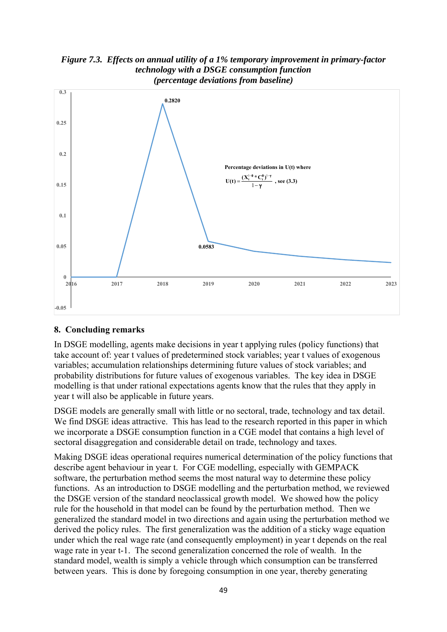

# *Figure 7.3. Effects on annual utility of a 1% temporary improvement in primary-factor technology with a DSGE consumption function*

# **8. Concluding remarks**

In DSGE modelling, agents make decisions in year t applying rules (policy functions) that take account of: year t values of predetermined stock variables; year t values of exogenous variables; accumulation relationships determining future values of stock variables; and probability distributions for future values of exogenous variables. The key idea in DSGE modelling is that under rational expectations agents know that the rules that they apply in year t will also be applicable in future years.

DSGE models are generally small with little or no sectoral, trade, technology and tax detail. We find DSGE ideas attractive. This has lead to the research reported in this paper in which we incorporate a DSGE consumption function in a CGE model that contains a high level of sectoral disaggregation and considerable detail on trade, technology and taxes.

Making DSGE ideas operational requires numerical determination of the policy functions that describe agent behaviour in year t. For CGE modelling, especially with GEMPACK software, the perturbation method seems the most natural way to determine these policy functions. As an introduction to DSGE modelling and the perturbation method, we reviewed the DSGE version of the standard neoclassical growth model. We showed how the policy rule for the household in that model can be found by the perturbation method. Then we generalized the standard model in two directions and again using the perturbation method we derived the policy rules. The first generalization was the addition of a sticky wage equation under which the real wage rate (and consequently employment) in year t depends on the real wage rate in year t-1. The second generalization concerned the role of wealth. In the standard model, wealth is simply a vehicle through which consumption can be transferred between years. This is done by foregoing consumption in one year, thereby generating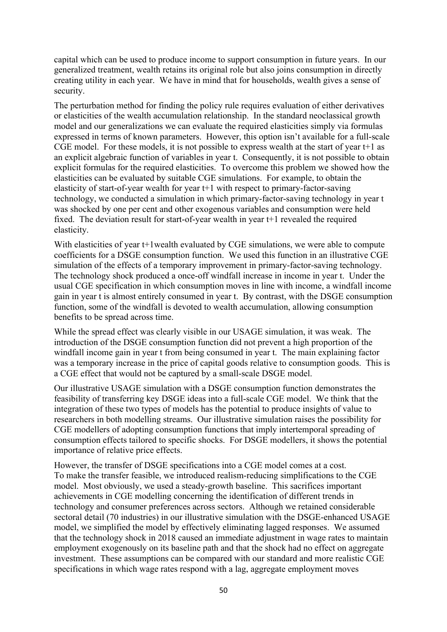capital which can be used to produce income to support consumption in future years. In our generalized treatment, wealth retains its original role but also joins consumption in directly creating utility in each year. We have in mind that for households, wealth gives a sense of security.

The perturbation method for finding the policy rule requires evaluation of either derivatives or elasticities of the wealth accumulation relationship. In the standard neoclassical growth model and our generalizations we can evaluate the required elasticities simply via formulas expressed in terms of known parameters. However, this option isn't available for a full-scale CGE model. For these models, it is not possible to express wealth at the start of year t+1 as an explicit algebraic function of variables in year t. Consequently, it is not possible to obtain explicit formulas for the required elasticities. To overcome this problem we showed how the elasticities can be evaluated by suitable CGE simulations. For example, to obtain the elasticity of start-of-year wealth for year t+1 with respect to primary-factor-saving technology, we conducted a simulation in which primary-factor-saving technology in year t was shocked by one per cent and other exogenous variables and consumption were held fixed. The deviation result for start-of-year wealth in year t+1 revealed the required elasticity.

With elasticities of year t+1 wealth evaluated by CGE simulations, we were able to compute coefficients for a DSGE consumption function. We used this function in an illustrative CGE simulation of the effects of a temporary improvement in primary-factor-saving technology. The technology shock produced a once-off windfall increase in income in year t. Under the usual CGE specification in which consumption moves in line with income, a windfall income gain in year t is almost entirely consumed in year t. By contrast, with the DSGE consumption function, some of the windfall is devoted to wealth accumulation, allowing consumption benefits to be spread across time.

While the spread effect was clearly visible in our USAGE simulation, it was weak. The introduction of the DSGE consumption function did not prevent a high proportion of the windfall income gain in year t from being consumed in year t. The main explaining factor was a temporary increase in the price of capital goods relative to consumption goods. This is a CGE effect that would not be captured by a small-scale DSGE model.

Our illustrative USAGE simulation with a DSGE consumption function demonstrates the feasibility of transferring key DSGE ideas into a full-scale CGE model. We think that the integration of these two types of models has the potential to produce insights of value to researchers in both modelling streams. Our illustrative simulation raises the possibility for CGE modellers of adopting consumption functions that imply intertemporal spreading of consumption effects tailored to specific shocks. For DSGE modellers, it shows the potential importance of relative price effects.

However, the transfer of DSGE specifications into a CGE model comes at a cost. To make the transfer feasible, we introduced realism-reducing simplifications to the CGE model. Most obviously, we used a steady-growth baseline. This sacrifices important achievements in CGE modelling concerning the identification of different trends in technology and consumer preferences across sectors. Although we retained considerable sectoral detail (70 industries) in our illustrative simulation with the DSGE-enhanced USAGE model, we simplified the model by effectively eliminating lagged responses. We assumed that the technology shock in 2018 caused an immediate adjustment in wage rates to maintain employment exogenously on its baseline path and that the shock had no effect on aggregate investment. These assumptions can be compared with our standard and more realistic CGE specifications in which wage rates respond with a lag, aggregate employment moves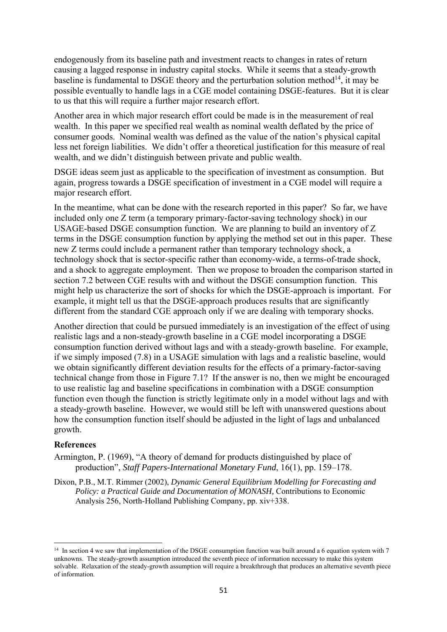endogenously from its baseline path and investment reacts to changes in rates of return causing a lagged response in industry capital stocks. While it seems that a steady-growth baseline is fundamental to DSGE theory and the perturbation solution method<sup>14</sup>, it may be possible eventually to handle lags in a CGE model containing DSGE-features. But it is clear to us that this will require a further major research effort.

Another area in which major research effort could be made is in the measurement of real wealth. In this paper we specified real wealth as nominal wealth deflated by the price of consumer goods. Nominal wealth was defined as the value of the nation's physical capital less net foreign liabilities. We didn't offer a theoretical justification for this measure of real wealth, and we didn't distinguish between private and public wealth.

DSGE ideas seem just as applicable to the specification of investment as consumption. But again, progress towards a DSGE specification of investment in a CGE model will require a major research effort.

In the meantime, what can be done with the research reported in this paper? So far, we have included only one Z term (a temporary primary-factor-saving technology shock) in our USAGE-based DSGE consumption function. We are planning to build an inventory of Z terms in the DSGE consumption function by applying the method set out in this paper. These new Z terms could include a permanent rather than temporary technology shock, a technology shock that is sector-specific rather than economy-wide, a terms-of-trade shock, and a shock to aggregate employment. Then we propose to broaden the comparison started in section 7.2 between CGE results with and without the DSGE consumption function. This might help us characterize the sort of shocks for which the DSGE-approach is important. For example, it might tell us that the DSGE-approach produces results that are significantly different from the standard CGE approach only if we are dealing with temporary shocks.

Another direction that could be pursued immediately is an investigation of the effect of using realistic lags and a non-steady-growth baseline in a CGE model incorporating a DSGE consumption function derived without lags and with a steady-growth baseline. For example, if we simply imposed (7.8) in a USAGE simulation with lags and a realistic baseline, would we obtain significantly different deviation results for the effects of a primary-factor-saving technical change from those in Figure 7.1? If the answer is no, then we might be encouraged to use realistic lag and baseline specifications in combination with a DSGE consumption function even though the function is strictly legitimate only in a model without lags and with a steady-growth baseline. However, we would still be left with unanswered questions about how the consumption function itself should be adjusted in the light of lags and unbalanced growth.

## **References**

- Armington, P. (1969), "A theory of demand for products distinguished by place of production", *Staff Papers-International Monetary Fund*, 16(1), pp. 159–178.
- Dixon, P.B., M.T. Rimmer (2002), *Dynamic General Equilibrium Modelling for Forecasting and Policy: a Practical Guide and Documentation of MONASH*, Contributions to Economic Analysis 256, North-Holland Publishing Company, pp. xiv+338.

<sup>&</sup>lt;sup>14</sup> In section 4 we saw that implementation of the DSGE consumption function was built around a 6 equation system with 7 unknowns. The steady-growth assumption introduced the seventh piece of information necessary to make this system solvable. Relaxation of the steady-growth assumption will require a breakthrough that produces an alternative seventh piece of information.